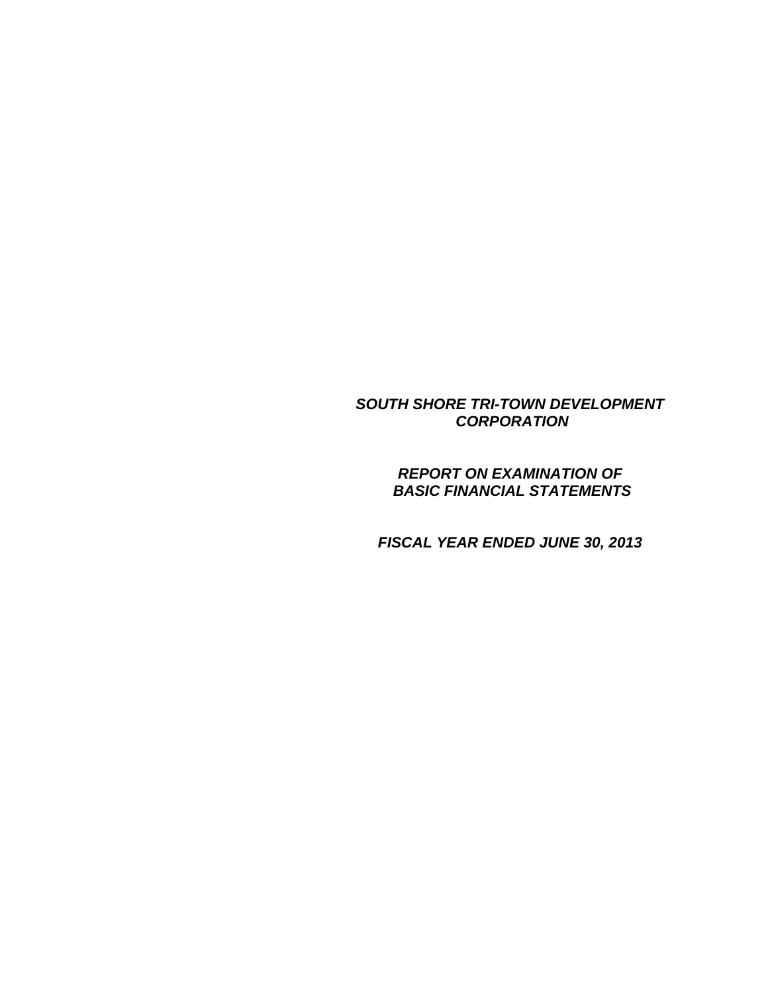## *SOUTH SHORE TRI-TOWN DEVELOPMENT CORPORATION*

## *REPORT ON EXAMINATION OF BASIC FINANCIAL STATEMENTS*

*FISCAL YEAR ENDED JUNE 30, 2013*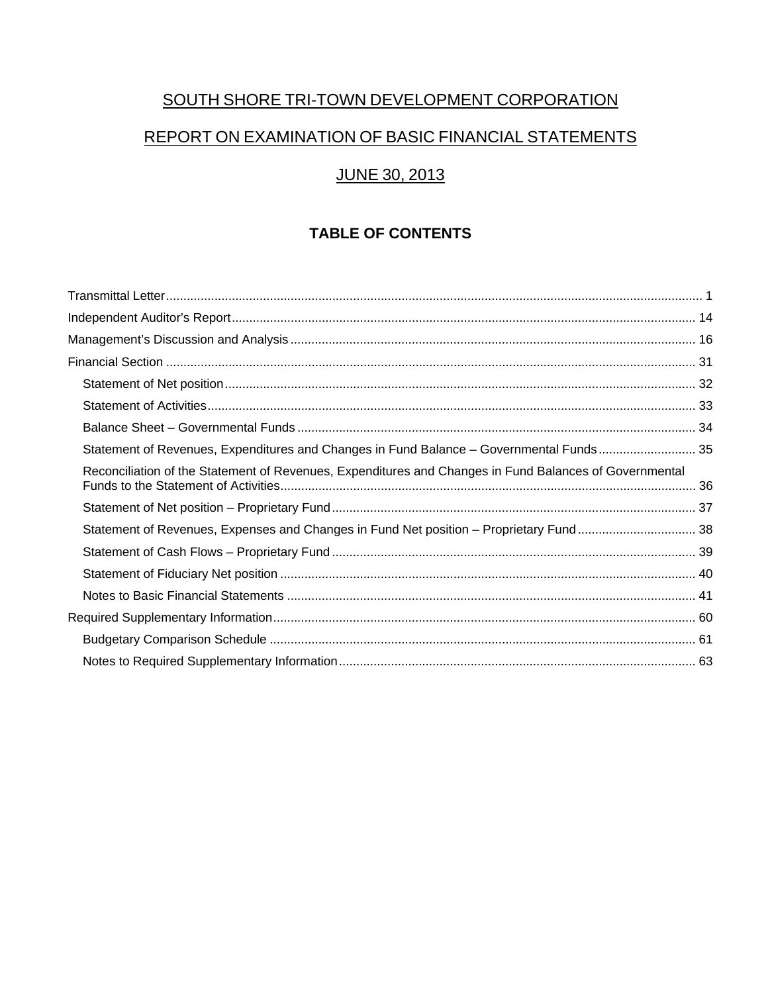## SOUTH SHORE TRI-TOWN DEVELOPMENT CORPORATION

## REPORT ON EXAMINATION OF BASIC FINANCIAL STATEMENTS

## **JUNE 30, 2013**

## **TABLE OF CONTENTS**

| Reconciliation of the Statement of Revenues, Expenditures and Changes in Fund Balances of Governmental |  |
|--------------------------------------------------------------------------------------------------------|--|
|                                                                                                        |  |
|                                                                                                        |  |
|                                                                                                        |  |
|                                                                                                        |  |
|                                                                                                        |  |
|                                                                                                        |  |
|                                                                                                        |  |
|                                                                                                        |  |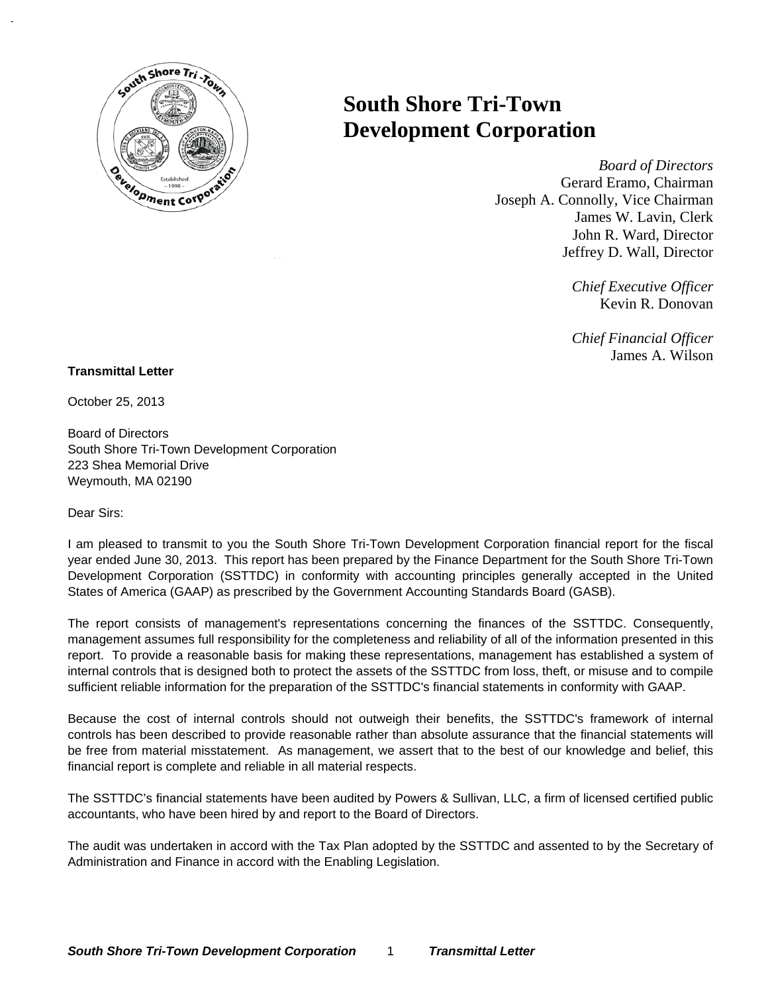

## **South Shore Tri-Town Development Corporation**

*Board of Directors*  Gerard Eramo, Chairman Joseph A. Connolly, Vice Chairman James W. Lavin, Clerk John R. Ward, Director Jeffrey D. Wall, Director

> *Chief Executive Officer*  Kevin R. Donovan

> *Chief Financial Officer*  James A. Wilson

## **Transmittal Letter**

October 25, 2013

Board of Directors South Shore Tri-Town Development Corporation 223 Shea Memorial Drive Weymouth, MA 02190

Dear Sirs:

I am pleased to transmit to you the South Shore Tri-Town Development Corporation financial report for the fiscal year ended June 30, 2013. This report has been prepared by the Finance Department for the South Shore Tri-Town Development Corporation (SSTTDC) in conformity with accounting principles generally accepted in the United States of America (GAAP) as prescribed by the Government Accounting Standards Board (GASB).

The report consists of management's representations concerning the finances of the SSTTDC. Consequently, management assumes full responsibility for the completeness and reliability of all of the information presented in this report. To provide a reasonable basis for making these representations, management has established a system of internal controls that is designed both to protect the assets of the SSTTDC from loss, theft, or misuse and to compile sufficient reliable information for the preparation of the SSTTDC's financial statements in conformity with GAAP.

Because the cost of internal controls should not outweigh their benefits, the SSTTDC's framework of internal controls has been described to provide reasonable rather than absolute assurance that the financial statements will be free from material misstatement. As management, we assert that to the best of our knowledge and belief, this financial report is complete and reliable in all material respects.

The SSTTDC's financial statements have been audited by Powers & Sullivan, LLC, a firm of licensed certified public accountants, who have been hired by and report to the Board of Directors.

The audit was undertaken in accord with the Tax Plan adopted by the SSTTDC and assented to by the Secretary of Administration and Finance in accord with the Enabling Legislation.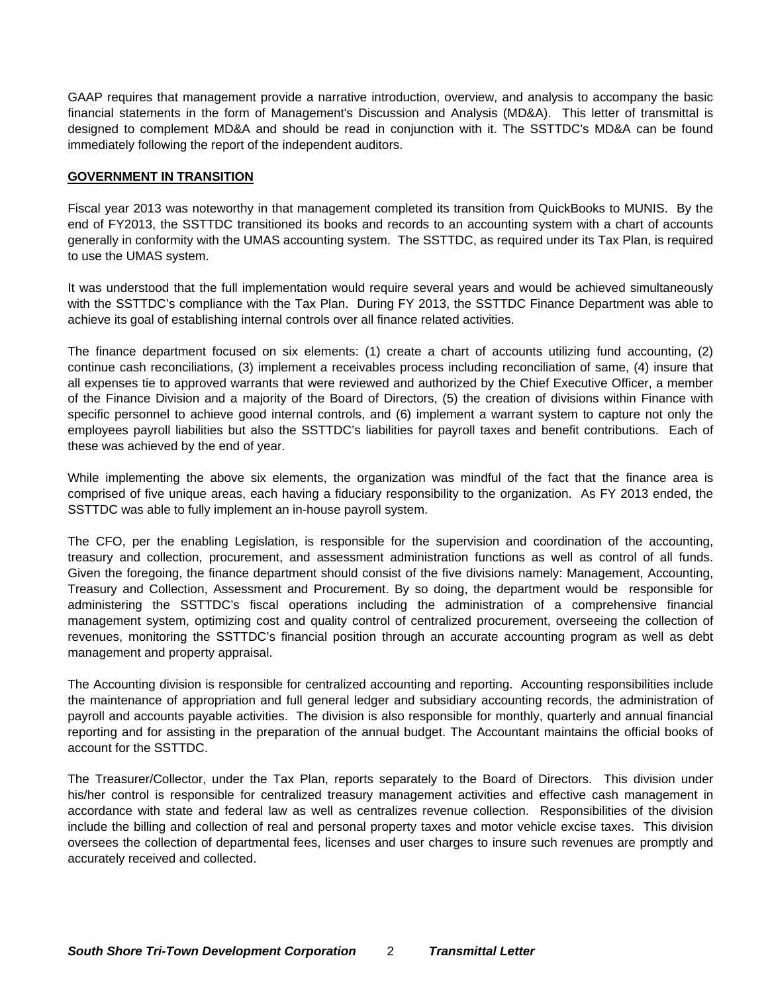GAAP requires that management provide a narrative introduction, overview, and analysis to accompany the basic financial statements in the form of Management's Discussion and Analysis (MD&A). This letter of transmittal is designed to complement MD&A and should be read in conjunction with it. The SSTTDC's MD&A can be found immediately following the report of the independent auditors.

#### **GOVERNMENT IN TRANSITION**

Fiscal year 2013 was noteworthy in that management completed its transition from QuickBooks to MUNIS. By the end of FY2013, the SSTTDC transitioned its books and records to an accounting system with a chart of accounts generally in conformity with the UMAS accounting system. The SSTTDC, as required under its Tax Plan, is required to use the UMAS system.

It was understood that the full implementation would require several years and would be achieved simultaneously with the SSTTDC's compliance with the Tax Plan. During FY 2013, the SSTTDC Finance Department was able to achieve its goal of establishing internal controls over all finance related activities.

The finance department focused on six elements: (1) create a chart of accounts utilizing fund accounting, (2) continue cash reconciliations, (3) implement a receivables process including reconciliation of same, (4) insure that all expenses tie to approved warrants that were reviewed and authorized by the Chief Executive Officer, a member of the Finance Division and a majority of the Board of Directors, (5) the creation of divisions within Finance with specific personnel to achieve good internal controls, and (6) implement a warrant system to capture not only the employees payroll liabilities but also the SSTTDC's liabilities for payroll taxes and benefit contributions. Each of these was achieved by the end of year.

While implementing the above six elements, the organization was mindful of the fact that the finance area is comprised of five unique areas, each having a fiduciary responsibility to the organization. As FY 2013 ended, the SSTTDC was able to fully implement an in-house payroll system.

The CFO, per the enabling Legislation, is responsible for the supervision and coordination of the accounting, treasury and collection, procurement, and assessment administration functions as well as control of all funds. Given the foregoing, the finance department should consist of the five divisions namely: Management, Accounting, Treasury and Collection, Assessment and Procurement. By so doing, the department would be responsible for administering the SSTTDC's fiscal operations including the administration of a comprehensive financial management system, optimizing cost and quality control of centralized procurement, overseeing the collection of revenues, monitoring the SSTTDC's financial position through an accurate accounting program as well as debt management and property appraisal.

The Accounting division is responsible for centralized accounting and reporting. Accounting responsibilities include the maintenance of appropriation and full general ledger and subsidiary accounting records, the administration of payroll and accounts payable activities. The division is also responsible for monthly, quarterly and annual financial reporting and for assisting in the preparation of the annual budget. The Accountant maintains the official books of account for the SSTTDC.

The Treasurer/Collector, under the Tax Plan, reports separately to the Board of Directors. This division under his/her control is responsible for centralized treasury management activities and effective cash management in accordance with state and federal law as well as centralizes revenue collection. Responsibilities of the division include the billing and collection of real and personal property taxes and motor vehicle excise taxes. This division oversees the collection of departmental fees, licenses and user charges to insure such revenues are promptly and accurately received and collected.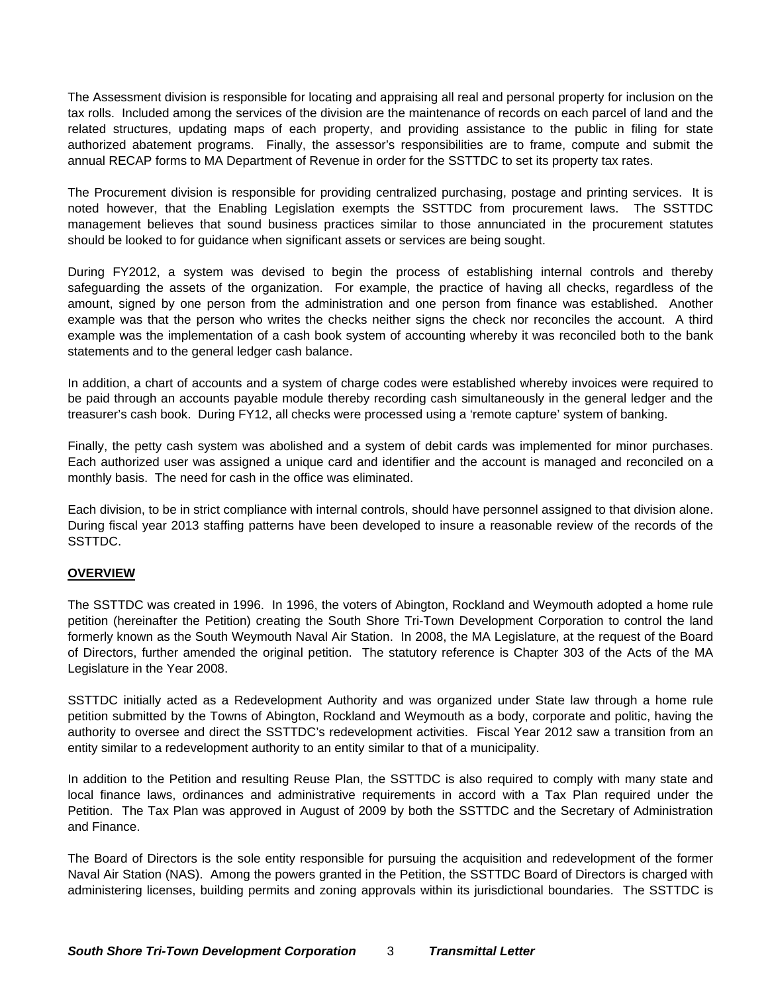The Assessment division is responsible for locating and appraising all real and personal property for inclusion on the tax rolls. Included among the services of the division are the maintenance of records on each parcel of land and the related structures, updating maps of each property, and providing assistance to the public in filing for state authorized abatement programs. Finally, the assessor's responsibilities are to frame, compute and submit the annual RECAP forms to MA Department of Revenue in order for the SSTTDC to set its property tax rates.

The Procurement division is responsible for providing centralized purchasing, postage and printing services. It is noted however, that the Enabling Legislation exempts the SSTTDC from procurement laws. The SSTTDC management believes that sound business practices similar to those annunciated in the procurement statutes should be looked to for guidance when significant assets or services are being sought.

During FY2012, a system was devised to begin the process of establishing internal controls and thereby safeguarding the assets of the organization. For example, the practice of having all checks, regardless of the amount, signed by one person from the administration and one person from finance was established. Another example was that the person who writes the checks neither signs the check nor reconciles the account. A third example was the implementation of a cash book system of accounting whereby it was reconciled both to the bank statements and to the general ledger cash balance.

In addition, a chart of accounts and a system of charge codes were established whereby invoices were required to be paid through an accounts payable module thereby recording cash simultaneously in the general ledger and the treasurer's cash book. During FY12, all checks were processed using a 'remote capture' system of banking.

Finally, the petty cash system was abolished and a system of debit cards was implemented for minor purchases. Each authorized user was assigned a unique card and identifier and the account is managed and reconciled on a monthly basis. The need for cash in the office was eliminated.

Each division, to be in strict compliance with internal controls, should have personnel assigned to that division alone. During fiscal year 2013 staffing patterns have been developed to insure a reasonable review of the records of the SSTTDC.

## **OVERVIEW**

The SSTTDC was created in 1996. In 1996, the voters of Abington, Rockland and Weymouth adopted a home rule petition (hereinafter the Petition) creating the South Shore Tri-Town Development Corporation to control the land formerly known as the South Weymouth Naval Air Station. In 2008, the MA Legislature, at the request of the Board of Directors, further amended the original petition. The statutory reference is Chapter 303 of the Acts of the MA Legislature in the Year 2008.

SSTTDC initially acted as a Redevelopment Authority and was organized under State law through a home rule petition submitted by the Towns of Abington, Rockland and Weymouth as a body, corporate and politic, having the authority to oversee and direct the SSTTDC's redevelopment activities. Fiscal Year 2012 saw a transition from an entity similar to a redevelopment authority to an entity similar to that of a municipality.

In addition to the Petition and resulting Reuse Plan, the SSTTDC is also required to comply with many state and local finance laws, ordinances and administrative requirements in accord with a Tax Plan required under the Petition. The Tax Plan was approved in August of 2009 by both the SSTTDC and the Secretary of Administration and Finance.

The Board of Directors is the sole entity responsible for pursuing the acquisition and redevelopment of the former Naval Air Station (NAS). Among the powers granted in the Petition, the SSTTDC Board of Directors is charged with administering licenses, building permits and zoning approvals within its jurisdictional boundaries. The SSTTDC is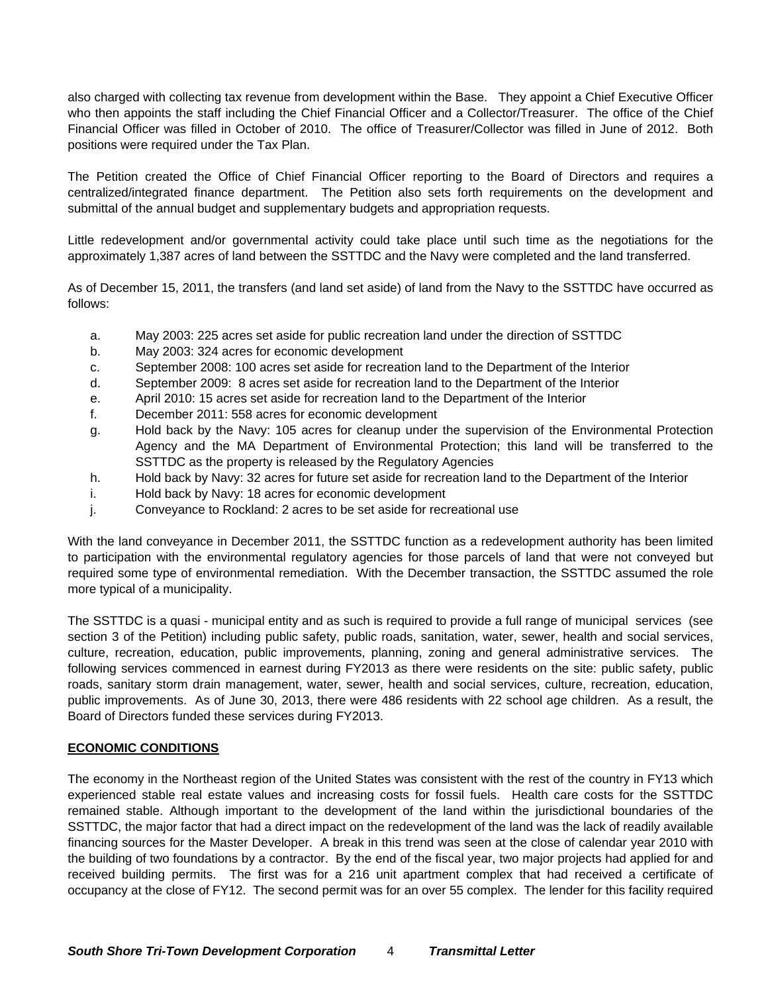also charged with collecting tax revenue from development within the Base. They appoint a Chief Executive Officer who then appoints the staff including the Chief Financial Officer and a Collector/Treasurer. The office of the Chief Financial Officer was filled in October of 2010. The office of Treasurer/Collector was filled in June of 2012. Both positions were required under the Tax Plan.

The Petition created the Office of Chief Financial Officer reporting to the Board of Directors and requires a centralized/integrated finance department. The Petition also sets forth requirements on the development and submittal of the annual budget and supplementary budgets and appropriation requests.

Little redevelopment and/or governmental activity could take place until such time as the negotiations for the approximately 1,387 acres of land between the SSTTDC and the Navy were completed and the land transferred.

As of December 15, 2011, the transfers (and land set aside) of land from the Navy to the SSTTDC have occurred as follows:

- a. May 2003: 225 acres set aside for public recreation land under the direction of SSTTDC
- b. May 2003: 324 acres for economic development
- c. September 2008: 100 acres set aside for recreation land to the Department of the Interior
- d. September 2009: 8 acres set aside for recreation land to the Department of the Interior
- e. April 2010: 15 acres set aside for recreation land to the Department of the Interior
- f. December 2011: 558 acres for economic development
- g. Hold back by the Navy: 105 acres for cleanup under the supervision of the Environmental Protection Agency and the MA Department of Environmental Protection; this land will be transferred to the SSTTDC as the property is released by the Regulatory Agencies
- h. Hold back by Navy: 32 acres for future set aside for recreation land to the Department of the Interior
- i. Hold back by Navy: 18 acres for economic development
- j. Conveyance to Rockland: 2 acres to be set aside for recreational use

With the land conveyance in December 2011, the SSTTDC function as a redevelopment authority has been limited to participation with the environmental regulatory agencies for those parcels of land that were not conveyed but required some type of environmental remediation. With the December transaction, the SSTTDC assumed the role more typical of a municipality.

The SSTTDC is a quasi - municipal entity and as such is required to provide a full range of municipal services (see section 3 of the Petition) including public safety, public roads, sanitation, water, sewer, health and social services, culture, recreation, education, public improvements, planning, zoning and general administrative services. The following services commenced in earnest during FY2013 as there were residents on the site: public safety, public roads, sanitary storm drain management, water, sewer, health and social services, culture, recreation, education, public improvements. As of June 30, 2013, there were 486 residents with 22 school age children. As a result, the Board of Directors funded these services during FY2013.

## **ECONOMIC CONDITIONS**

The economy in the Northeast region of the United States was consistent with the rest of the country in FY13 which experienced stable real estate values and increasing costs for fossil fuels. Health care costs for the SSTTDC remained stable. Although important to the development of the land within the jurisdictional boundaries of the SSTTDC, the major factor that had a direct impact on the redevelopment of the land was the lack of readily available financing sources for the Master Developer. A break in this trend was seen at the close of calendar year 2010 with the building of two foundations by a contractor. By the end of the fiscal year, two major projects had applied for and received building permits. The first was for a 216 unit apartment complex that had received a certificate of occupancy at the close of FY12. The second permit was for an over 55 complex. The lender for this facility required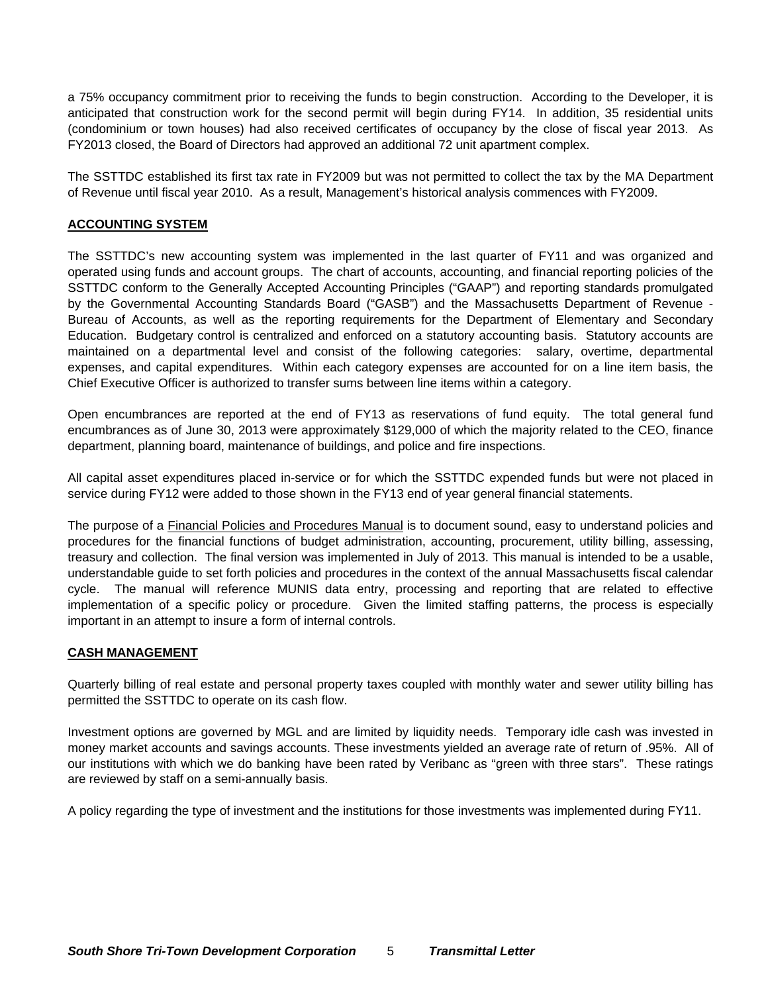a 75% occupancy commitment prior to receiving the funds to begin construction. According to the Developer, it is anticipated that construction work for the second permit will begin during FY14. In addition, 35 residential units (condominium or town houses) had also received certificates of occupancy by the close of fiscal year 2013. As FY2013 closed, the Board of Directors had approved an additional 72 unit apartment complex.

The SSTTDC established its first tax rate in FY2009 but was not permitted to collect the tax by the MA Department of Revenue until fiscal year 2010. As a result, Management's historical analysis commences with FY2009.

## **ACCOUNTING SYSTEM**

The SSTTDC's new accounting system was implemented in the last quarter of FY11 and was organized and operated using funds and account groups. The chart of accounts, accounting, and financial reporting policies of the SSTTDC conform to the Generally Accepted Accounting Principles ("GAAP") and reporting standards promulgated by the Governmental Accounting Standards Board ("GASB") and the Massachusetts Department of Revenue - Bureau of Accounts, as well as the reporting requirements for the Department of Elementary and Secondary Education. Budgetary control is centralized and enforced on a statutory accounting basis. Statutory accounts are maintained on a departmental level and consist of the following categories: salary, overtime, departmental expenses, and capital expenditures. Within each category expenses are accounted for on a line item basis, the Chief Executive Officer is authorized to transfer sums between line items within a category.

Open encumbrances are reported at the end of FY13 as reservations of fund equity. The total general fund encumbrances as of June 30, 2013 were approximately \$129,000 of which the majority related to the CEO, finance department, planning board, maintenance of buildings, and police and fire inspections.

All capital asset expenditures placed in-service or for which the SSTTDC expended funds but were not placed in service during FY12 were added to those shown in the FY13 end of year general financial statements.

The purpose of a Financial Policies and Procedures Manual is to document sound, easy to understand policies and procedures for the financial functions of budget administration, accounting, procurement, utility billing, assessing, treasury and collection. The final version was implemented in July of 2013. This manual is intended to be a usable, understandable guide to set forth policies and procedures in the context of the annual Massachusetts fiscal calendar cycle. The manual will reference MUNIS data entry, processing and reporting that are related to effective implementation of a specific policy or procedure. Given the limited staffing patterns, the process is especially important in an attempt to insure a form of internal controls.

## **CASH MANAGEMENT**

Quarterly billing of real estate and personal property taxes coupled with monthly water and sewer utility billing has permitted the SSTTDC to operate on its cash flow.

Investment options are governed by MGL and are limited by liquidity needs. Temporary idle cash was invested in money market accounts and savings accounts. These investments yielded an average rate of return of .95%. All of our institutions with which we do banking have been rated by Veribanc as "green with three stars". These ratings are reviewed by staff on a semi-annually basis.

A policy regarding the type of investment and the institutions for those investments was implemented during FY11.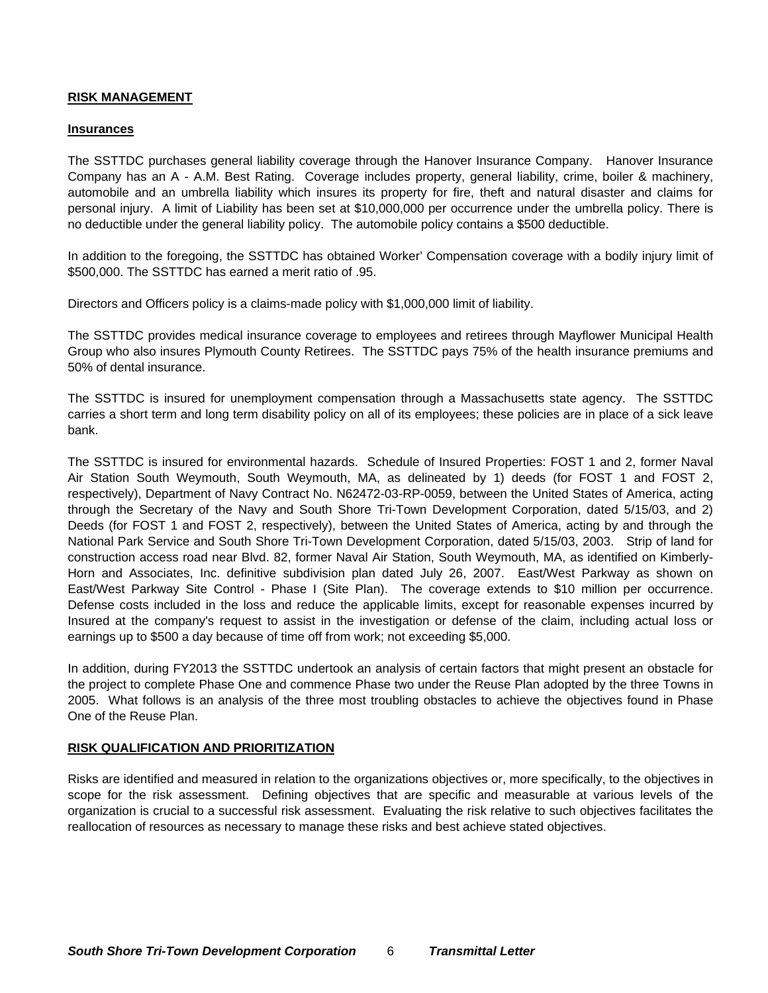#### **RISK MANAGEMENT**

#### **Insurances**

The SSTTDC purchases general liability coverage through the Hanover Insurance Company. Hanover Insurance Company has an A - A.M. Best Rating. Coverage includes property, general liability, crime, boiler & machinery, automobile and an umbrella liability which insures its property for fire, theft and natural disaster and claims for personal injury. A limit of Liability has been set at \$10,000,000 per occurrence under the umbrella policy. There is no deductible under the general liability policy. The automobile policy contains a \$500 deductible.

In addition to the foregoing, the SSTTDC has obtained Worker' Compensation coverage with a bodily injury limit of \$500,000. The SSTTDC has earned a merit ratio of .95.

Directors and Officers policy is a claims-made policy with \$1,000,000 limit of liability.

The SSTTDC provides medical insurance coverage to employees and retirees through Mayflower Municipal Health Group who also insures Plymouth County Retirees. The SSTTDC pays 75% of the health insurance premiums and 50% of dental insurance.

The SSTTDC is insured for unemployment compensation through a Massachusetts state agency. The SSTTDC carries a short term and long term disability policy on all of its employees; these policies are in place of a sick leave bank.

The SSTTDC is insured for environmental hazards. Schedule of Insured Properties: FOST 1 and 2, former Naval Air Station South Weymouth, South Weymouth, MA, as delineated by 1) deeds (for FOST 1 and FOST 2, respectively), Department of Navy Contract No. N62472-03-RP-0059, between the United States of America, acting through the Secretary of the Navy and South Shore Tri-Town Development Corporation, dated 5/15/03, and 2) Deeds (for FOST 1 and FOST 2, respectively), between the United States of America, acting by and through the National Park Service and South Shore Tri-Town Development Corporation, dated 5/15/03, 2003. Strip of land for construction access road near Blvd. 82, former Naval Air Station, South Weymouth, MA, as identified on Kimberly-Horn and Associates, Inc. definitive subdivision plan dated July 26, 2007. East/West Parkway as shown on East/West Parkway Site Control - Phase I (Site Plan). The coverage extends to \$10 million per occurrence. Defense costs included in the loss and reduce the applicable limits, except for reasonable expenses incurred by Insured at the company's request to assist in the investigation or defense of the claim, including actual loss or earnings up to \$500 a day because of time off from work; not exceeding \$5,000.

In addition, during FY2013 the SSTTDC undertook an analysis of certain factors that might present an obstacle for the project to complete Phase One and commence Phase two under the Reuse Plan adopted by the three Towns in 2005. What follows is an analysis of the three most troubling obstacles to achieve the objectives found in Phase One of the Reuse Plan.

#### **RISK QUALIFICATION AND PRIORITIZATION**

Risks are identified and measured in relation to the organizations objectives or, more specifically, to the objectives in scope for the risk assessment. Defining objectives that are specific and measurable at various levels of the organization is crucial to a successful risk assessment. Evaluating the risk relative to such objectives facilitates the reallocation of resources as necessary to manage these risks and best achieve stated objectives.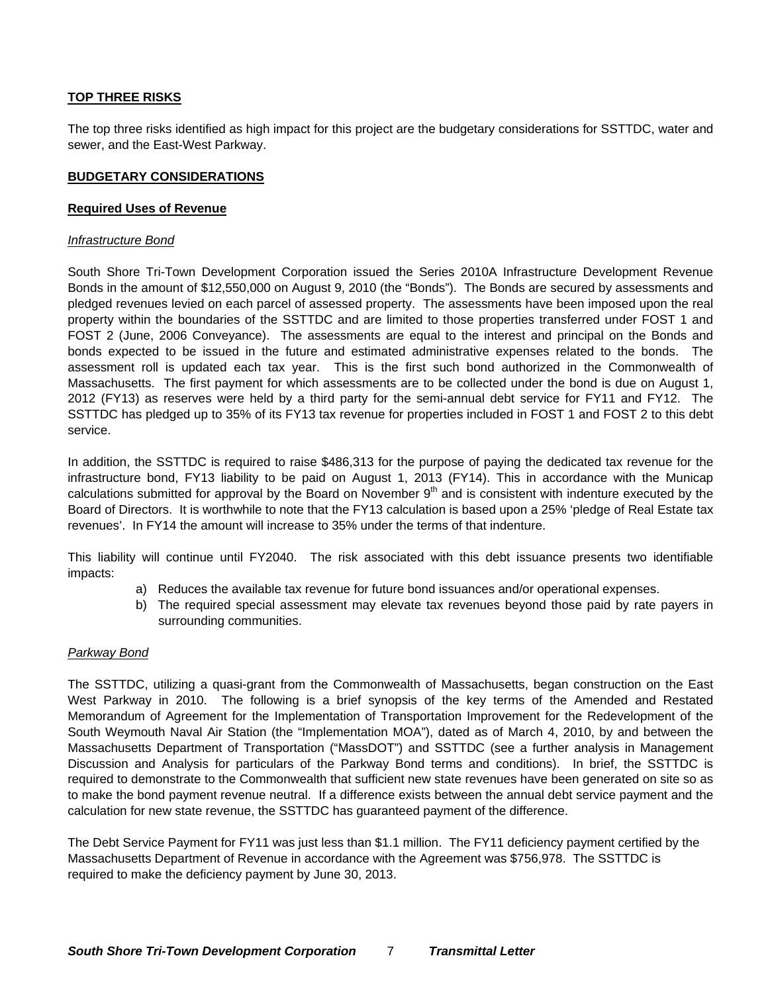## **TOP THREE RISKS**

The top three risks identified as high impact for this project are the budgetary considerations for SSTTDC, water and sewer, and the East-West Parkway.

#### **BUDGETARY CONSIDERATIONS**

#### **Required Uses of Revenue**

#### *Infrastructure Bond*

South Shore Tri-Town Development Corporation issued the Series 2010A Infrastructure Development Revenue Bonds in the amount of \$12,550,000 on August 9, 2010 (the "Bonds"). The Bonds are secured by assessments and pledged revenues levied on each parcel of assessed property. The assessments have been imposed upon the real property within the boundaries of the SSTTDC and are limited to those properties transferred under FOST 1 and FOST 2 (June, 2006 Conveyance). The assessments are equal to the interest and principal on the Bonds and bonds expected to be issued in the future and estimated administrative expenses related to the bonds. The assessment roll is updated each tax year. This is the first such bond authorized in the Commonwealth of Massachusetts. The first payment for which assessments are to be collected under the bond is due on August 1, 2012 (FY13) as reserves were held by a third party for the semi-annual debt service for FY11 and FY12. The SSTTDC has pledged up to 35% of its FY13 tax revenue for properties included in FOST 1 and FOST 2 to this debt service.

In addition, the SSTTDC is required to raise \$486,313 for the purpose of paying the dedicated tax revenue for the infrastructure bond, FY13 liability to be paid on August 1, 2013 (FY14). This in accordance with the Municap calculations submitted for approval by the Board on November  $9<sup>th</sup>$  and is consistent with indenture executed by the Board of Directors. It is worthwhile to note that the FY13 calculation is based upon a 25% 'pledge of Real Estate tax revenues'. In FY14 the amount will increase to 35% under the terms of that indenture.

This liability will continue until FY2040. The risk associated with this debt issuance presents two identifiable impacts:

- a) Reduces the available tax revenue for future bond issuances and/or operational expenses.
- b) The required special assessment may elevate tax revenues beyond those paid by rate payers in surrounding communities.

## *Parkway Bond*

The SSTTDC, utilizing a quasi-grant from the Commonwealth of Massachusetts, began construction on the East West Parkway in 2010. The following is a brief synopsis of the key terms of the Amended and Restated Memorandum of Agreement for the Implementation of Transportation Improvement for the Redevelopment of the South Weymouth Naval Air Station (the "Implementation MOA"), dated as of March 4, 2010, by and between the Massachusetts Department of Transportation ("MassDOT") and SSTTDC (see a further analysis in Management Discussion and Analysis for particulars of the Parkway Bond terms and conditions). In brief, the SSTTDC is required to demonstrate to the Commonwealth that sufficient new state revenues have been generated on site so as to make the bond payment revenue neutral. If a difference exists between the annual debt service payment and the calculation for new state revenue, the SSTTDC has guaranteed payment of the difference.

The Debt Service Payment for FY11 was just less than \$1.1 million. The FY11 deficiency payment certified by the Massachusetts Department of Revenue in accordance with the Agreement was \$756,978. The SSTTDC is required to make the deficiency payment by June 30, 2013.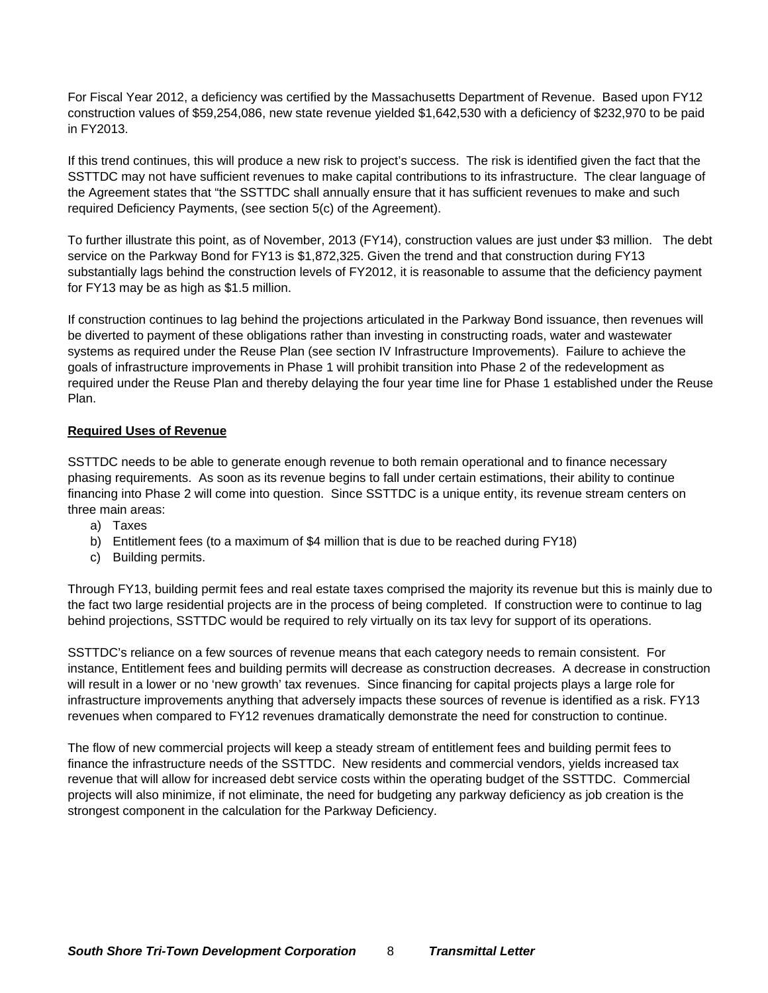For Fiscal Year 2012, a deficiency was certified by the Massachusetts Department of Revenue. Based upon FY12 construction values of \$59,254,086, new state revenue yielded \$1,642,530 with a deficiency of \$232,970 to be paid in FY2013.

If this trend continues, this will produce a new risk to project's success. The risk is identified given the fact that the SSTTDC may not have sufficient revenues to make capital contributions to its infrastructure. The clear language of the Agreement states that "the SSTTDC shall annually ensure that it has sufficient revenues to make and such required Deficiency Payments, (see section 5(c) of the Agreement).

To further illustrate this point, as of November, 2013 (FY14), construction values are just under \$3 million. The debt service on the Parkway Bond for FY13 is \$1,872,325. Given the trend and that construction during FY13 substantially lags behind the construction levels of FY2012, it is reasonable to assume that the deficiency payment for FY13 may be as high as \$1.5 million.

If construction continues to lag behind the projections articulated in the Parkway Bond issuance, then revenues will be diverted to payment of these obligations rather than investing in constructing roads, water and wastewater systems as required under the Reuse Plan (see section IV Infrastructure Improvements). Failure to achieve the goals of infrastructure improvements in Phase 1 will prohibit transition into Phase 2 of the redevelopment as required under the Reuse Plan and thereby delaying the four year time line for Phase 1 established under the Reuse Plan.

## **Required Uses of Revenue**

SSTTDC needs to be able to generate enough revenue to both remain operational and to finance necessary phasing requirements. As soon as its revenue begins to fall under certain estimations, their ability to continue financing into Phase 2 will come into question. Since SSTTDC is a unique entity, its revenue stream centers on three main areas:

- a) Taxes
- b) Entitlement fees (to a maximum of \$4 million that is due to be reached during FY18)
- c) Building permits.

Through FY13, building permit fees and real estate taxes comprised the majority its revenue but this is mainly due to the fact two large residential projects are in the process of being completed. If construction were to continue to lag behind projections, SSTTDC would be required to rely virtually on its tax levy for support of its operations.

SSTTDC's reliance on a few sources of revenue means that each category needs to remain consistent. For instance, Entitlement fees and building permits will decrease as construction decreases. A decrease in construction will result in a lower or no 'new growth' tax revenues. Since financing for capital projects plays a large role for infrastructure improvements anything that adversely impacts these sources of revenue is identified as a risk. FY13 revenues when compared to FY12 revenues dramatically demonstrate the need for construction to continue.

The flow of new commercial projects will keep a steady stream of entitlement fees and building permit fees to finance the infrastructure needs of the SSTTDC. New residents and commercial vendors, yields increased tax revenue that will allow for increased debt service costs within the operating budget of the SSTTDC. Commercial projects will also minimize, if not eliminate, the need for budgeting any parkway deficiency as job creation is the strongest component in the calculation for the Parkway Deficiency.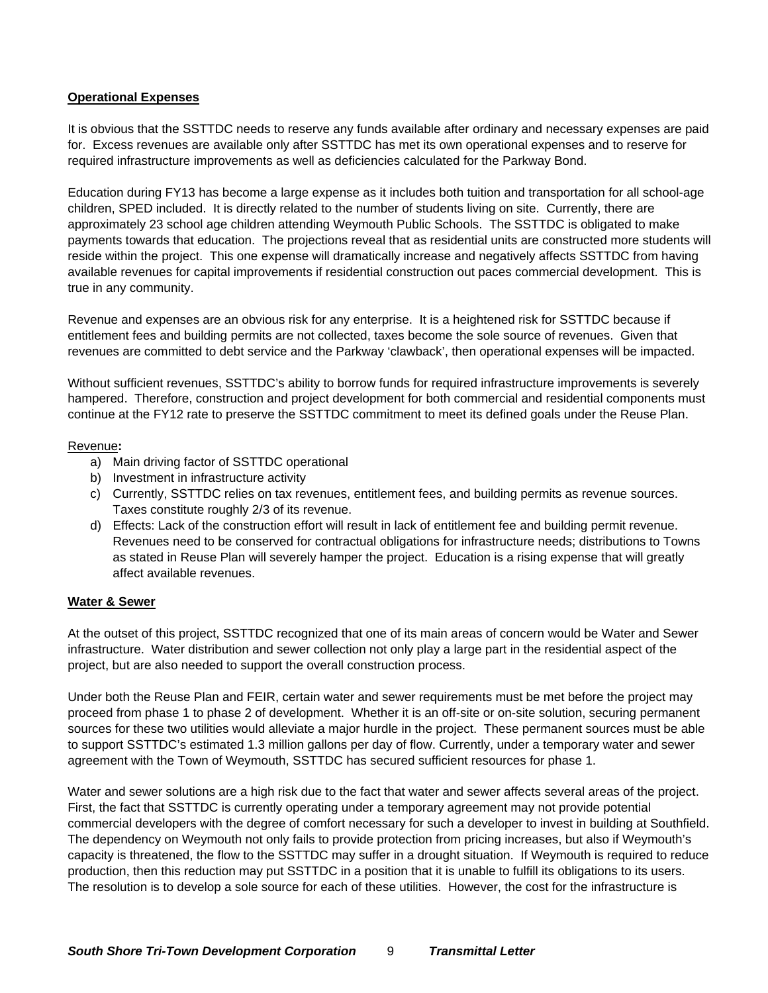## **Operational Expenses**

It is obvious that the SSTTDC needs to reserve any funds available after ordinary and necessary expenses are paid for. Excess revenues are available only after SSTTDC has met its own operational expenses and to reserve for required infrastructure improvements as well as deficiencies calculated for the Parkway Bond.

Education during FY13 has become a large expense as it includes both tuition and transportation for all school-age children, SPED included. It is directly related to the number of students living on site. Currently, there are approximately 23 school age children attending Weymouth Public Schools. The SSTTDC is obligated to make payments towards that education. The projections reveal that as residential units are constructed more students will reside within the project. This one expense will dramatically increase and negatively affects SSTTDC from having available revenues for capital improvements if residential construction out paces commercial development. This is true in any community.

Revenue and expenses are an obvious risk for any enterprise. It is a heightened risk for SSTTDC because if entitlement fees and building permits are not collected, taxes become the sole source of revenues. Given that revenues are committed to debt service and the Parkway 'clawback', then operational expenses will be impacted.

Without sufficient revenues, SSTTDC's ability to borrow funds for required infrastructure improvements is severely hampered. Therefore, construction and project development for both commercial and residential components must continue at the FY12 rate to preserve the SSTTDC commitment to meet its defined goals under the Reuse Plan.

#### Revenue**:**

- a) Main driving factor of SSTTDC operational
- b) Investment in infrastructure activity
- c) Currently, SSTTDC relies on tax revenues, entitlement fees, and building permits as revenue sources. Taxes constitute roughly 2/3 of its revenue.
- d) Effects: Lack of the construction effort will result in lack of entitlement fee and building permit revenue. Revenues need to be conserved for contractual obligations for infrastructure needs; distributions to Towns as stated in Reuse Plan will severely hamper the project. Education is a rising expense that will greatly affect available revenues.

## **Water & Sewer**

At the outset of this project, SSTTDC recognized that one of its main areas of concern would be Water and Sewer infrastructure. Water distribution and sewer collection not only play a large part in the residential aspect of the project, but are also needed to support the overall construction process.

Under both the Reuse Plan and FEIR, certain water and sewer requirements must be met before the project may proceed from phase 1 to phase 2 of development. Whether it is an off-site or on-site solution, securing permanent sources for these two utilities would alleviate a major hurdle in the project. These permanent sources must be able to support SSTTDC's estimated 1.3 million gallons per day of flow. Currently, under a temporary water and sewer agreement with the Town of Weymouth, SSTTDC has secured sufficient resources for phase 1.

Water and sewer solutions are a high risk due to the fact that water and sewer affects several areas of the project. First, the fact that SSTTDC is currently operating under a temporary agreement may not provide potential commercial developers with the degree of comfort necessary for such a developer to invest in building at Southfield. The dependency on Weymouth not only fails to provide protection from pricing increases, but also if Weymouth's capacity is threatened, the flow to the SSTTDC may suffer in a drought situation. If Weymouth is required to reduce production, then this reduction may put SSTTDC in a position that it is unable to fulfill its obligations to its users. The resolution is to develop a sole source for each of these utilities. However, the cost for the infrastructure is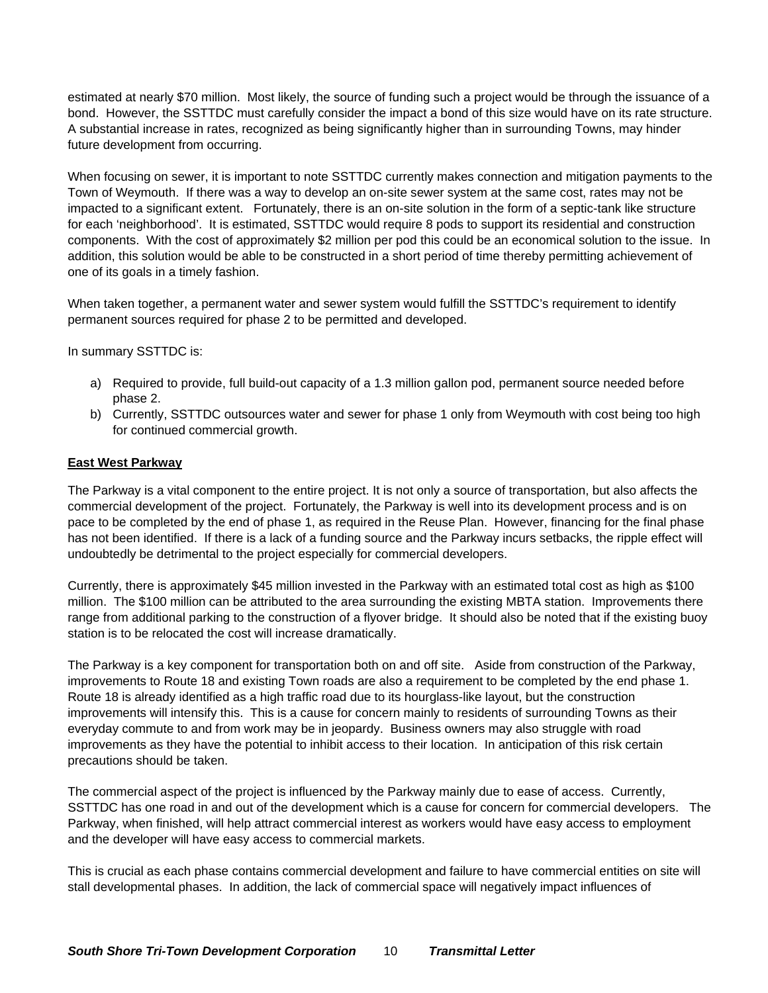estimated at nearly \$70 million. Most likely, the source of funding such a project would be through the issuance of a bond. However, the SSTTDC must carefully consider the impact a bond of this size would have on its rate structure. A substantial increase in rates, recognized as being significantly higher than in surrounding Towns, may hinder future development from occurring.

When focusing on sewer, it is important to note SSTTDC currently makes connection and mitigation payments to the Town of Weymouth. If there was a way to develop an on-site sewer system at the same cost, rates may not be impacted to a significant extent. Fortunately, there is an on-site solution in the form of a septic-tank like structure for each 'neighborhood'. It is estimated, SSTTDC would require 8 pods to support its residential and construction components. With the cost of approximately \$2 million per pod this could be an economical solution to the issue. In addition, this solution would be able to be constructed in a short period of time thereby permitting achievement of one of its goals in a timely fashion.

When taken together, a permanent water and sewer system would fulfill the SSTTDC's requirement to identify permanent sources required for phase 2 to be permitted and developed.

In summary SSTTDC is:

- a) Required to provide, full build-out capacity of a 1.3 million gallon pod, permanent source needed before phase 2.
- b) Currently, SSTTDC outsources water and sewer for phase 1 only from Weymouth with cost being too high for continued commercial growth.

#### **East West Parkway**

The Parkway is a vital component to the entire project. It is not only a source of transportation, but also affects the commercial development of the project. Fortunately, the Parkway is well into its development process and is on pace to be completed by the end of phase 1, as required in the Reuse Plan. However, financing for the final phase has not been identified. If there is a lack of a funding source and the Parkway incurs setbacks, the ripple effect will undoubtedly be detrimental to the project especially for commercial developers.

Currently, there is approximately \$45 million invested in the Parkway with an estimated total cost as high as \$100 million. The \$100 million can be attributed to the area surrounding the existing MBTA station. Improvements there range from additional parking to the construction of a flyover bridge. It should also be noted that if the existing buoy station is to be relocated the cost will increase dramatically.

The Parkway is a key component for transportation both on and off site. Aside from construction of the Parkway, improvements to Route 18 and existing Town roads are also a requirement to be completed by the end phase 1. Route 18 is already identified as a high traffic road due to its hourglass-like layout, but the construction improvements will intensify this. This is a cause for concern mainly to residents of surrounding Towns as their everyday commute to and from work may be in jeopardy. Business owners may also struggle with road improvements as they have the potential to inhibit access to their location. In anticipation of this risk certain precautions should be taken.

The commercial aspect of the project is influenced by the Parkway mainly due to ease of access. Currently, SSTTDC has one road in and out of the development which is a cause for concern for commercial developers. The Parkway, when finished, will help attract commercial interest as workers would have easy access to employment and the developer will have easy access to commercial markets.

This is crucial as each phase contains commercial development and failure to have commercial entities on site will stall developmental phases. In addition, the lack of commercial space will negatively impact influences of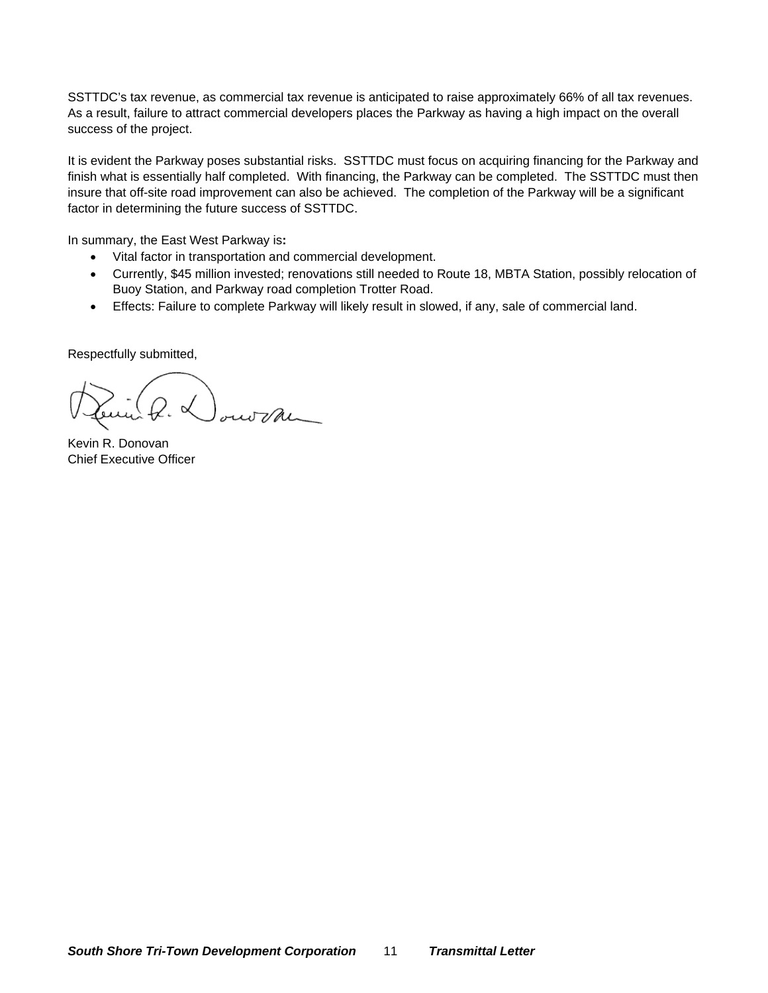SSTTDC's tax revenue, as commercial tax revenue is anticipated to raise approximately 66% of all tax revenues. As a result, failure to attract commercial developers places the Parkway as having a high impact on the overall success of the project.

It is evident the Parkway poses substantial risks. SSTTDC must focus on acquiring financing for the Parkway and finish what is essentially half completed. With financing, the Parkway can be completed. The SSTTDC must then insure that off-site road improvement can also be achieved. The completion of the Parkway will be a significant factor in determining the future success of SSTTDC.

In summary, the East West Parkway is**:** 

- Vital factor in transportation and commercial development.
- Currently, \$45 million invested; renovations still needed to Route 18, MBTA Station, possibly relocation of Buoy Station, and Parkway road completion Trotter Road.
- Effects: Failure to complete Parkway will likely result in slowed, if any, sale of commercial land.

Respectfully submitted,

Kevin R. Donovan Chief Executive Officer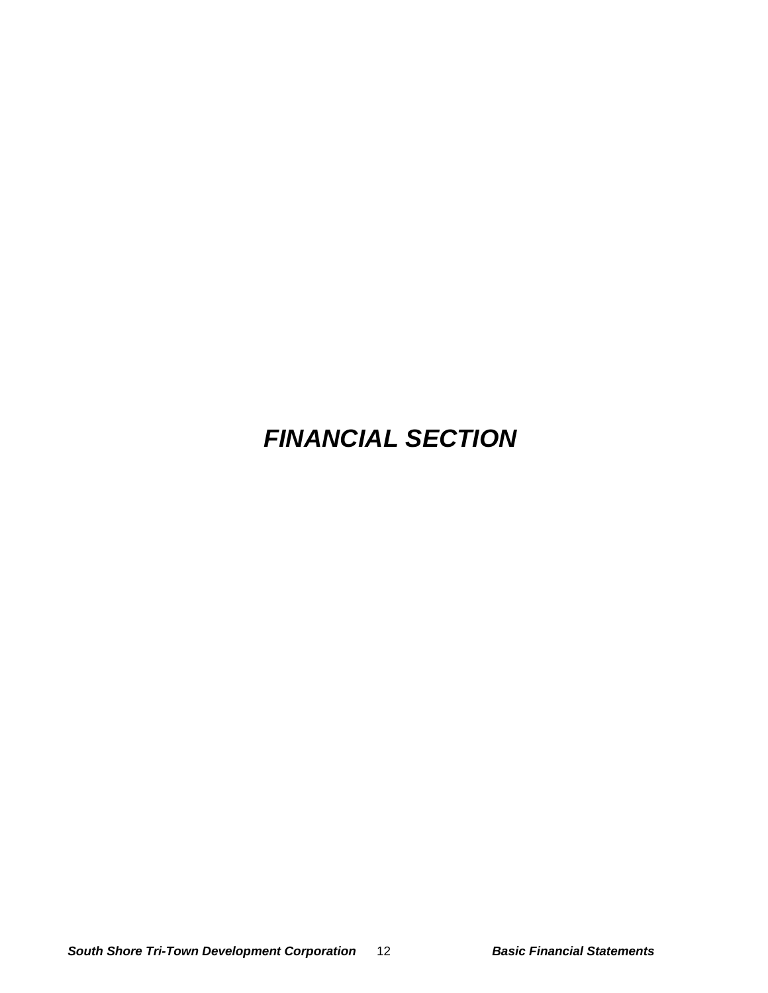## *FINANCIAL SECTION*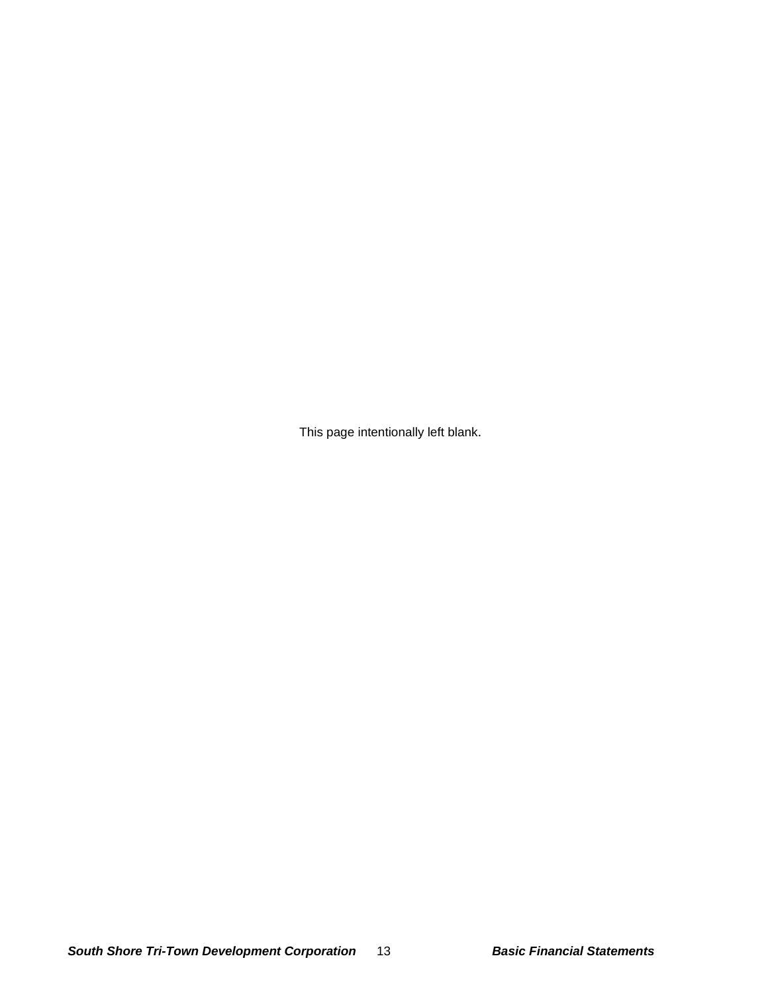This page intentionally left blank.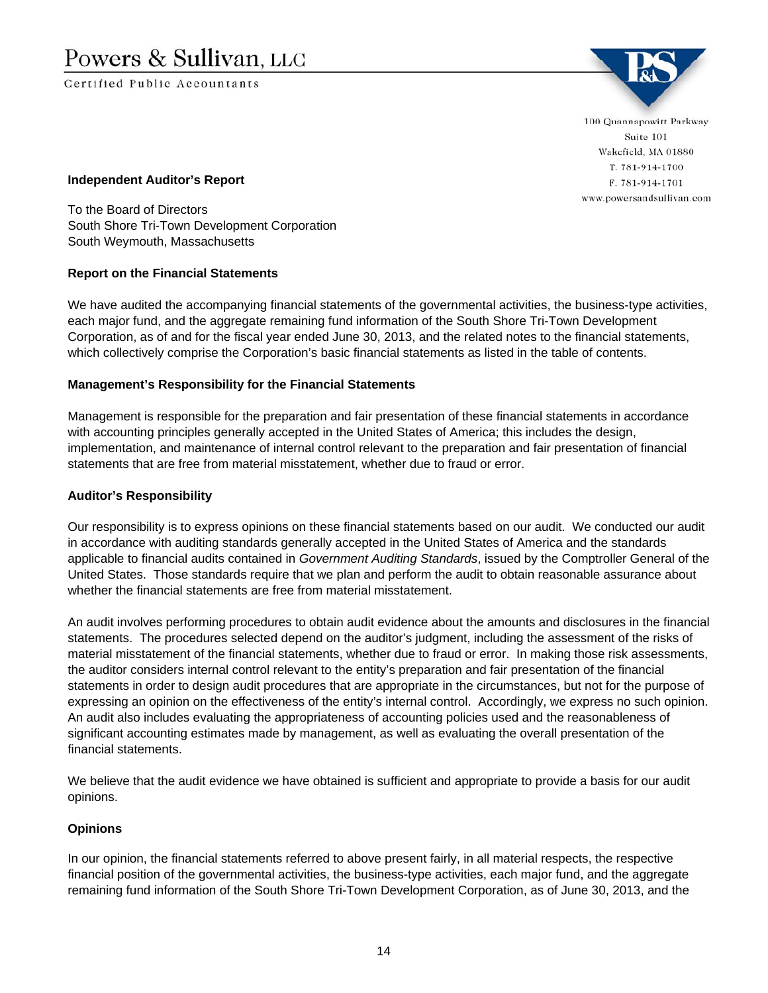## Powers & Sullivan, LLC

Certified Public Accountants



100 Quannapowitt Parkway Suite 101 Wakefield, MA 01880 T. 781-914-1700 F. 781-914-1701 www.powersandsullivan.com

## **Independent Auditor's Report**

To the Board of Directors South Shore Tri-Town Development Corporation South Weymouth, Massachusetts

## **Report on the Financial Statements**

We have audited the accompanying financial statements of the governmental activities, the business-type activities, each major fund, and the aggregate remaining fund information of the South Shore Tri-Town Development Corporation, as of and for the fiscal year ended June 30, 2013, and the related notes to the financial statements, which collectively comprise the Corporation's basic financial statements as listed in the table of contents.

## **Management's Responsibility for the Financial Statements**

Management is responsible for the preparation and fair presentation of these financial statements in accordance with accounting principles generally accepted in the United States of America; this includes the design, implementation, and maintenance of internal control relevant to the preparation and fair presentation of financial statements that are free from material misstatement, whether due to fraud or error.

## **Auditor's Responsibility**

Our responsibility is to express opinions on these financial statements based on our audit. We conducted our audit in accordance with auditing standards generally accepted in the United States of America and the standards applicable to financial audits contained in *Government Auditing Standards*, issued by the Comptroller General of the United States. Those standards require that we plan and perform the audit to obtain reasonable assurance about whether the financial statements are free from material misstatement.

An audit involves performing procedures to obtain audit evidence about the amounts and disclosures in the financial statements. The procedures selected depend on the auditor's judgment, including the assessment of the risks of material misstatement of the financial statements, whether due to fraud or error. In making those risk assessments, the auditor considers internal control relevant to the entity's preparation and fair presentation of the financial statements in order to design audit procedures that are appropriate in the circumstances, but not for the purpose of expressing an opinion on the effectiveness of the entity's internal control. Accordingly, we express no such opinion. An audit also includes evaluating the appropriateness of accounting policies used and the reasonableness of significant accounting estimates made by management, as well as evaluating the overall presentation of the financial statements.

We believe that the audit evidence we have obtained is sufficient and appropriate to provide a basis for our audit opinions.

## **Opinions**

In our opinion, the financial statements referred to above present fairly, in all material respects, the respective financial position of the governmental activities, the business-type activities, each major fund, and the aggregate remaining fund information of the South Shore Tri-Town Development Corporation, as of June 30, 2013, and the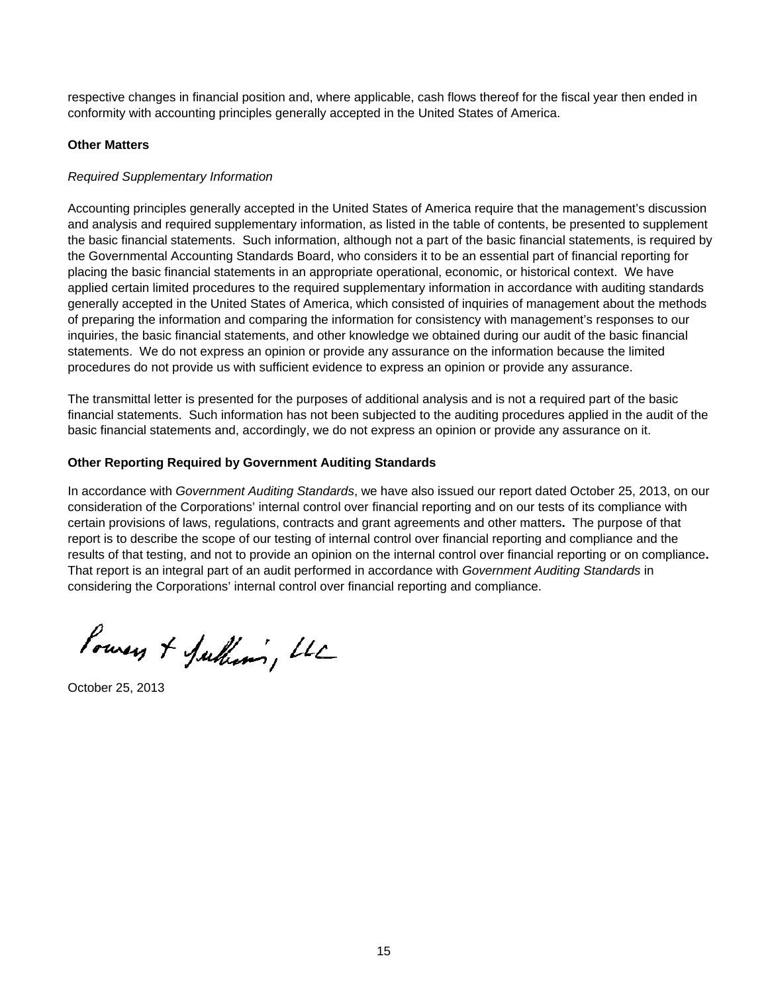respective changes in financial position and, where applicable, cash flows thereof for the fiscal year then ended in conformity with accounting principles generally accepted in the United States of America.

## **Other Matters**

#### *Required Supplementary Information*

Accounting principles generally accepted in the United States of America require that the management's discussion and analysis and required supplementary information, as listed in the table of contents, be presented to supplement the basic financial statements. Such information, although not a part of the basic financial statements, is required by the Governmental Accounting Standards Board, who considers it to be an essential part of financial reporting for placing the basic financial statements in an appropriate operational, economic, or historical context. We have applied certain limited procedures to the required supplementary information in accordance with auditing standards generally accepted in the United States of America, which consisted of inquiries of management about the methods of preparing the information and comparing the information for consistency with management's responses to our inquiries, the basic financial statements, and other knowledge we obtained during our audit of the basic financial statements. We do not express an opinion or provide any assurance on the information because the limited procedures do not provide us with sufficient evidence to express an opinion or provide any assurance.

The transmittal letter is presented for the purposes of additional analysis and is not a required part of the basic financial statements. Such information has not been subjected to the auditing procedures applied in the audit of the basic financial statements and, accordingly, we do not express an opinion or provide any assurance on it.

#### **Other Reporting Required by Government Auditing Standards**

In accordance with *Government Auditing Standards*, we have also issued our report dated October 25, 2013, on our consideration of the Corporations' internal control over financial reporting and on our tests of its compliance with certain provisions of laws, regulations, contracts and grant agreements and other matters**.** The purpose of that report is to describe the scope of our testing of internal control over financial reporting and compliance and the results of that testing, and not to provide an opinion on the internal control over financial reporting or on compliance**.**  That report is an integral part of an audit performed in accordance with *Government Auditing Standards* in considering the Corporations' internal control over financial reporting and compliance.

Powers + Julham's, LLC

October 25, 2013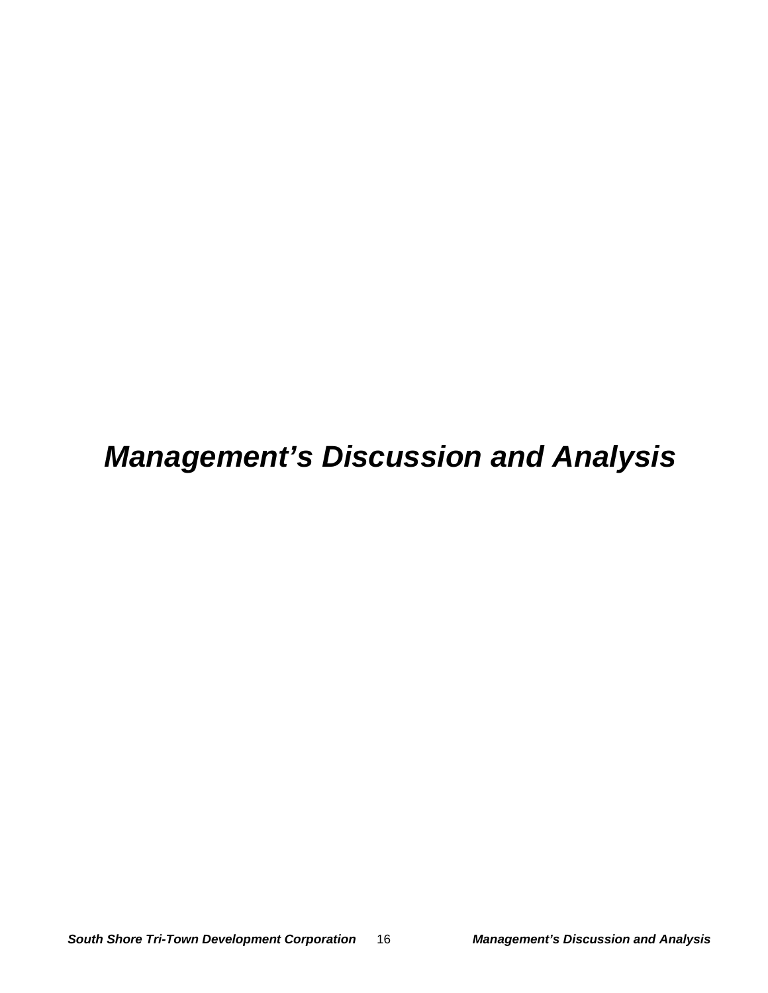# *Management's Discussion and Analysis*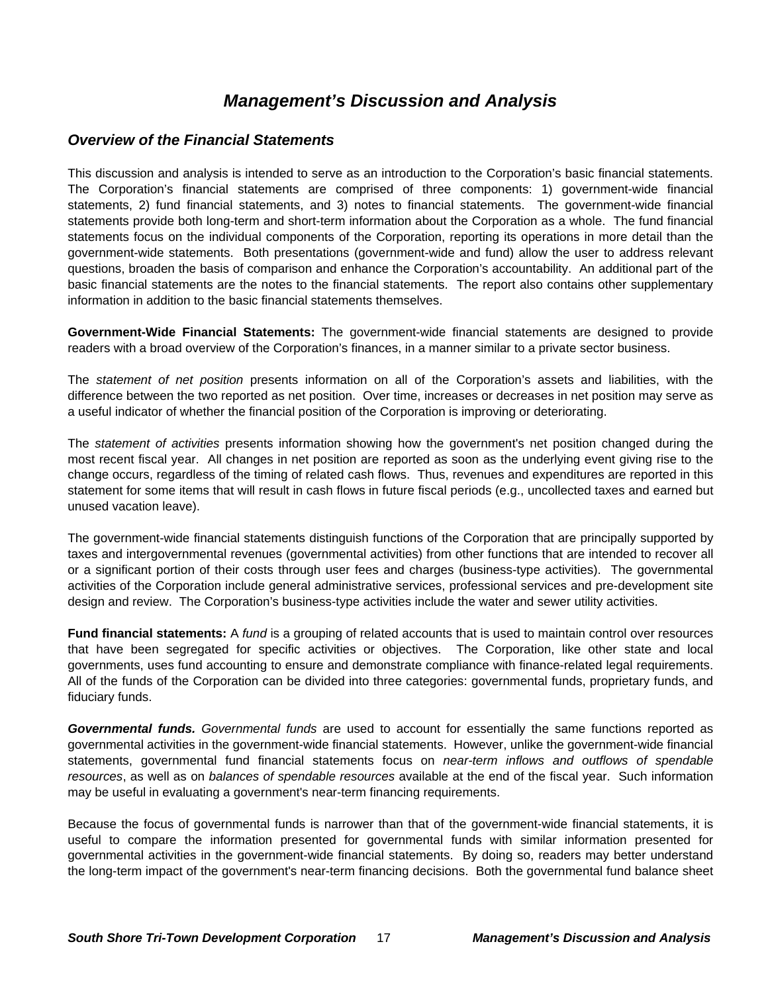## *Management's Discussion and Analysis*

## *Overview of the Financial Statements*

This discussion and analysis is intended to serve as an introduction to the Corporation's basic financial statements. The Corporation's financial statements are comprised of three components: 1) government-wide financial statements, 2) fund financial statements, and 3) notes to financial statements. The government-wide financial statements provide both long-term and short-term information about the Corporation as a whole. The fund financial statements focus on the individual components of the Corporation, reporting its operations in more detail than the government-wide statements. Both presentations (government-wide and fund) allow the user to address relevant questions, broaden the basis of comparison and enhance the Corporation's accountability. An additional part of the basic financial statements are the notes to the financial statements. The report also contains other supplementary information in addition to the basic financial statements themselves.

**Government-Wide Financial Statements:** The government-wide financial statements are designed to provide readers with a broad overview of the Corporation's finances, in a manner similar to a private sector business.

The *statement of net position* presents information on all of the Corporation's assets and liabilities, with the difference between the two reported as net position. Over time, increases or decreases in net position may serve as a useful indicator of whether the financial position of the Corporation is improving or deteriorating.

The *statement of activities* presents information showing how the government's net position changed during the most recent fiscal year. All changes in net position are reported as soon as the underlying event giving rise to the change occurs, regardless of the timing of related cash flows. Thus, revenues and expenditures are reported in this statement for some items that will result in cash flows in future fiscal periods (e.g., uncollected taxes and earned but unused vacation leave).

The government-wide financial statements distinguish functions of the Corporation that are principally supported by taxes and intergovernmental revenues (governmental activities) from other functions that are intended to recover all or a significant portion of their costs through user fees and charges (business-type activities). The governmental activities of the Corporation include general administrative services, professional services and pre-development site design and review. The Corporation's business-type activities include the water and sewer utility activities.

**Fund financial statements:** A *fund* is a grouping of related accounts that is used to maintain control over resources that have been segregated for specific activities or objectives. The Corporation, like other state and local governments, uses fund accounting to ensure and demonstrate compliance with finance-related legal requirements. All of the funds of the Corporation can be divided into three categories: governmental funds, proprietary funds, and fiduciary funds.

*Governmental funds. Governmental funds* are used to account for essentially the same functions reported as governmental activities in the government-wide financial statements. However, unlike the government-wide financial statements, governmental fund financial statements focus on *near-term inflows and outflows of spendable resources*, as well as on *balances of spendable resources* available at the end of the fiscal year. Such information may be useful in evaluating a government's near-term financing requirements.

Because the focus of governmental funds is narrower than that of the government-wide financial statements, it is useful to compare the information presented for governmental funds with similar information presented for governmental activities in the government-wide financial statements. By doing so, readers may better understand the long-term impact of the government's near-term financing decisions. Both the governmental fund balance sheet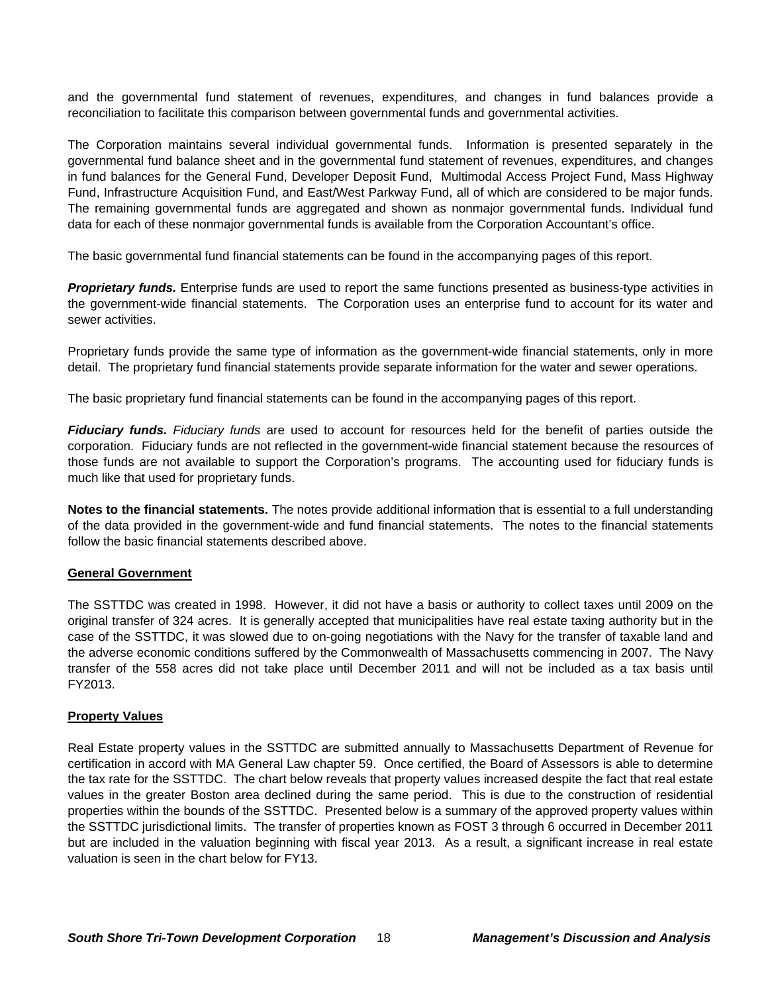and the governmental fund statement of revenues, expenditures, and changes in fund balances provide a reconciliation to facilitate this comparison between governmental funds and governmental activities.

The Corporation maintains several individual governmental funds. Information is presented separately in the governmental fund balance sheet and in the governmental fund statement of revenues, expenditures, and changes in fund balances for the General Fund, Developer Deposit Fund, Multimodal Access Project Fund, Mass Highway Fund, Infrastructure Acquisition Fund, and East/West Parkway Fund, all of which are considered to be major funds. The remaining governmental funds are aggregated and shown as nonmajor governmental funds. Individual fund data for each of these nonmajor governmental funds is available from the Corporation Accountant's office.

The basic governmental fund financial statements can be found in the accompanying pages of this report.

*Proprietary funds.* Enterprise funds are used to report the same functions presented as business-type activities in the government-wide financial statements. The Corporation uses an enterprise fund to account for its water and sewer activities.

Proprietary funds provide the same type of information as the government-wide financial statements, only in more detail. The proprietary fund financial statements provide separate information for the water and sewer operations.

The basic proprietary fund financial statements can be found in the accompanying pages of this report.

*Fiduciary funds. Fiduciary funds* are used to account for resources held for the benefit of parties outside the corporation. Fiduciary funds are not reflected in the government-wide financial statement because the resources of those funds are not available to support the Corporation's programs. The accounting used for fiduciary funds is much like that used for proprietary funds.

**Notes to the financial statements.** The notes provide additional information that is essential to a full understanding of the data provided in the government-wide and fund financial statements. The notes to the financial statements follow the basic financial statements described above.

#### **General Government**

The SSTTDC was created in 1998. However, it did not have a basis or authority to collect taxes until 2009 on the original transfer of 324 acres. It is generally accepted that municipalities have real estate taxing authority but in the case of the SSTTDC, it was slowed due to on-going negotiations with the Navy for the transfer of taxable land and the adverse economic conditions suffered by the Commonwealth of Massachusetts commencing in 2007. The Navy transfer of the 558 acres did not take place until December 2011 and will not be included as a tax basis until FY2013.

#### **Property Values**

Real Estate property values in the SSTTDC are submitted annually to Massachusetts Department of Revenue for certification in accord with MA General Law chapter 59. Once certified, the Board of Assessors is able to determine the tax rate for the SSTTDC. The chart below reveals that property values increased despite the fact that real estate values in the greater Boston area declined during the same period. This is due to the construction of residential properties within the bounds of the SSTTDC. Presented below is a summary of the approved property values within the SSTTDC jurisdictional limits. The transfer of properties known as FOST 3 through 6 occurred in December 2011 but are included in the valuation beginning with fiscal year 2013. As a result, a significant increase in real estate valuation is seen in the chart below for FY13.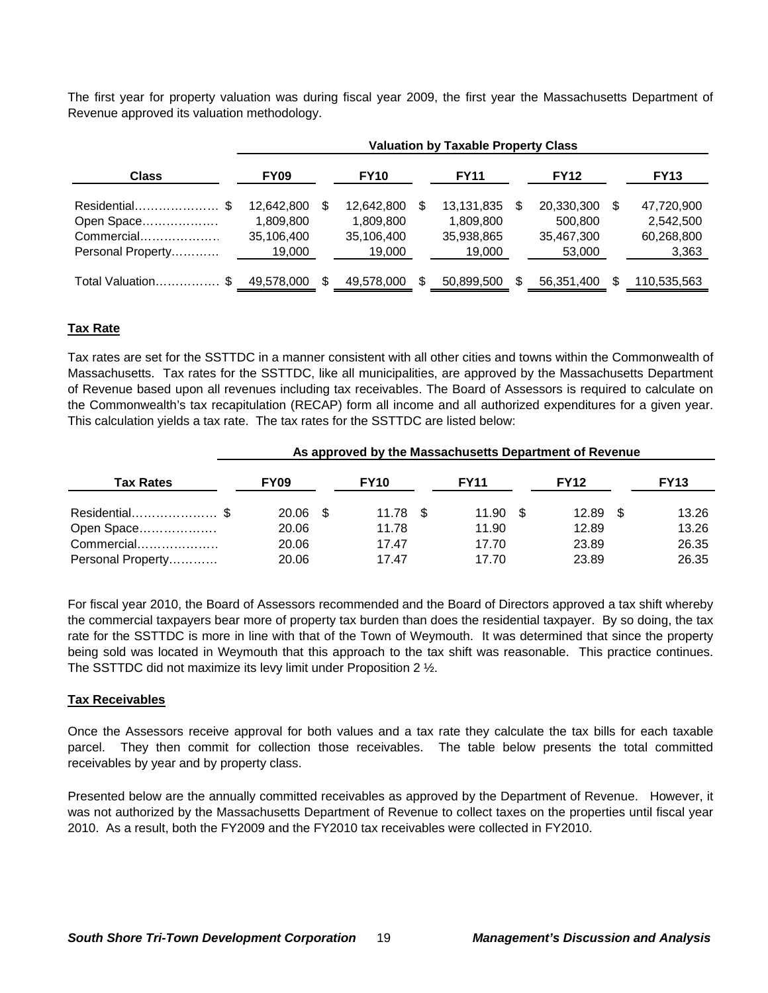The first year for property valuation was during fiscal year 2009, the first year the Massachusetts Department of Revenue approved its valuation methodology.

|                   | <b>Valuation by Taxable Property Class</b> |   |             |    |             |     |             |   |             |  |  |  |
|-------------------|--------------------------------------------|---|-------------|----|-------------|-----|-------------|---|-------------|--|--|--|
| <b>Class</b>      | <b>FY09</b>                                |   | <b>FY10</b> |    | <b>FY11</b> |     | <b>FY12</b> |   | <b>FY13</b> |  |  |  |
| Residential \$    | 12,642,800                                 | S | 12.642.800  | S  | 13,131,835  | \$. | 20,330,300  | S | 47,720,900  |  |  |  |
| Open Space        | 1,809,800                                  |   | 1,809,800   |    | 1,809,800   |     | 500,800     |   | 2,542,500   |  |  |  |
| Commercial        | 35,106,400                                 |   | 35,106,400  |    | 35,938,865  |     | 35,467,300  |   | 60,268,800  |  |  |  |
| Personal Property | 19,000                                     |   | 19,000      |    | 19,000      |     | 53,000      |   | 3,363       |  |  |  |
| Total Valuation\$ | 49,578,000                                 | S | 49,578,000  | S. | 50,899,500  | S.  | 56,351,400  |   | 110,535,563 |  |  |  |

#### **Tax Rate**

Tax rates are set for the SSTTDC in a manner consistent with all other cities and towns within the Commonwealth of Massachusetts. Tax rates for the SSTTDC, like all municipalities, are approved by the Massachusetts Department of Revenue based upon all revenues including tax receivables. The Board of Assessors is required to calculate on the Commonwealth's tax recapitulation (RECAP) form all income and all authorized expenditures for a given year. This calculation yields a tax rate. The tax rates for the SSTTDC are listed below:

|                   | As approved by the Massachusetts Department of Revenue |                  |  |             |      |             |  |             |  |  |  |  |  |  |  |
|-------------------|--------------------------------------------------------|------------------|--|-------------|------|-------------|--|-------------|--|--|--|--|--|--|--|
| <b>Tax Rates</b>  | <b>FY09</b>                                            | FY <sub>10</sub> |  | <b>FY11</b> |      | <b>FY12</b> |  | <b>FY13</b> |  |  |  |  |  |  |  |
| Residential \$    | $20.06$ \$                                             | $11.78$ \$       |  | 11.90       | - \$ | $12.89$ \$  |  | 13.26       |  |  |  |  |  |  |  |
| Open Space        | 20.06                                                  | 11.78            |  | 11.90       |      | 12.89       |  | 13.26       |  |  |  |  |  |  |  |
| Commercial        | 20.06                                                  | 17.47            |  | 17.70       |      | 23.89       |  | 26.35       |  |  |  |  |  |  |  |
| Personal Property | 20.06                                                  | 17.47            |  | 17.70       |      | 23.89       |  | 26.35       |  |  |  |  |  |  |  |

For fiscal year 2010, the Board of Assessors recommended and the Board of Directors approved a tax shift whereby the commercial taxpayers bear more of property tax burden than does the residential taxpayer. By so doing, the tax rate for the SSTTDC is more in line with that of the Town of Weymouth. It was determined that since the property being sold was located in Weymouth that this approach to the tax shift was reasonable. This practice continues. The SSTTDC did not maximize its levy limit under Proposition 2 ½.

## **Tax Receivables**

Once the Assessors receive approval for both values and a tax rate they calculate the tax bills for each taxable parcel. They then commit for collection those receivables. The table below presents the total committed receivables by year and by property class.

Presented below are the annually committed receivables as approved by the Department of Revenue. However, it was not authorized by the Massachusetts Department of Revenue to collect taxes on the properties until fiscal year 2010. As a result, both the FY2009 and the FY2010 tax receivables were collected in FY2010.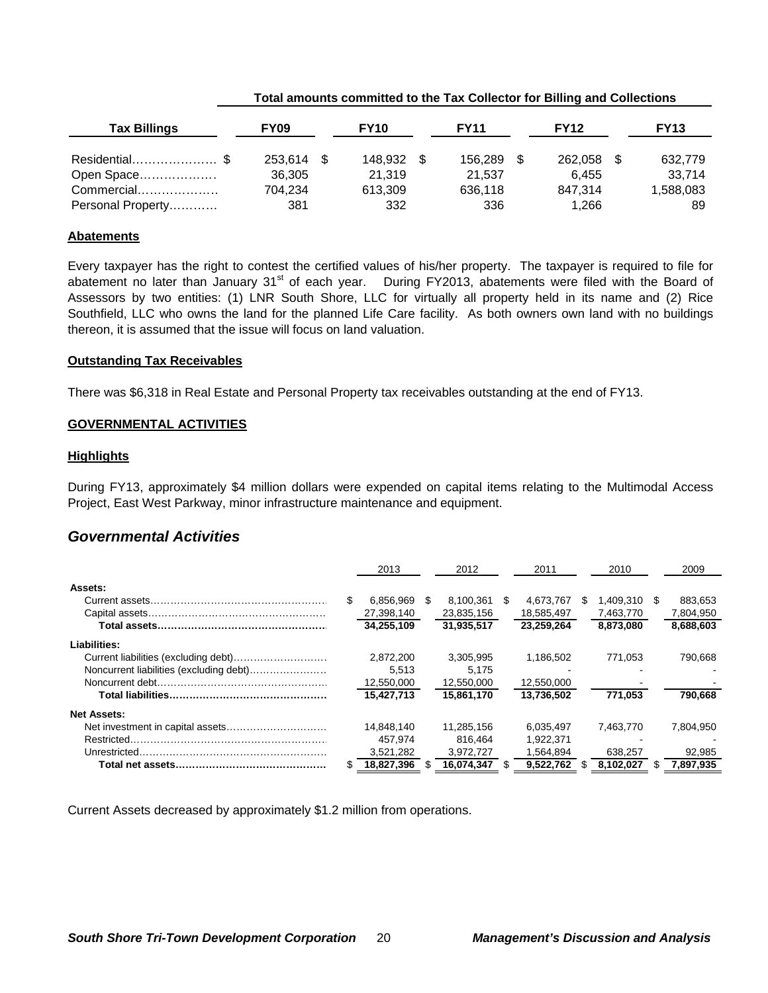|                     | <u>. And allianity adjuintings to the last adjiance, i.e. million adjiance in </u> |             |             |             |                 |  |  |  |  |  |  |
|---------------------|------------------------------------------------------------------------------------|-------------|-------------|-------------|-----------------|--|--|--|--|--|--|
| <b>Tax Billings</b> | <b>FY09</b>                                                                        | <b>FY10</b> | <b>FY11</b> | <b>FY12</b> | <b>FY13</b>     |  |  |  |  |  |  |
| Residential\$       | 253,614<br>- \$                                                                    | 148,932     | 156,289     | 262,058     | - \$<br>632,779 |  |  |  |  |  |  |
| Open Space          | 36,305                                                                             | 21.319      | 21,537      | 6.455       | 33.714          |  |  |  |  |  |  |
| Commercial          | 704,234                                                                            | 613,309     | 636,118     | 847.314     | 1,588,083       |  |  |  |  |  |  |
| Personal Property   | 381                                                                                | 332         | 336         | 1.266       | 89              |  |  |  |  |  |  |

## **Total amounts committed to the Tax Collector for Billing and Collections**

#### **Abatements**

Every taxpayer has the right to contest the certified values of his/her property. The taxpayer is required to file for abatement no later than January 31<sup>st</sup> of each year. During FY2013, abatements were filed with the Board of Assessors by two entities: (1) LNR South Shore, LLC for virtually all property held in its name and (2) Rice Southfield, LLC who owns the land for the planned Life Care facility. As both owners own land with no buildings thereon, it is assumed that the issue will focus on land valuation.

#### **Outstanding Tax Receivables**

There was \$6,318 in Real Estate and Personal Property tax receivables outstanding at the end of FY13.

## **GOVERNMENTAL ACTIVITIES**

#### **Highlights**

During FY13, approximately \$4 million dollars were expended on capital items relating to the Multimodal Access Project, East West Parkway, minor infrastructure maintenance and equipment.

## *Governmental Activities*

|                                         |   | 2013       |     | 2012       |    | 2011       |     | 2010      |    | 2009      |
|-----------------------------------------|---|------------|-----|------------|----|------------|-----|-----------|----|-----------|
| Assets:                                 |   |            |     |            |    |            |     |           |    |           |
|                                         | S | 6,856,969  | SS. | 8.100.361  | S. | 4.673.767  | SS. | 1.409.310 | S. | 883,653   |
|                                         |   | 27,398,140 |     | 23,835,156 |    | 18,585,497 |     | 7,463,770 |    | 7,804,950 |
|                                         |   | 34,255,109 |     | 31,935,517 |    | 23,259,264 |     | 8,873,080 |    | 8,688,603 |
| Liabilities:                            |   |            |     |            |    |            |     |           |    |           |
|                                         |   | 2.872.200  |     | 3,305,995  |    | 1.186.502  |     | 771.053   |    | 790.668   |
| Noncurrent liabilities (excluding debt) |   | 5.513      |     | 5.175      |    |            |     |           |    |           |
|                                         |   | 12,550,000 |     | 12,550,000 |    | 12,550,000 |     |           |    |           |
|                                         |   | 15.427.713 |     | 15.861.170 |    | 13,736,502 |     | 771.053   |    | 790,668   |
| <b>Net Assets:</b>                      |   |            |     |            |    |            |     |           |    |           |
|                                         |   | 14.848.140 |     | 11,285,156 |    | 6.035.497  |     | 7.463.770 |    | 7.804.950 |
|                                         |   | 457.974    |     | 816,464    |    | 1,922,371  |     |           |    |           |
|                                         |   | 3,521,282  |     | 3,972,727  |    | 1,564,894  |     | 638,257   |    | 92,985    |
|                                         |   | 18,827,396 |     | 16,074,347 |    | 9,522,762  |     | 8,102,027 | Ж. | 7,897,935 |

Current Assets decreased by approximately \$1.2 million from operations.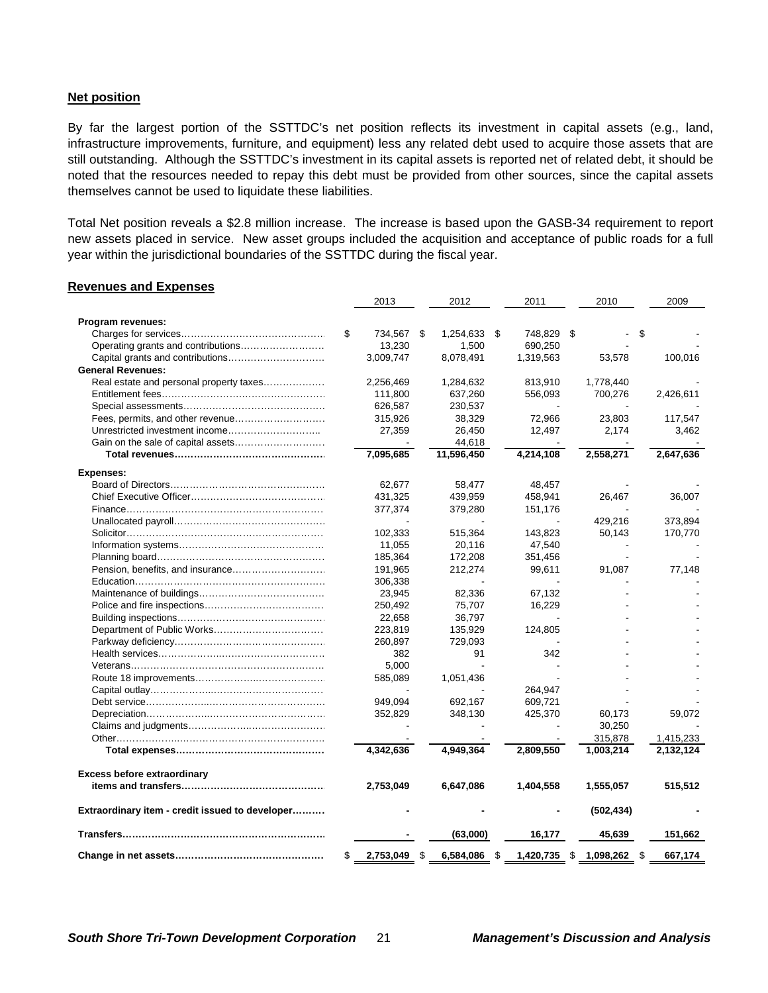#### **Net position**

By far the largest portion of the SSTTDC's net position reflects its investment in capital assets (e.g., land, infrastructure improvements, furniture, and equipment) less any related debt used to acquire those assets that are still outstanding. Although the SSTTDC's investment in its capital assets is reported net of related debt, it should be noted that the resources needed to repay this debt must be provided from other sources, since the capital assets themselves cannot be used to liquidate these liabilities.

Total Net position reveals a \$2.8 million increase. The increase is based upon the GASB-34 requirement to report new assets placed in service. New asset groups included the acquisition and acceptance of public roads for a full year within the jurisdictional boundaries of the SSTTDC during the fiscal year.

#### **Revenues and Expenses**

|                                                 | 2013            | 2012               |      | 2011       | 2010            | 2009          |
|-------------------------------------------------|-----------------|--------------------|------|------------|-----------------|---------------|
| Program revenues:                               |                 |                    |      |            |                 |               |
|                                                 | \$<br>734,567   | \$<br>1,254,633 \$ |      | 748,829 \$ |                 | \$            |
| Operating grants and contributions              | 13,230          | 1,500              |      | 690,250    |                 |               |
|                                                 | 3,009,747       | 8,078,491          |      | 1,319,563  | 53,578          | 100,016       |
| <b>General Revenues:</b>                        |                 |                    |      |            |                 |               |
| Real estate and personal property taxes         | 2,256,469       | 1,284,632          |      | 813,910    | 1,778,440       |               |
|                                                 | 111,800         | 637,260            |      | 556,093    | 700,276         | 2,426,611     |
|                                                 | 626,587         | 230,537            |      |            |                 |               |
| Fees, permits, and other revenue                | 315,926         | 38,329             |      | 72,966     | 23,803          | 117,547       |
|                                                 | 27,359          | 26,450             |      | 12,497     | 2,174           | 3,462         |
|                                                 |                 | 44,618             |      |            |                 |               |
|                                                 | 7,095,685       | 11,596,450         |      | 4,214,108  | 2,558,271       | 2,647,636     |
|                                                 |                 |                    |      |            |                 |               |
| <b>Expenses:</b>                                |                 |                    |      |            |                 |               |
|                                                 | 62,677          | 58,477             |      | 48,457     |                 |               |
|                                                 | 431,325         | 439,959            |      | 458,941    | 26,467          | 36,007        |
|                                                 | 377,374         | 379,280            |      | 151,176    |                 |               |
|                                                 |                 |                    |      |            | 429.216         | 373,894       |
|                                                 | 102,333         | 515,364            |      | 143,823    | 50,143          | 170,770       |
|                                                 | 11,055          | 20,116             |      | 47,540     |                 |               |
|                                                 | 185,364         | 172,208            |      | 351,456    |                 |               |
|                                                 | 191,965         | 212,274            |      | 99,611     | 91,087          | 77,148        |
|                                                 | 306,338         |                    |      |            |                 |               |
|                                                 | 23,945          | 82,336             |      | 67,132     |                 |               |
|                                                 | 250,492         | 75,707             |      | 16,229     |                 |               |
|                                                 | 22,658          | 36,797             |      |            |                 |               |
|                                                 | 223,819         | 135,929            |      | 124,805    |                 |               |
|                                                 | 260,897         | 729,093            |      |            |                 |               |
|                                                 | 382             | 91                 |      | 342        |                 |               |
|                                                 | 5,000           |                    |      |            |                 |               |
|                                                 | 585,089         | 1,051,436          |      |            |                 |               |
|                                                 |                 |                    |      | 264,947    |                 |               |
|                                                 | 949,094         | 692,167            |      | 609,721    |                 |               |
|                                                 | 352,829         | 348,130            |      | 425,370    | 60,173          | 59,072        |
|                                                 |                 |                    |      |            | 30,250          |               |
|                                                 |                 |                    |      |            | 315,878         | 1,415,233     |
|                                                 | 4,342,636       | 4,949,364          |      | 2,809,550  | 1,003,214       | 2,132,124     |
|                                                 |                 |                    |      |            |                 |               |
| <b>Excess before extraordinary</b>              |                 |                    |      |            |                 |               |
|                                                 | 2,753,049       | 6,647,086          |      | 1,404,558  | 1,555,057       | 515,512       |
| Extraordinary item - credit issued to developer |                 |                    |      |            | (502, 434)      |               |
|                                                 |                 | (63,000)           |      | 16,177     | 45,639          | 151,662       |
|                                                 | \$<br>2,753,049 | \$<br>6,584,086    | - \$ | 1,420,735  | \$<br>1,098,262 | \$<br>667,174 |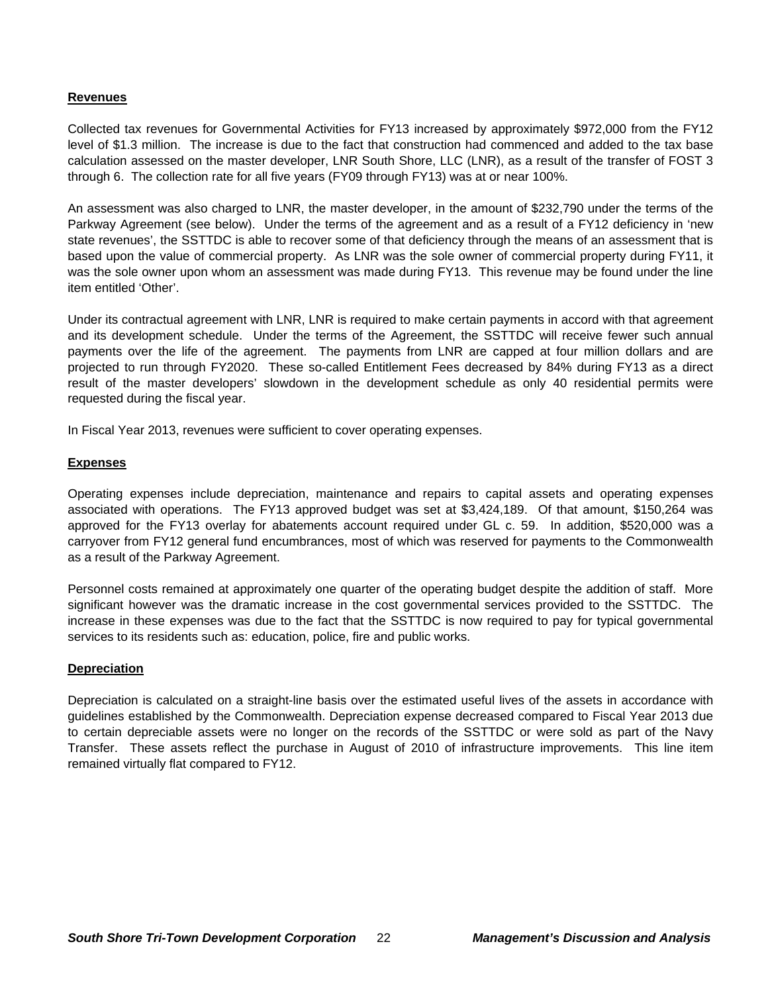## **Revenues**

Collected tax revenues for Governmental Activities for FY13 increased by approximately \$972,000 from the FY12 level of \$1.3 million. The increase is due to the fact that construction had commenced and added to the tax base calculation assessed on the master developer, LNR South Shore, LLC (LNR), as a result of the transfer of FOST 3 through 6. The collection rate for all five years (FY09 through FY13) was at or near 100%.

An assessment was also charged to LNR, the master developer, in the amount of \$232,790 under the terms of the Parkway Agreement (see below). Under the terms of the agreement and as a result of a FY12 deficiency in 'new state revenues', the SSTTDC is able to recover some of that deficiency through the means of an assessment that is based upon the value of commercial property. As LNR was the sole owner of commercial property during FY11, it was the sole owner upon whom an assessment was made during FY13. This revenue may be found under the line item entitled 'Other'.

Under its contractual agreement with LNR, LNR is required to make certain payments in accord with that agreement and its development schedule. Under the terms of the Agreement, the SSTTDC will receive fewer such annual payments over the life of the agreement. The payments from LNR are capped at four million dollars and are projected to run through FY2020. These so-called Entitlement Fees decreased by 84% during FY13 as a direct result of the master developers' slowdown in the development schedule as only 40 residential permits were requested during the fiscal year.

In Fiscal Year 2013, revenues were sufficient to cover operating expenses.

## **Expenses**

Operating expenses include depreciation, maintenance and repairs to capital assets and operating expenses associated with operations. The FY13 approved budget was set at \$3,424,189. Of that amount, \$150,264 was approved for the FY13 overlay for abatements account required under GL c. 59. In addition, \$520,000 was a carryover from FY12 general fund encumbrances, most of which was reserved for payments to the Commonwealth as a result of the Parkway Agreement.

Personnel costs remained at approximately one quarter of the operating budget despite the addition of staff. More significant however was the dramatic increase in the cost governmental services provided to the SSTTDC. The increase in these expenses was due to the fact that the SSTTDC is now required to pay for typical governmental services to its residents such as: education, police, fire and public works.

#### **Depreciation**

Depreciation is calculated on a straight-line basis over the estimated useful lives of the assets in accordance with guidelines established by the Commonwealth. Depreciation expense decreased compared to Fiscal Year 2013 due to certain depreciable assets were no longer on the records of the SSTTDC or were sold as part of the Navy Transfer. These assets reflect the purchase in August of 2010 of infrastructure improvements. This line item remained virtually flat compared to FY12.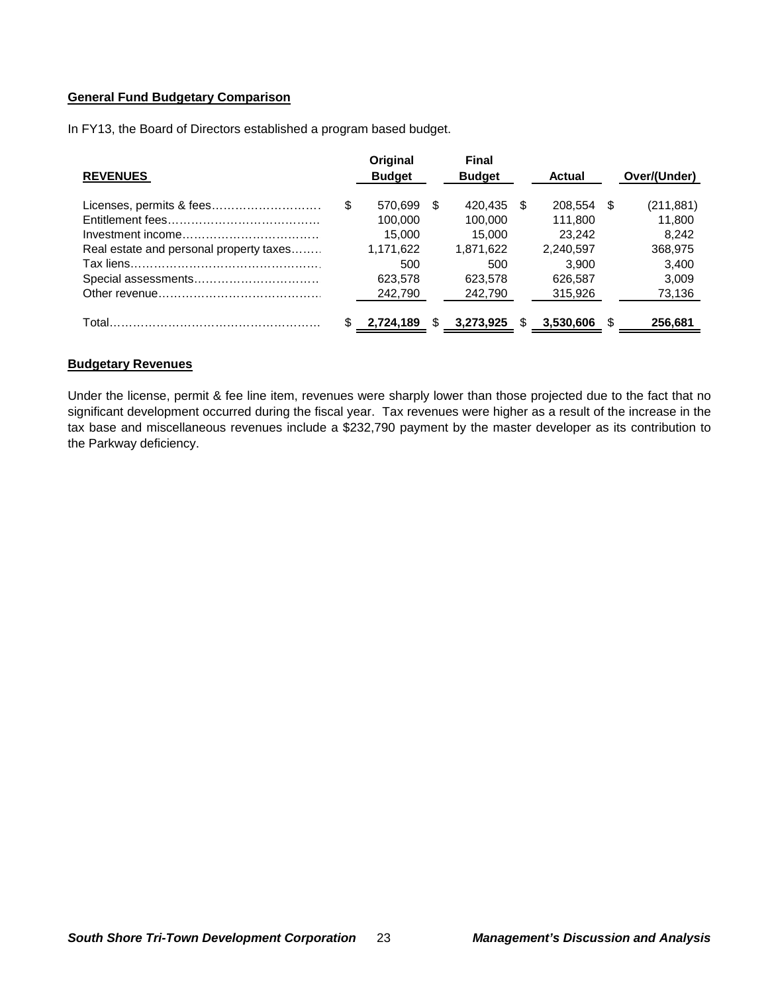## **General Fund Budgetary Comparison**

In FY13, the Board of Directors established a program based budget.

| <b>REVENUES</b>                         | Original<br><b>Budget</b> |      | <b>Final</b><br><b>Budget</b> |     | Actual    |      | Over/(Under) |
|-----------------------------------------|---------------------------|------|-------------------------------|-----|-----------|------|--------------|
| Licenses, permits & fees                | \$<br>570.699             | - \$ | 420.435                       | \$. | 208.554   | - \$ | (211, 881)   |
|                                         | 100.000                   |      | 100.000                       |     | 111.800   |      | 11,800       |
|                                         | 15.000                    |      | 15.000                        |     | 23.242    |      | 8.242        |
| Real estate and personal property taxes | 1,171,622                 |      | 1.871.622                     |     | 2.240.597 |      | 368,975      |
|                                         | 500                       |      | 500                           |     | 3.900     |      | 3,400        |
|                                         | 623,578                   |      | 623.578                       |     | 626.587   |      | 3,009        |
|                                         | 242,790                   |      | 242,790                       |     | 315,926   |      | 73,136       |
|                                         | \$<br>2,724,189           | S.   | 3,273,925                     | S.  | 3,530,606 | £.   | 256,681      |

#### **Budgetary Revenues**

Under the license, permit & fee line item, revenues were sharply lower than those projected due to the fact that no significant development occurred during the fiscal year. Tax revenues were higher as a result of the increase in the tax base and miscellaneous revenues include a \$232,790 payment by the master developer as its contribution to the Parkway deficiency.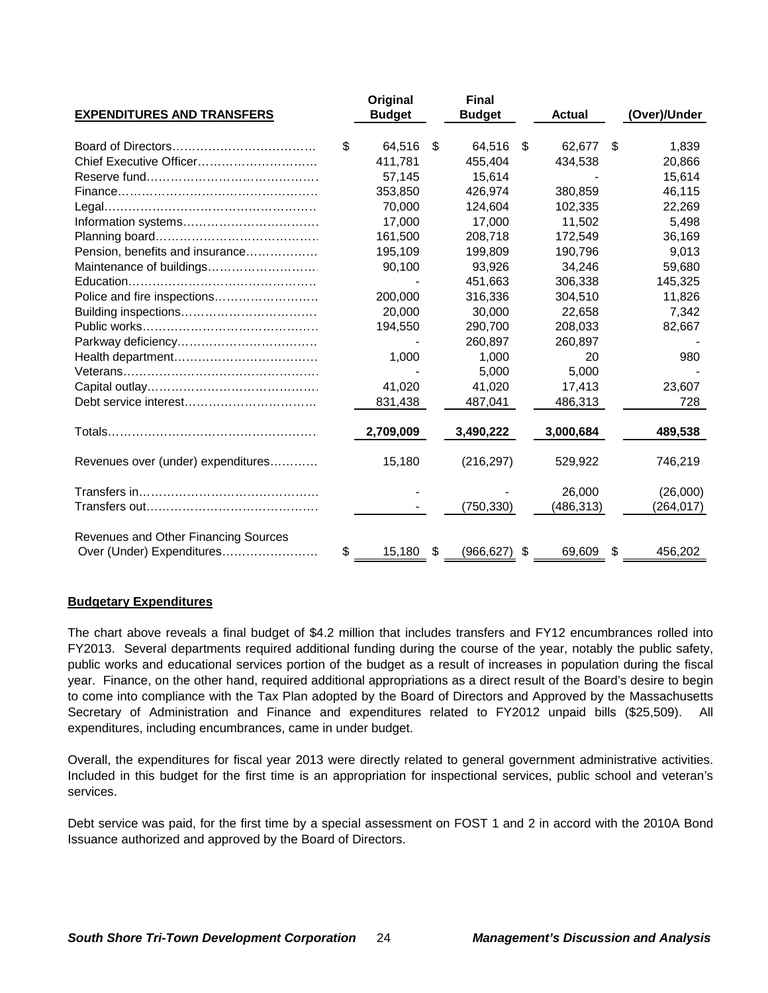|                                      | Original      | <b>Final</b>     |               |               |
|--------------------------------------|---------------|------------------|---------------|---------------|
| <b>EXPENDITURES AND TRANSFERS</b>    | <b>Budget</b> | <b>Budget</b>    | <b>Actual</b> | (Over)/Under  |
|                                      | \$<br>64,516  | \$<br>64,516     | \$<br>62,677  | \$<br>1,839   |
| Chief Executive Officer              | 411,781       | 455,404          | 434,538       | 20,866        |
|                                      | 57,145        | 15,614           |               | 15,614        |
|                                      | 353,850       | 426,974          | 380,859       | 46,115        |
|                                      | 70,000        | 124,604          | 102,335       | 22,269        |
|                                      | 17,000        | 17,000           | 11,502        | 5,498         |
|                                      | 161,500       | 208,718          | 172,549       | 36,169        |
| Pension, benefits and insurance      | 195,109       | 199,809          | 190,796       | 9,013         |
| Maintenance of buildings             | 90,100        | 93,926           | 34,246        | 59,680        |
|                                      |               | 451,663          | 306,338       | 145,325       |
| Police and fire inspections          | 200,000       | 316,336          | 304,510       | 11,826        |
|                                      | 20,000        | 30,000           | 22,658        | 7,342         |
|                                      | 194,550       | 290,700          | 208,033       | 82,667        |
|                                      |               | 260,897          | 260,897       |               |
|                                      | 1,000         | 1,000            | 20            | 980           |
|                                      |               | 5,000            | 5,000         |               |
|                                      | 41,020        | 41,020           | 17,413        | 23,607        |
|                                      | 831,438       | 487,041          | 486,313       | 728           |
|                                      | 2,709,009     | 3,490,222        | 3,000,684     | 489,538       |
| Revenues over (under) expenditures   | 15,180        | (216, 297)       | 529,922       | 746,219       |
|                                      |               |                  | 26,000        | (26,000)      |
|                                      |               | (750, 330)       | (486, 313)    | (264, 017)    |
| Revenues and Other Financing Sources |               |                  |               |               |
| Over (Under) Expenditures            | \$<br>15,180  | \$<br>(966, 627) | \$<br>69,609  | \$<br>456,202 |

#### **Budgetary Expenditures**

The chart above reveals a final budget of \$4.2 million that includes transfers and FY12 encumbrances rolled into FY2013. Several departments required additional funding during the course of the year, notably the public safety, public works and educational services portion of the budget as a result of increases in population during the fiscal year. Finance, on the other hand, required additional appropriations as a direct result of the Board's desire to begin to come into compliance with the Tax Plan adopted by the Board of Directors and Approved by the Massachusetts Secretary of Administration and Finance and expenditures related to FY2012 unpaid bills (\$25,509). All expenditures, including encumbrances, came in under budget.

Overall, the expenditures for fiscal year 2013 were directly related to general government administrative activities. Included in this budget for the first time is an appropriation for inspectional services, public school and veteran's services.

Debt service was paid, for the first time by a special assessment on FOST 1 and 2 in accord with the 2010A Bond Issuance authorized and approved by the Board of Directors.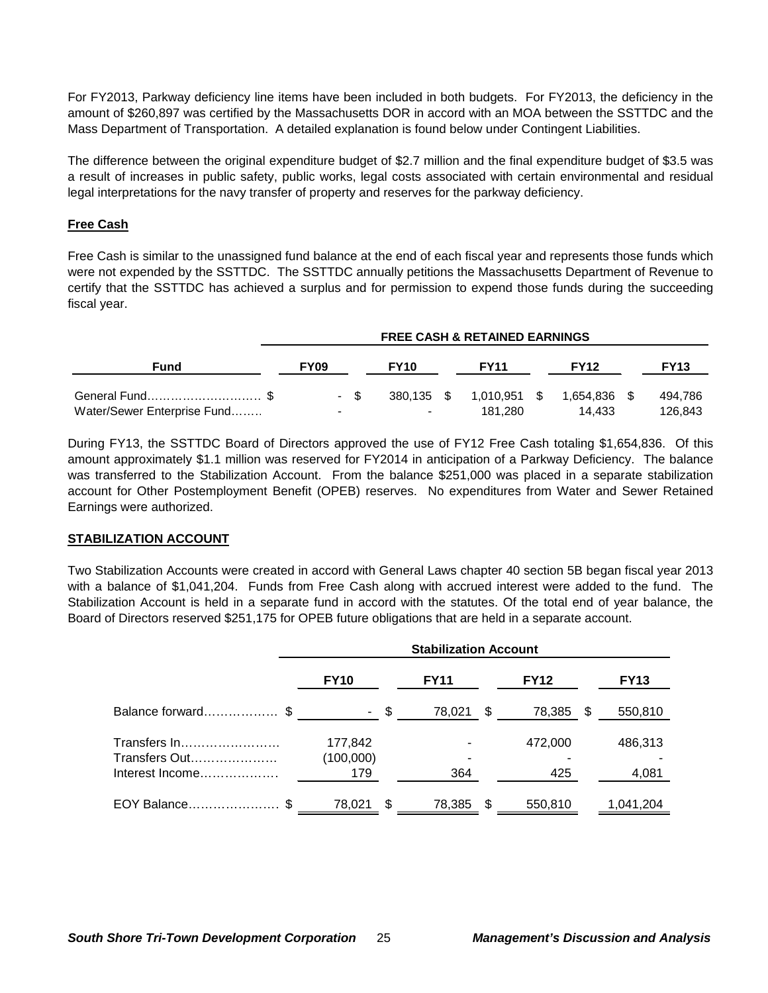For FY2013, Parkway deficiency line items have been included in both budgets. For FY2013, the deficiency in the amount of \$260,897 was certified by the Massachusetts DOR in accord with an MOA between the SSTTDC and the Mass Department of Transportation. A detailed explanation is found below under Contingent Liabilities.

The difference between the original expenditure budget of \$2.7 million and the final expenditure budget of \$3.5 was a result of increases in public safety, public works, legal costs associated with certain environmental and residual legal interpretations for the navy transfer of property and reserves for the parkway deficiency.

## **Free Cash**

Free Cash is similar to the unassigned fund balance at the end of each fiscal year and represents those funds which were not expended by the SSTTDC. The SSTTDC annually petitions the Massachusetts Department of Revenue to certify that the SSTTDC has achieved a surplus and for permission to expend those funds during the succeeding fiscal year.

|                                                | <b>FREE CASH &amp; RETAINED EARNINGS</b> |                                        |                         |                     |      |                    |  |  |  |  |  |
|------------------------------------------------|------------------------------------------|----------------------------------------|-------------------------|---------------------|------|--------------------|--|--|--|--|--|
| Fund                                           | <b>FY09</b>                              | <b>FY10</b>                            | <b>FY11</b>             | <b>FY12</b>         |      | <b>FY13</b>        |  |  |  |  |  |
| General Fund \$<br>Water/Sewer Enterprise Fund | - \$<br>$\overline{\phantom{a}}$         | 380.135 \$<br>$\overline{\phantom{a}}$ | 1.010.951 \$<br>181.280 | 1.654.836<br>14.433 | - SS | 494.786<br>126.843 |  |  |  |  |  |

During FY13, the SSTTDC Board of Directors approved the use of FY12 Free Cash totaling \$1,654,836. Of this amount approximately \$1.1 million was reserved for FY2014 in anticipation of a Parkway Deficiency. The balance was transferred to the Stabilization Account. From the balance \$251,000 was placed in a separate stabilization account for Other Postemployment Benefit (OPEB) reserves. No expenditures from Water and Sewer Retained Earnings were authorized.

## **STABILIZATION ACCOUNT**

Two Stabilization Accounts were created in accord with General Laws chapter 40 section 5B began fiscal year 2013 with a balance of \$1,041,204. Funds from Free Cash along with accrued interest were added to the fund. The Stabilization Account is held in a separate fund in accord with the statutes. Of the total end of year balance, the Board of Directors reserved \$251,175 for OPEB future obligations that are held in a separate account.

|                               | <b>Stabilization Account</b> |        |             |  |             |  |             |  |  |  |  |  |
|-------------------------------|------------------------------|--------|-------------|--|-------------|--|-------------|--|--|--|--|--|
|                               | <b>FY10</b>                  |        | <b>FY11</b> |  | <b>FY12</b> |  | <b>FY13</b> |  |  |  |  |  |
| Balance forward\$             |                              | $-$ \$ | 78,021 \$   |  | 78,385 \$   |  | 550,810     |  |  |  |  |  |
| Transfers In<br>Transfers Out | 177,842<br>(100,000)         |        |             |  | 472,000     |  | 486,313     |  |  |  |  |  |
| Interest Income               | 179                          |        | 364         |  | 425         |  | 4,081       |  |  |  |  |  |
| EOY Balance\$                 | 78,021                       | S.     | 78,385 \$   |  | 550,810     |  | 1,041,204   |  |  |  |  |  |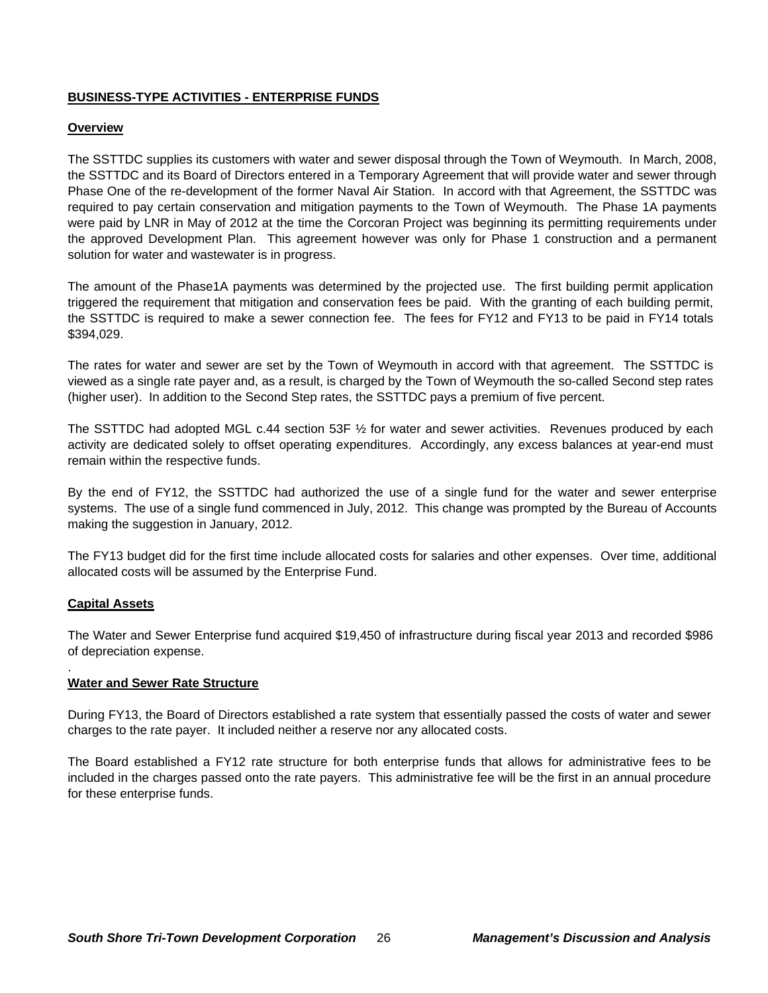## **BUSINESS-TYPE ACTIVITIES - ENTERPRISE FUNDS**

#### **Overview**

The SSTTDC supplies its customers with water and sewer disposal through the Town of Weymouth. In March, 2008, the SSTTDC and its Board of Directors entered in a Temporary Agreement that will provide water and sewer through Phase One of the re-development of the former Naval Air Station. In accord with that Agreement, the SSTTDC was required to pay certain conservation and mitigation payments to the Town of Weymouth. The Phase 1A payments were paid by LNR in May of 2012 at the time the Corcoran Project was beginning its permitting requirements under the approved Development Plan. This agreement however was only for Phase 1 construction and a permanent solution for water and wastewater is in progress.

The amount of the Phase1A payments was determined by the projected use. The first building permit application triggered the requirement that mitigation and conservation fees be paid. With the granting of each building permit, the SSTTDC is required to make a sewer connection fee. The fees for FY12 and FY13 to be paid in FY14 totals \$394,029.

The rates for water and sewer are set by the Town of Weymouth in accord with that agreement. The SSTTDC is viewed as a single rate payer and, as a result, is charged by the Town of Weymouth the so-called Second step rates (higher user). In addition to the Second Step rates, the SSTTDC pays a premium of five percent.

The SSTTDC had adopted MGL c.44 section 53F 1/<sub>2</sub> for water and sewer activities. Revenues produced by each activity are dedicated solely to offset operating expenditures. Accordingly, any excess balances at year-end must remain within the respective funds.

By the end of FY12, the SSTTDC had authorized the use of a single fund for the water and sewer enterprise systems. The use of a single fund commenced in July, 2012. This change was prompted by the Bureau of Accounts making the suggestion in January, 2012.

The FY13 budget did for the first time include allocated costs for salaries and other expenses. Over time, additional allocated costs will be assumed by the Enterprise Fund.

## **Capital Assets**

.

The Water and Sewer Enterprise fund acquired \$19,450 of infrastructure during fiscal year 2013 and recorded \$986 of depreciation expense.

#### **Water and Sewer Rate Structure**

During FY13, the Board of Directors established a rate system that essentially passed the costs of water and sewer charges to the rate payer. It included neither a reserve nor any allocated costs.

The Board established a FY12 rate structure for both enterprise funds that allows for administrative fees to be included in the charges passed onto the rate payers. This administrative fee will be the first in an annual procedure for these enterprise funds.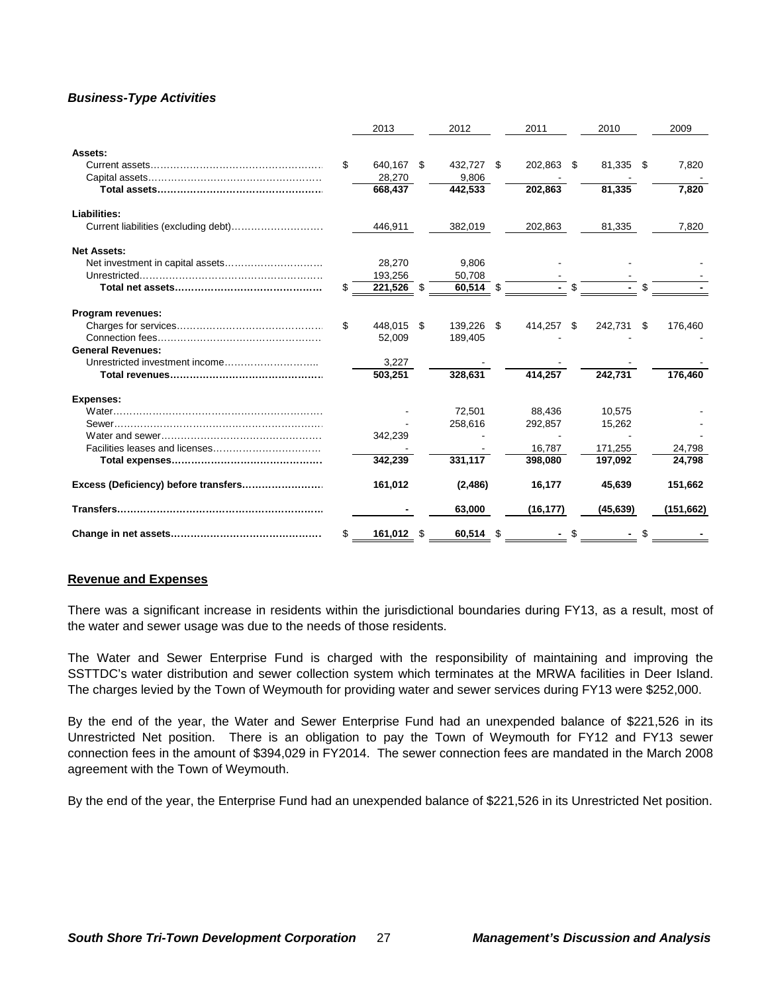#### *Business-Type Activities*

|                                      | 2013                 | 2012             | 2011          |      | 2010      |      | 2009       |
|--------------------------------------|----------------------|------------------|---------------|------|-----------|------|------------|
| Assets:                              |                      |                  |               |      |           |      |            |
|                                      | \$<br>640.167        | \$<br>432.727    | \$<br>202,863 | \$   | 81,335    | - \$ | 7,820      |
|                                      | 28,270               | 9,806            |               |      |           |      |            |
|                                      | 668,437              | 442,533          | 202,863       |      | 81,335    |      | 7,820      |
| Liabilities:                         |                      |                  |               |      |           |      |            |
| Current liabilities (excluding debt) | 446,911              | 382,019          | 202,863       |      | 81,335    |      | 7,820      |
| <b>Net Assets:</b>                   |                      |                  |               |      |           |      |            |
|                                      | 28,270               | 9,806            |               |      |           |      |            |
|                                      | 193,256              | 50,708           |               |      |           |      |            |
|                                      | \$<br>$221,526$ \$   | $60,514$ \$      |               |      |           |      |            |
| Program revenues:                    |                      |                  |               |      |           |      |            |
|                                      | \$<br>448.015        | \$<br>139.226 \$ | 414,257       | - \$ | 242,731   | \$   | 176,460    |
|                                      | 52,009               | 189,405          |               |      |           |      |            |
| <b>General Revenues:</b>             |                      |                  |               |      |           |      |            |
|                                      | 3,227                |                  |               |      |           |      |            |
|                                      | $\overline{503,}251$ | 328.631          | 414.257       |      | 242.731   |      | 176,460    |
| <b>Expenses:</b>                     |                      |                  |               |      |           |      |            |
|                                      |                      | 72,501           | 88,436        |      | 10,575    |      |            |
|                                      |                      | 258,616          | 292,857       |      | 15,262    |      |            |
|                                      | 342,239              |                  |               |      |           |      |            |
|                                      |                      |                  | 16,787        |      | 171,255   |      | 24,798     |
|                                      | 342,239              | 331,117          | 398,080       |      | 197,092   |      | 24,798     |
|                                      | 161,012              | (2,486)          | 16,177        |      | 45,639    |      | 151,662    |
|                                      |                      | 63,000           | (16, 177)     |      | (45, 639) |      | (151, 662) |
|                                      | \$<br>161,012        | \$<br>60,514     | \$            | S    |           | S    |            |

#### **Revenue and Expenses**

There was a significant increase in residents within the jurisdictional boundaries during FY13, as a result, most of the water and sewer usage was due to the needs of those residents.

The Water and Sewer Enterprise Fund is charged with the responsibility of maintaining and improving the SSTTDC's water distribution and sewer collection system which terminates at the MRWA facilities in Deer Island. The charges levied by the Town of Weymouth for providing water and sewer services during FY13 were \$252,000.

By the end of the year, the Water and Sewer Enterprise Fund had an unexpended balance of \$221,526 in its Unrestricted Net position. There is an obligation to pay the Town of Weymouth for FY12 and FY13 sewer connection fees in the amount of \$394,029 in FY2014. The sewer connection fees are mandated in the March 2008 agreement with the Town of Weymouth.

By the end of the year, the Enterprise Fund had an unexpended balance of \$221,526 in its Unrestricted Net position.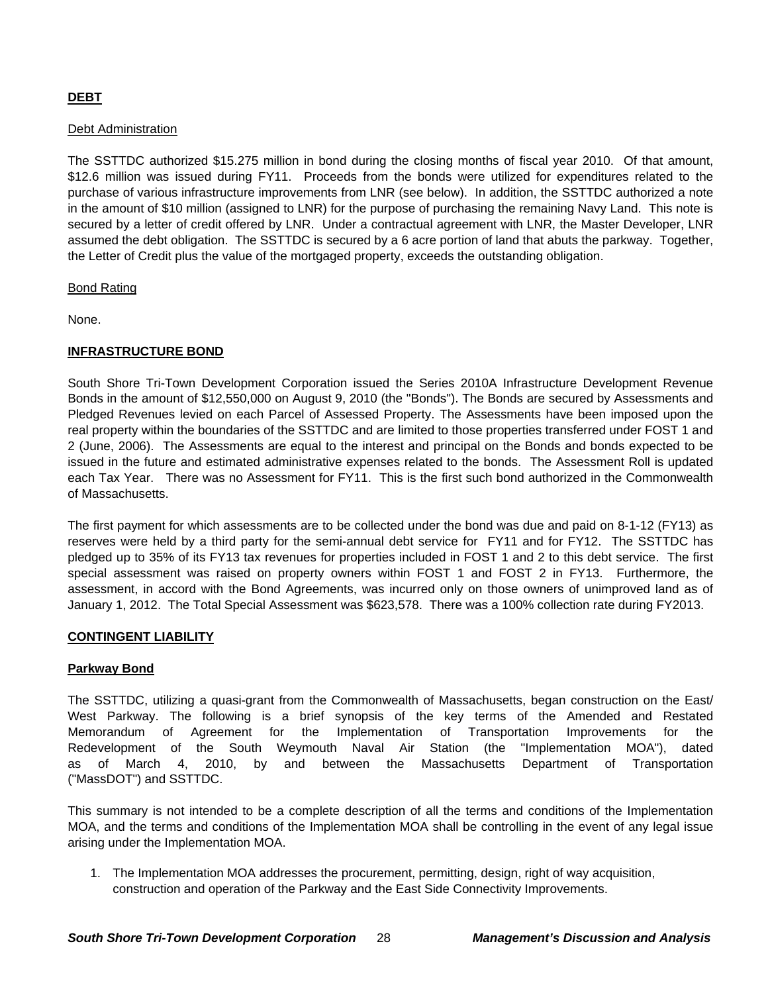## **DEBT**

#### Debt Administration

The SSTTDC authorized \$15.275 million in bond during the closing months of fiscal year 2010. Of that amount, \$12.6 million was issued during FY11. Proceeds from the bonds were utilized for expenditures related to the purchase of various infrastructure improvements from LNR (see below). In addition, the SSTTDC authorized a note in the amount of \$10 million (assigned to LNR) for the purpose of purchasing the remaining Navy Land. This note is secured by a letter of credit offered by LNR. Under a contractual agreement with LNR, the Master Developer, LNR assumed the debt obligation. The SSTTDC is secured by a 6 acre portion of land that abuts the parkway. Together, the Letter of Credit plus the value of the mortgaged property, exceeds the outstanding obligation.

#### Bond Rating

None.

## **INFRASTRUCTURE BOND**

South Shore Tri-Town Development Corporation issued the Series 2010A Infrastructure Development Revenue Bonds in the amount of \$12,550,000 on August 9, 2010 (the "Bonds"). The Bonds are secured by Assessments and Pledged Revenues levied on each Parcel of Assessed Property. The Assessments have been imposed upon the real property within the boundaries of the SSTTDC and are limited to those properties transferred under FOST 1 and 2 (June, 2006). The Assessments are equal to the interest and principal on the Bonds and bonds expected to be issued in the future and estimated administrative expenses related to the bonds. The Assessment Roll is updated each Tax Year. There was no Assessment for FY11. This is the first such bond authorized in the Commonwealth of Massachusetts.

The first payment for which assessments are to be collected under the bond was due and paid on 8-1-12 (FY13) as reserves were held by a third party for the semi-annual debt service for FY11 and for FY12. The SSTTDC has pledged up to 35% of its FY13 tax revenues for properties included in FOST 1 and 2 to this debt service. The first special assessment was raised on property owners within FOST 1 and FOST 2 in FY13. Furthermore, the assessment, in accord with the Bond Agreements, was incurred only on those owners of unimproved land as of January 1, 2012. The Total Special Assessment was \$623,578. There was a 100% collection rate during FY2013.

## **CONTINGENT LIABILITY**

## **Parkway Bond**

The SSTTDC, utilizing a quasi-grant from the Commonwealth of Massachusetts, began construction on the East/ West Parkway. The following is a brief synopsis of the key terms of the Amended and Restated Memorandum of Agreement for the Implementation of Transportation Improvements for the Redevelopment of the South Weymouth Naval Air Station (the "Implementation MOA"), dated as of March 4, 2010, by and between the Massachusetts Department of Transportation ("MassDOT") and SSTTDC.

This summary is not intended to be a complete description of all the terms and conditions of the Implementation MOA, and the terms and conditions of the Implementation MOA shall be controlling in the event of any legal issue arising under the Implementation MOA.

1. The Implementation MOA addresses the procurement, permitting, design, right of way acquisition, construction and operation of the Parkway and the East Side Connectivity Improvements.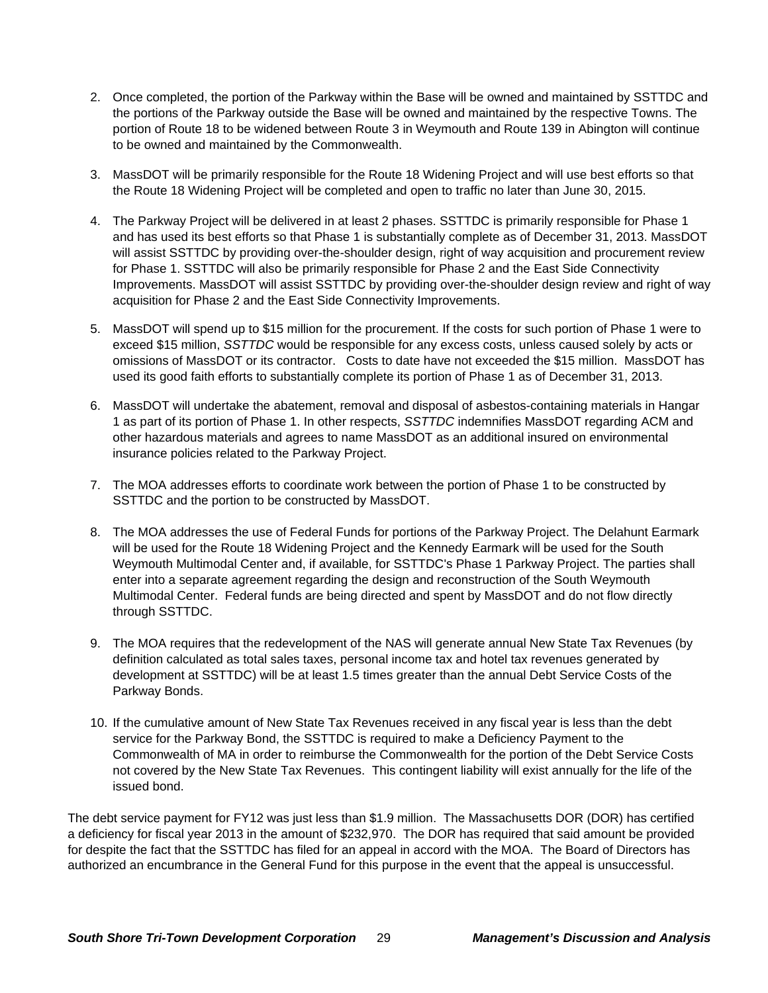- 2. Once completed, the portion of the Parkway within the Base will be owned and maintained by SSTTDC and the portions of the Parkway outside the Base will be owned and maintained by the respective Towns. The portion of Route 18 to be widened between Route 3 in Weymouth and Route 139 in Abington will continue to be owned and maintained by the Commonwealth.
- 3. MassDOT will be primarily responsible for the Route 18 Widening Project and will use best efforts so that the Route 18 Widening Project will be completed and open to traffic no later than June 30, 2015.
- 4. The Parkway Project will be delivered in at least 2 phases. SSTTDC is primarily responsible for Phase 1 and has used its best efforts so that Phase 1 is substantially complete as of December 31, 2013. MassDOT will assist SSTTDC by providing over-the-shoulder design, right of way acquisition and procurement review for Phase 1. SSTTDC will also be primarily responsible for Phase 2 and the East Side Connectivity Improvements. MassDOT will assist SSTTDC by providing over-the-shoulder design review and right of way acquisition for Phase 2 and the East Side Connectivity Improvements.
- 5. MassDOT will spend up to \$15 million for the procurement. If the costs for such portion of Phase 1 were to exceed \$15 million, *SSTTDC* would be responsible for any excess costs, unless caused solely by acts or omissions of MassDOT or its contractor. Costs to date have not exceeded the \$15 million. MassDOT has used its good faith efforts to substantially complete its portion of Phase 1 as of December 31, 2013.
- 6. MassDOT will undertake the abatement, removal and disposal of asbestos-containing materials in Hangar 1 as part of its portion of Phase 1. In other respects, *SSTTDC* indemnifies MassDOT regarding ACM and other hazardous materials and agrees to name MassDOT as an additional insured on environmental insurance policies related to the Parkway Project.
- 7. The MOA addresses efforts to coordinate work between the portion of Phase 1 to be constructed by SSTTDC and the portion to be constructed by MassDOT.
- 8. The MOA addresses the use of Federal Funds for portions of the Parkway Project. The Delahunt Earmark will be used for the Route 18 Widening Project and the Kennedy Earmark will be used for the South Weymouth Multimodal Center and, if available, for SSTTDC's Phase 1 Parkway Project. The parties shall enter into a separate agreement regarding the design and reconstruction of the South Weymouth Multimodal Center. Federal funds are being directed and spent by MassDOT and do not flow directly through SSTTDC.
- 9. The MOA requires that the redevelopment of the NAS will generate annual New State Tax Revenues (by definition calculated as total sales taxes, personal income tax and hotel tax revenues generated by development at SSTTDC) will be at least 1.5 times greater than the annual Debt Service Costs of the Parkway Bonds.
- 10. If the cumulative amount of New State Tax Revenues received in any fiscal year is less than the debt service for the Parkway Bond, the SSTTDC is required to make a Deficiency Payment to the Commonwealth of MA in order to reimburse the Commonwealth for the portion of the Debt Service Costs not covered by the New State Tax Revenues. This contingent liability will exist annually for the life of the issued bond.

The debt service payment for FY12 was just less than \$1.9 million. The Massachusetts DOR (DOR) has certified a deficiency for fiscal year 2013 in the amount of \$232,970. The DOR has required that said amount be provided for despite the fact that the SSTTDC has filed for an appeal in accord with the MOA. The Board of Directors has authorized an encumbrance in the General Fund for this purpose in the event that the appeal is unsuccessful.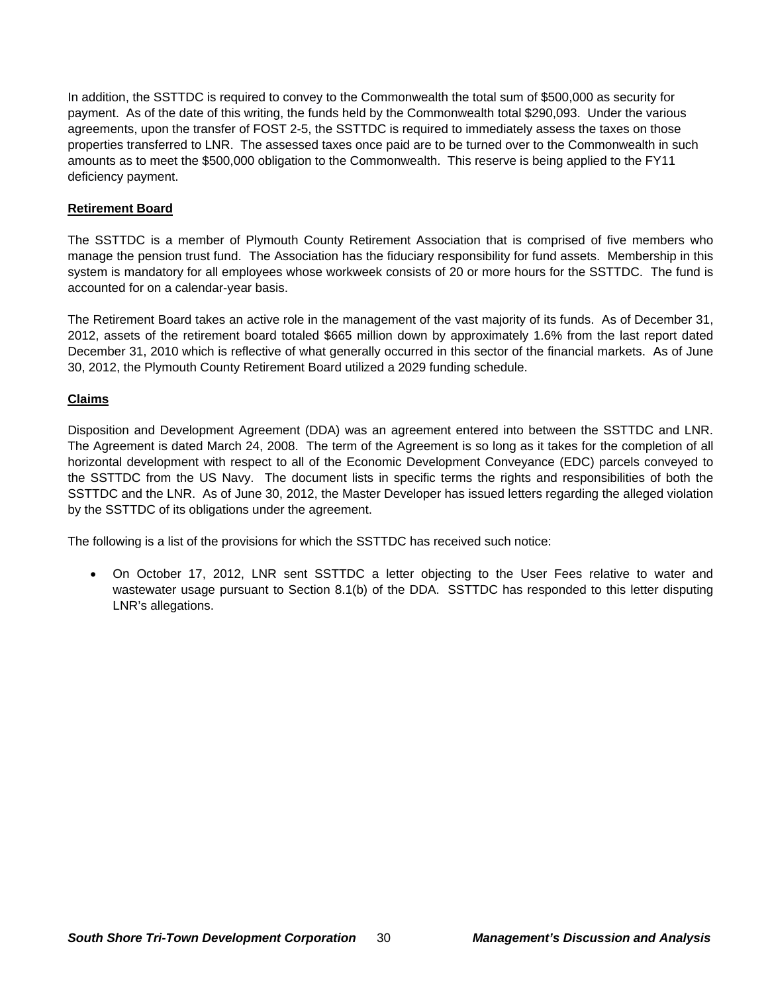In addition, the SSTTDC is required to convey to the Commonwealth the total sum of \$500,000 as security for payment. As of the date of this writing, the funds held by the Commonwealth total \$290,093. Under the various agreements, upon the transfer of FOST 2-5, the SSTTDC is required to immediately assess the taxes on those properties transferred to LNR. The assessed taxes once paid are to be turned over to the Commonwealth in such amounts as to meet the \$500,000 obligation to the Commonwealth. This reserve is being applied to the FY11 deficiency payment.

## **Retirement Board**

The SSTTDC is a member of Plymouth County Retirement Association that is comprised of five members who manage the pension trust fund. The Association has the fiduciary responsibility for fund assets. Membership in this system is mandatory for all employees whose workweek consists of 20 or more hours for the SSTTDC. The fund is accounted for on a calendar-year basis.

The Retirement Board takes an active role in the management of the vast majority of its funds. As of December 31, 2012, assets of the retirement board totaled \$665 million down by approximately 1.6% from the last report dated December 31, 2010 which is reflective of what generally occurred in this sector of the financial markets. As of June 30, 2012, the Plymouth County Retirement Board utilized a 2029 funding schedule.

## **Claims**

Disposition and Development Agreement (DDA) was an agreement entered into between the SSTTDC and LNR. The Agreement is dated March 24, 2008. The term of the Agreement is so long as it takes for the completion of all horizontal development with respect to all of the Economic Development Conveyance (EDC) parcels conveyed to the SSTTDC from the US Navy. The document lists in specific terms the rights and responsibilities of both the SSTTDC and the LNR. As of June 30, 2012, the Master Developer has issued letters regarding the alleged violation by the SSTTDC of its obligations under the agreement.

The following is a list of the provisions for which the SSTTDC has received such notice:

• On October 17, 2012, LNR sent SSTTDC a letter objecting to the User Fees relative to water and wastewater usage pursuant to Section 8.1(b) of the DDA. SSTTDC has responded to this letter disputing LNR's allegations.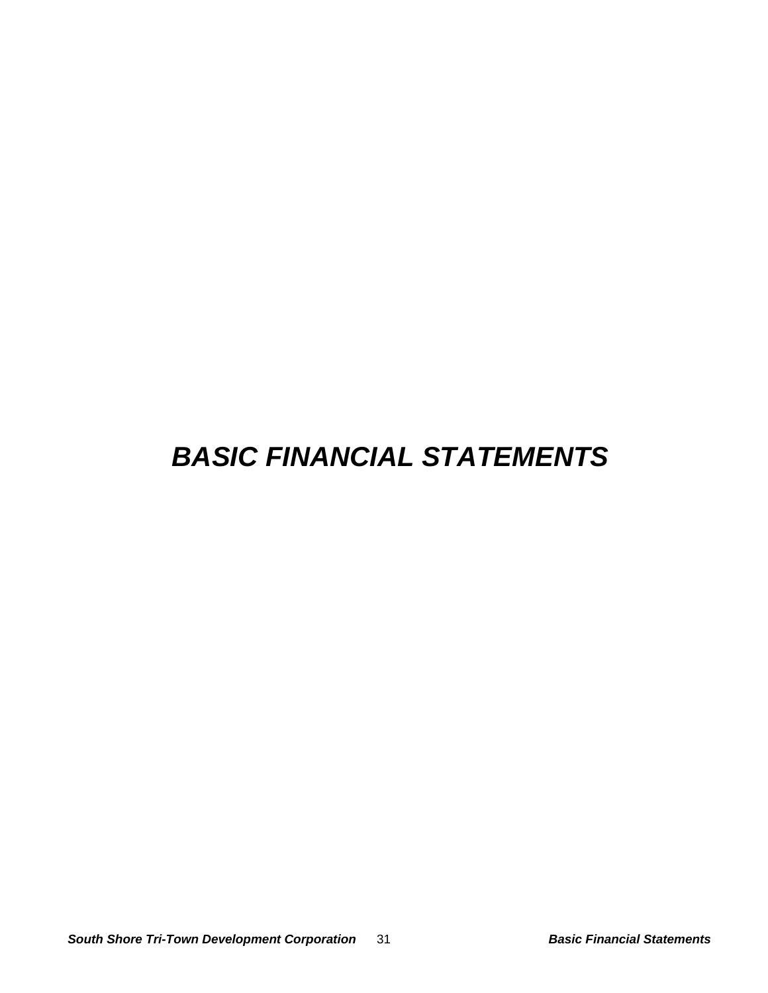# *BASIC FINANCIAL STATEMENTS*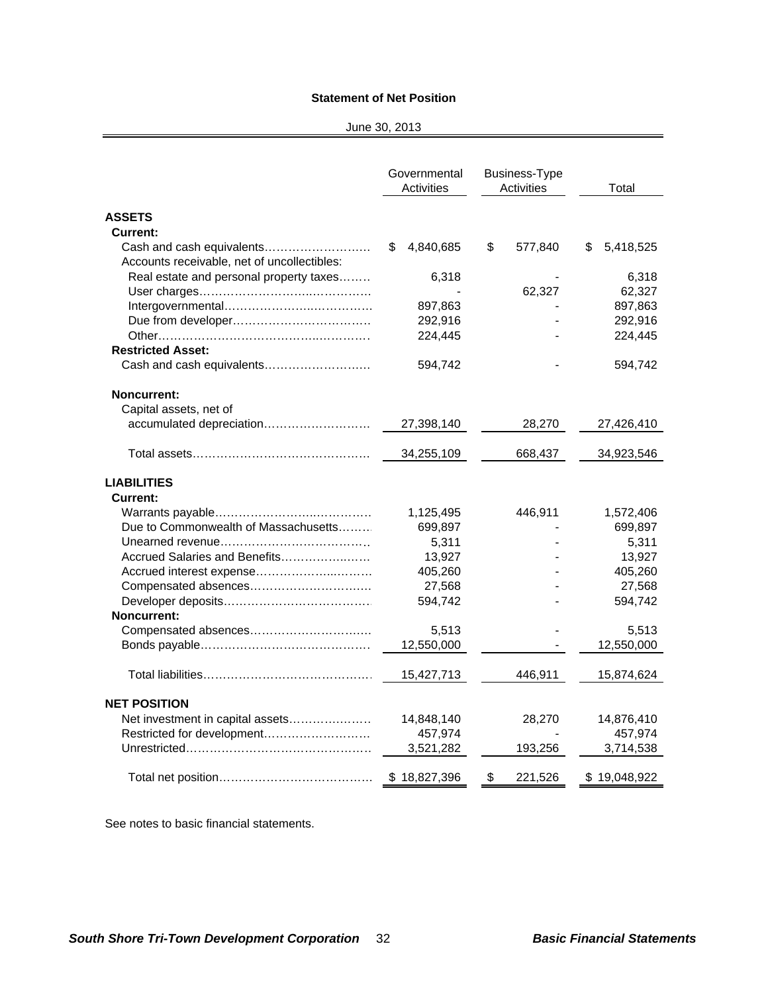#### **Statement of Net Position**

#### June 30, 2013

|                                                                          | Governmental<br>Activities | <b>Business-Type</b><br>Activities | Total          |
|--------------------------------------------------------------------------|----------------------------|------------------------------------|----------------|
| <b>ASSETS</b>                                                            |                            |                                    |                |
| <b>Current:</b>                                                          |                            |                                    |                |
| Cash and cash equivalents<br>Accounts receivable, net of uncollectibles: | \$<br>4,840,685            | \$<br>577,840                      | 5,418,525<br>S |
| Real estate and personal property taxes                                  | 6,318                      |                                    | 6,318          |
|                                                                          |                            | 62,327                             | 62,327         |
|                                                                          | 897,863                    |                                    | 897,863        |
|                                                                          | 292,916                    |                                    | 292,916        |
|                                                                          | 224,445                    |                                    | 224,445        |
| <b>Restricted Asset:</b>                                                 |                            |                                    |                |
| Cash and cash equivalents                                                | 594,742                    |                                    | 594,742        |
| <b>Noncurrent:</b>                                                       |                            |                                    |                |
| Capital assets, net of                                                   |                            |                                    |                |
| accumulated depreciation                                                 | 27,398,140                 | 28,270                             | 27,426,410     |
|                                                                          | 34,255,109                 | 668,437                            | 34,923,546     |
| <b>LIABILITIES</b>                                                       |                            |                                    |                |
| <b>Current:</b>                                                          |                            |                                    |                |
|                                                                          | 1,125,495                  | 446,911                            | 1,572,406      |
| Due to Commonwealth of Massachusetts                                     | 699,897                    |                                    | 699,897        |
|                                                                          | 5,311                      |                                    | 5,311          |
| Accrued Salaries and Benefits                                            | 13,927                     |                                    | 13,927         |
| Accrued interest expense                                                 | 405,260                    |                                    | 405,260        |
| Compensated absences                                                     | 27,568                     |                                    | 27,568         |
|                                                                          | 594,742                    |                                    | 594,742        |
| Noncurrent:                                                              |                            |                                    |                |
|                                                                          | 5,513                      |                                    | 5,513          |
|                                                                          | 12,550,000                 |                                    | 12,550,000     |
|                                                                          | 15,427,713                 | 446,911                            | 15,874,624     |
| <b>NET POSITION</b>                                                      |                            |                                    |                |
| Net investment in capital assets                                         | 14,848,140                 | 28,270                             | 14,876,410     |
| Restricted for development                                               | 457,974                    |                                    | 457,974        |
|                                                                          | 3,521,282                  | 193,256                            | 3,714,538      |
|                                                                          | \$18,827,396               | \$<br>221,526                      | \$19,048,922   |

See notes to basic financial statements.

 $\blacksquare$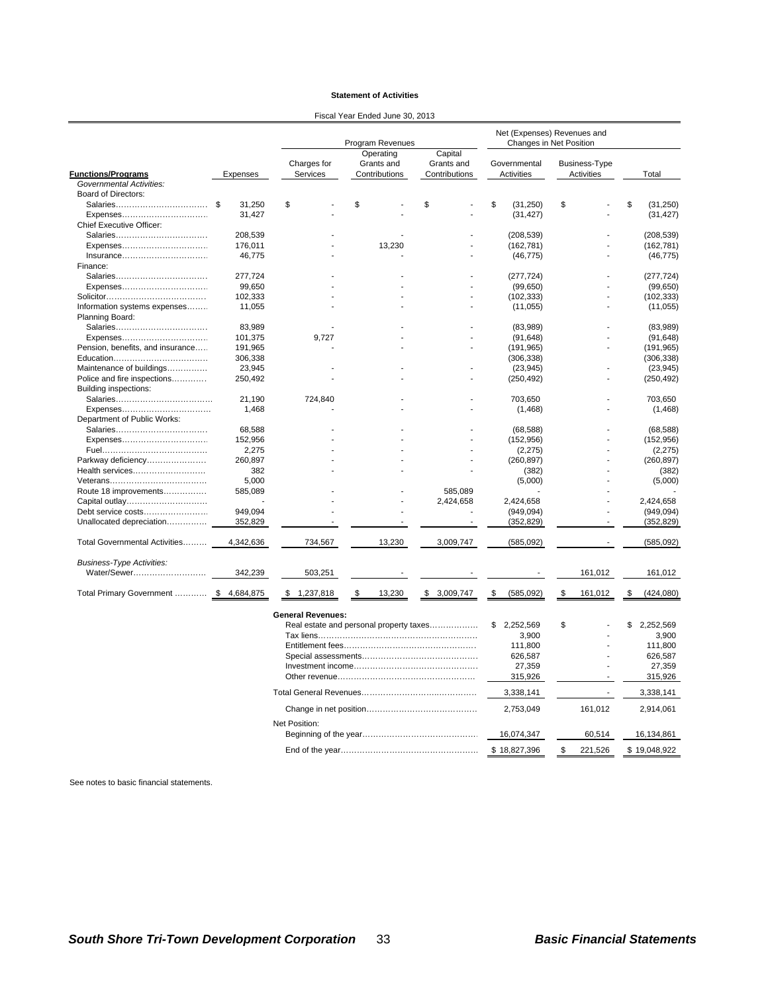|  | <b>Statement of Activities</b> |
|--|--------------------------------|
|--|--------------------------------|

Fiscal Year Ended June 30, 2013

|                                        |              |                          | Program Revenues                         |                                         | Net (Expenses) Revenues and<br>Changes in Net Position |                                    |                 |  |
|----------------------------------------|--------------|--------------------------|------------------------------------------|-----------------------------------------|--------------------------------------------------------|------------------------------------|-----------------|--|
| <b>Functions/Programs</b>              | Expenses     | Charges for<br>Services  | Operating<br>Grants and<br>Contributions | Capital<br>Grants and<br>Contributions  | Governmental<br>Activities                             | <b>Business-Type</b><br>Activities | Total           |  |
| Governmental Activities:               |              |                          |                                          |                                         |                                                        |                                    |                 |  |
| <b>Board of Directors:</b>             |              |                          |                                          |                                         |                                                        |                                    |                 |  |
|                                        | 31,250<br>\$ | \$                       | \$                                       | \$                                      | \$<br>(31, 250)                                        | \$                                 | \$<br>(31, 250) |  |
| Expenses                               | 31,427       |                          |                                          |                                         | (31, 427)                                              |                                    | (31, 427)       |  |
| <b>Chief Executive Officer:</b>        |              |                          |                                          |                                         |                                                        |                                    |                 |  |
| Salaries                               | 208,539      |                          |                                          |                                         | (208, 539)                                             |                                    | (208, 539)      |  |
| Expenses                               | 176,011      |                          | 13,230                                   |                                         | (162, 781)                                             |                                    | (162, 781)      |  |
| Insurance                              | 46,775       |                          |                                          |                                         | (46, 775)                                              |                                    | (46, 775)       |  |
| Finance:                               |              |                          |                                          |                                         |                                                        |                                    |                 |  |
| Salaries                               | 277,724      |                          |                                          |                                         | (277, 724)                                             |                                    | (277, 724)      |  |
|                                        | 99,650       |                          |                                          |                                         | (99, 650)                                              |                                    | (99, 650)       |  |
|                                        | 102,333      |                          |                                          |                                         | (102, 333)                                             |                                    | (102, 333)      |  |
| Information systems expenses           | 11,055       |                          |                                          |                                         | (11, 055)                                              |                                    | (11, 055)       |  |
| Planning Board:                        |              |                          |                                          |                                         |                                                        |                                    |                 |  |
| Salaries                               | 83,989       |                          |                                          |                                         | (83,989)                                               |                                    | (83,989)        |  |
|                                        | 101,375      | 9,727                    |                                          |                                         | (91, 648)                                              |                                    | (91, 648)       |  |
| Pension, benefits, and insurance       | 191,965      |                          |                                          |                                         | (191, 965)                                             |                                    | (191, 965)      |  |
|                                        | 306,338      |                          |                                          |                                         | (306, 338)                                             |                                    | (306, 338)      |  |
| Maintenance of buildings               | 23,945       |                          |                                          |                                         | (23, 945)                                              |                                    | (23, 945)       |  |
| Police and fire inspections            | 250,492      |                          |                                          |                                         | (250, 492)                                             |                                    | (250, 492)      |  |
| Building inspections:                  |              |                          |                                          |                                         |                                                        |                                    |                 |  |
|                                        | 21,190       | 724,840                  |                                          |                                         | 703,650                                                |                                    | 703,650         |  |
|                                        | 1,468        |                          |                                          |                                         | (1,468)                                                |                                    | (1,468)         |  |
| Department of Public Works:            |              |                          |                                          |                                         |                                                        |                                    |                 |  |
| Salaries                               | 68,588       |                          |                                          |                                         | (68, 588)                                              |                                    | (68, 588)       |  |
| Expenses                               | 152,956      |                          |                                          |                                         | (152, 956)                                             |                                    | (152, 956)      |  |
|                                        | 2,275        |                          |                                          |                                         | (2, 275)                                               |                                    | (2, 275)        |  |
| Parkway deficiency                     | 260,897      |                          |                                          |                                         | (260, 897)                                             |                                    | (260, 897)      |  |
| Health services                        | 382          |                          |                                          |                                         | (382)                                                  |                                    | (382)           |  |
|                                        | 5,000        |                          |                                          |                                         | (5,000)                                                |                                    | (5,000)         |  |
| Route 18 improvements                  | 585,089      |                          |                                          | 585,089                                 |                                                        |                                    |                 |  |
| Capital outlay                         |              |                          |                                          | 2,424,658                               | 2,424,658                                              |                                    | 2,424,658       |  |
| Debt service costs                     | 949,094      |                          |                                          |                                         | (949, 094)                                             |                                    | (949, 094)      |  |
| Unallocated depreciation               | 352,829      |                          |                                          |                                         | (352, 829)                                             |                                    | (352, 829)      |  |
|                                        |              |                          |                                          |                                         |                                                        |                                    |                 |  |
| Total Governmental Activities          | 4,342,636    | 734,567                  | 13,230                                   | 3,009,747                               | (585,092)                                              |                                    | (585,092)       |  |
|                                        |              |                          |                                          |                                         |                                                        |                                    |                 |  |
| <b>Business-Type Activities:</b>       |              |                          |                                          |                                         |                                                        |                                    |                 |  |
| Water/Sewer                            | 342,239      | 503,251                  |                                          |                                         |                                                        | 161,012                            | 161,012         |  |
| Total Primary Government  \$ 4,684,875 |              | 1,237,818<br>\$          | 13,230<br>\$                             | \$<br>3,009,747                         | \$<br>(585,092)                                        | \$<br>161,012                      | \$<br>(424,080) |  |
|                                        |              |                          |                                          |                                         |                                                        |                                    |                 |  |
|                                        |              | <b>General Revenues:</b> |                                          |                                         |                                                        |                                    |                 |  |
|                                        |              |                          |                                          | Real estate and personal property taxes | 2,252,569<br>\$                                        | \$                                 | \$<br>2,252,569 |  |
|                                        |              |                          |                                          |                                         | 3,900                                                  |                                    | 3,900           |  |
|                                        |              |                          |                                          |                                         | 111,800                                                |                                    | 111,800         |  |
|                                        |              |                          |                                          |                                         | 626,587                                                |                                    | 626,587         |  |
|                                        |              |                          |                                          |                                         | 27,359                                                 |                                    | 27,359          |  |
|                                        |              |                          |                                          |                                         | 315,926                                                |                                    | 315,926         |  |
|                                        |              |                          |                                          |                                         | 3,338,141                                              | $\overline{\phantom{a}}$           | 3,338,141       |  |
|                                        |              |                          |                                          |                                         | 2,753,049                                              | 161,012                            | 2,914,061       |  |
|                                        |              | Net Position:            |                                          |                                         |                                                        |                                    |                 |  |
|                                        |              |                          |                                          |                                         | 16,074,347                                             | 60,514                             | 16,134,861      |  |
|                                        |              |                          |                                          |                                         | \$18.827.396                                           | \$<br>221,526                      | \$19,048,922    |  |
|                                        |              |                          |                                          |                                         |                                                        |                                    |                 |  |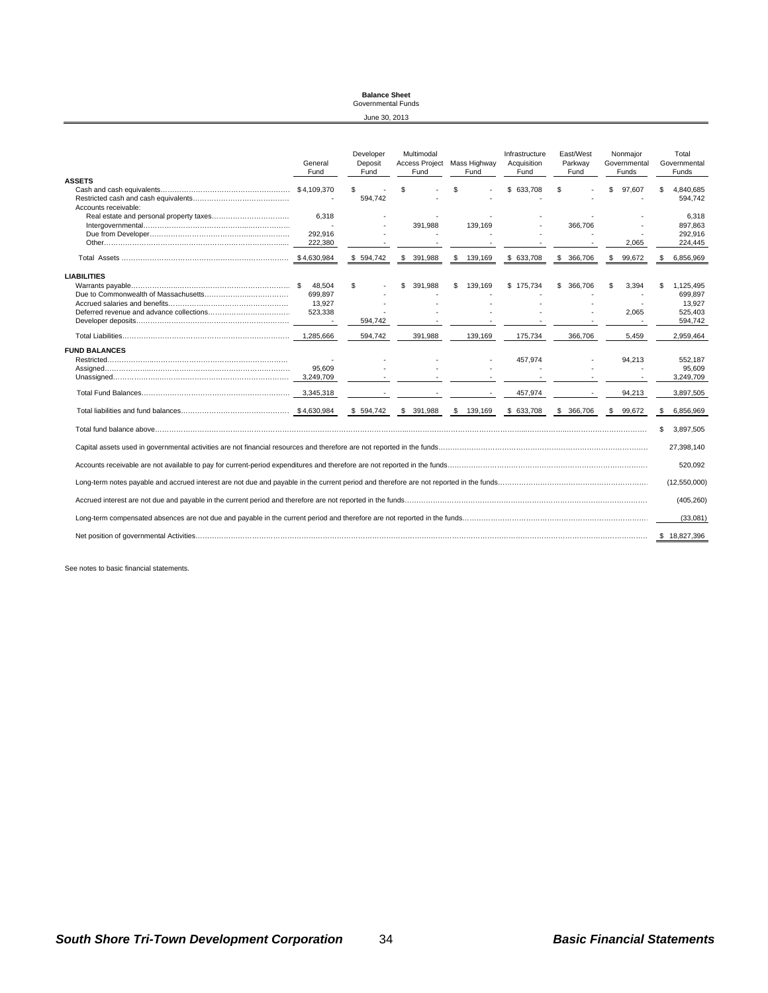## **Balance Sheet** Governmental Funds

June 30, 2013

|                      | General<br>Fund   | Developer<br>Deposit<br>Fund | Multimodal<br>Access Project Mass Highway<br>Fund | Fund            | Infrastructure<br>Acquisition<br>Fund | East/West<br>Parkway<br>Fund | Nonmaior<br>Governmental<br>Funds | Total<br>Governmental<br>Funds |
|----------------------|-------------------|------------------------------|---------------------------------------------------|-----------------|---------------------------------------|------------------------------|-----------------------------------|--------------------------------|
| <b>ASSETS</b>        |                   |                              |                                                   |                 |                                       |                              |                                   |                                |
|                      | \$4,109,370       | \$                           |                                                   |                 | \$ 633,708                            | \$                           | 97.607                            | 4,840,685<br>S                 |
|                      |                   | 594,742                      |                                                   |                 |                                       |                              |                                   | 594.742                        |
| Accounts receivable: | 6.318             |                              |                                                   |                 |                                       |                              |                                   | 6.318                          |
|                      |                   |                              | 391.988                                           | 139.169         |                                       | 366.706                      |                                   | 897.863                        |
|                      | 292,916           |                              |                                                   |                 |                                       |                              |                                   | 292,916                        |
|                      | 222,380           |                              |                                                   |                 |                                       |                              | 2,065                             | 224,445                        |
|                      | \$4,630,984       | \$594,742                    | 391,988<br>\$                                     | 139,169<br>- \$ | \$ 633,708                            | \$<br>366,706                | 99,672                            | 6,856,969<br>-S                |
|                      |                   |                              |                                                   |                 |                                       |                              |                                   |                                |
| <b>LIABILITIES</b>   |                   |                              |                                                   |                 |                                       |                              |                                   |                                |
|                      | 48,504<br>S       | \$                           | 391.988                                           | 139.169         | \$175.734                             | 366,706                      | 3,394                             | 1,125,495<br>S                 |
|                      | 699.897           |                              |                                                   |                 |                                       |                              |                                   | 699,897                        |
|                      | 13,927<br>523,338 |                              |                                                   |                 |                                       |                              |                                   | 13.927<br>525,403              |
|                      | $\sim$            | 594,742                      |                                                   |                 |                                       |                              | 2,065                             | 594,742                        |
|                      |                   |                              |                                                   |                 |                                       |                              |                                   |                                |
|                      | 1,285,666         | 594,742                      | 391,988                                           | 139,169         | 175,734                               | 366,706                      | 5,459                             | 2,959,464                      |
| <b>FUND BALANCES</b> |                   |                              |                                                   |                 |                                       |                              |                                   |                                |
|                      |                   |                              |                                                   |                 | 457,974                               |                              | 94,213                            | 552,187                        |
|                      | 95,609            |                              |                                                   |                 |                                       |                              |                                   | 95,609                         |
|                      | 3,249,709         |                              |                                                   |                 |                                       |                              |                                   | 3,249,709                      |
|                      | 3,345,318         |                              |                                                   |                 | 457,974                               |                              | 94,213                            | 3,897,505                      |
|                      |                   | \$594,742                    | S.<br>391,988                                     | S<br>139,169    | \$ 633,708                            | S<br>366,706                 | 99,672<br>\$.                     | 6,856,969<br>S.                |
|                      |                   |                              |                                                   |                 |                                       |                              |                                   | 3,897,505<br>S                 |
|                      |                   |                              |                                                   |                 |                                       |                              |                                   | 27,398,140                     |
|                      |                   |                              |                                                   |                 |                                       |                              |                                   | 520,092                        |
|                      |                   |                              |                                                   |                 |                                       |                              |                                   |                                |
|                      |                   |                              |                                                   |                 |                                       |                              |                                   | (12,550,000)                   |
|                      |                   |                              |                                                   |                 |                                       |                              | (405, 260)                        |                                |
|                      |                   |                              |                                                   |                 |                                       |                              |                                   | (33,081)                       |
|                      |                   |                              |                                                   |                 |                                       |                              |                                   | \$18,827,396                   |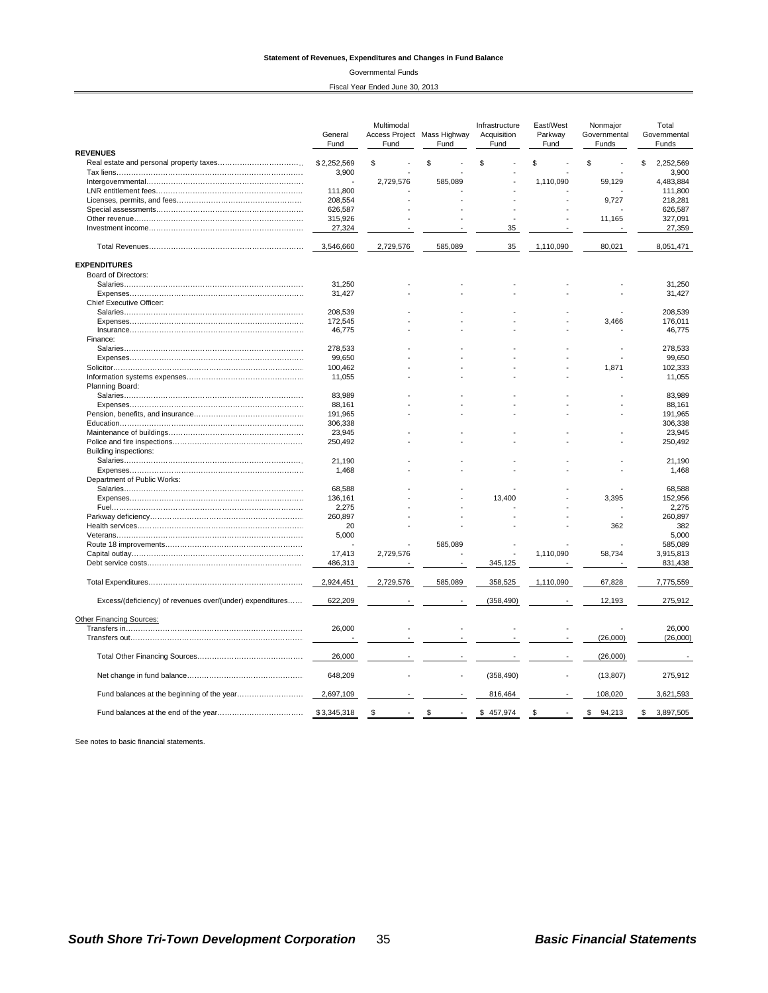Governmental Funds

#### Fiscal Year Ended June 30, 2013

|                                                           | General<br>Fund | Multimodal<br>Access Project Mass Highway<br>Fund | Fund    | Infrastructure<br>Acquisition<br>Fund | East/West<br>Parkway<br>Fund | Nonmajor<br>Governmental<br>Funds | Total<br>Governmental<br>Funds |
|-----------------------------------------------------------|-----------------|---------------------------------------------------|---------|---------------------------------------|------------------------------|-----------------------------------|--------------------------------|
| <b>REVENUES</b>                                           |                 |                                                   |         |                                       |                              |                                   |                                |
|                                                           | \$2,252,569     | \$                                                | \$      | \$                                    | \$                           | \$                                | \$<br>2,252,569                |
|                                                           | 3,900           |                                                   |         |                                       |                              |                                   | 3,900                          |
|                                                           |                 | 2,729,576                                         | 585,089 |                                       | 1,110,090                    | 59,129                            | 4,483,884                      |
|                                                           | 111,800         |                                                   |         |                                       |                              |                                   | 111,800                        |
|                                                           | 208,554         |                                                   |         |                                       |                              | 9,727                             | 218,281                        |
|                                                           | 626,587         |                                                   |         |                                       |                              |                                   | 626,587                        |
|                                                           | 315,926         |                                                   |         |                                       |                              | 11,165                            | 327,091                        |
|                                                           | 27,324          |                                                   |         | 35                                    |                              |                                   | 27,359                         |
|                                                           | 3,546,660       | 2,729,576                                         | 585,089 | 35                                    | 1,110,090                    | 80,021                            | 8,051,471                      |
| <b>EXPENDITURES</b>                                       |                 |                                                   |         |                                       |                              |                                   |                                |
| <b>Board of Directors:</b>                                |                 |                                                   |         |                                       |                              |                                   |                                |
|                                                           | 31.250          |                                                   |         |                                       |                              |                                   | 31,250                         |
|                                                           | 31,427          |                                                   |         |                                       |                              |                                   | 31,427                         |
| <b>Chief Executive Officer:</b>                           |                 |                                                   |         |                                       |                              |                                   |                                |
|                                                           | 208,539         |                                                   |         |                                       |                              |                                   | 208,539                        |
|                                                           | 172,545         |                                                   |         |                                       |                              | 3,466                             | 176,011                        |
|                                                           | 46,775          |                                                   |         |                                       |                              |                                   | 46,775                         |
| Finance:                                                  |                 |                                                   |         |                                       |                              |                                   |                                |
|                                                           | 278,533         |                                                   |         |                                       |                              |                                   | 278,533                        |
|                                                           | 99,650          |                                                   |         |                                       |                              |                                   | 99,650                         |
|                                                           | 100,462         |                                                   |         |                                       |                              | 1,871                             | 102,333                        |
|                                                           | 11,055          |                                                   |         |                                       |                              |                                   | 11,055                         |
| Planning Board:                                           |                 |                                                   |         |                                       |                              |                                   |                                |
|                                                           | 83,989          |                                                   |         |                                       |                              |                                   | 83,989                         |
|                                                           | 88,161          |                                                   |         |                                       |                              |                                   | 88,161                         |
|                                                           | 191,965         |                                                   |         |                                       |                              |                                   | 191,965                        |
|                                                           | 306,338         |                                                   |         |                                       |                              |                                   | 306,338                        |
|                                                           | 23,945          |                                                   |         |                                       |                              |                                   | 23,945                         |
|                                                           | 250,492         |                                                   |         |                                       |                              |                                   | 250,492                        |
| Building inspections:                                     |                 |                                                   |         |                                       |                              |                                   |                                |
|                                                           | 21,190          |                                                   |         |                                       |                              |                                   | 21,190                         |
|                                                           | 1,468           |                                                   |         |                                       |                              |                                   | 1,468                          |
| Department of Public Works:                               |                 |                                                   |         |                                       |                              |                                   |                                |
|                                                           | 68,588          |                                                   |         |                                       |                              |                                   | 68,588                         |
|                                                           | 136,161         |                                                   |         | 13,400                                |                              | 3,395                             | 152,956                        |
|                                                           | 2,275           |                                                   |         |                                       |                              |                                   | 2,275                          |
|                                                           | 260,897         |                                                   |         |                                       |                              |                                   | 260,897                        |
|                                                           | 20              |                                                   |         |                                       |                              | 362                               | 382                            |
|                                                           | 5,000           |                                                   |         |                                       |                              |                                   | 5,000                          |
|                                                           |                 |                                                   | 585,089 |                                       |                              |                                   | 585,089                        |
|                                                           |                 |                                                   |         |                                       |                              |                                   |                                |
|                                                           | 17,413          | 2,729,576                                         |         |                                       | 1,110,090                    | 58,734                            | 3,915,813                      |
|                                                           | 486,313         |                                                   |         | 345,125                               |                              |                                   | 831,438                        |
|                                                           | 2,924,451       | 2,729,576                                         | 585,089 | 358,525                               | 1,110,090                    | 67,828                            | 7,775,559                      |
| Excess/(deficiency) of revenues over/(under) expenditures | 622,209         |                                                   |         | (358, 490)                            |                              | 12,193                            | 275,912                        |
| Other Financing Sources:                                  |                 |                                                   |         |                                       |                              |                                   |                                |
|                                                           | 26,000          |                                                   |         |                                       |                              |                                   | 26,000                         |
|                                                           |                 |                                                   |         |                                       |                              | (26,000)                          | (26,000)                       |
|                                                           |                 |                                                   |         |                                       |                              |                                   |                                |
|                                                           | 26,000          |                                                   |         |                                       |                              | (26,000)                          |                                |
|                                                           | 648,209         |                                                   |         | (358, 490)                            |                              | (13, 807)                         | 275,912                        |
|                                                           | 2,697,109       |                                                   |         | 816,464                               |                              | 108,020                           | 3,621,593                      |
|                                                           | \$3,345,318     | \$                                                | \$      | \$<br>457.974                         | S                            | \$<br>94,213                      | 3.897.505                      |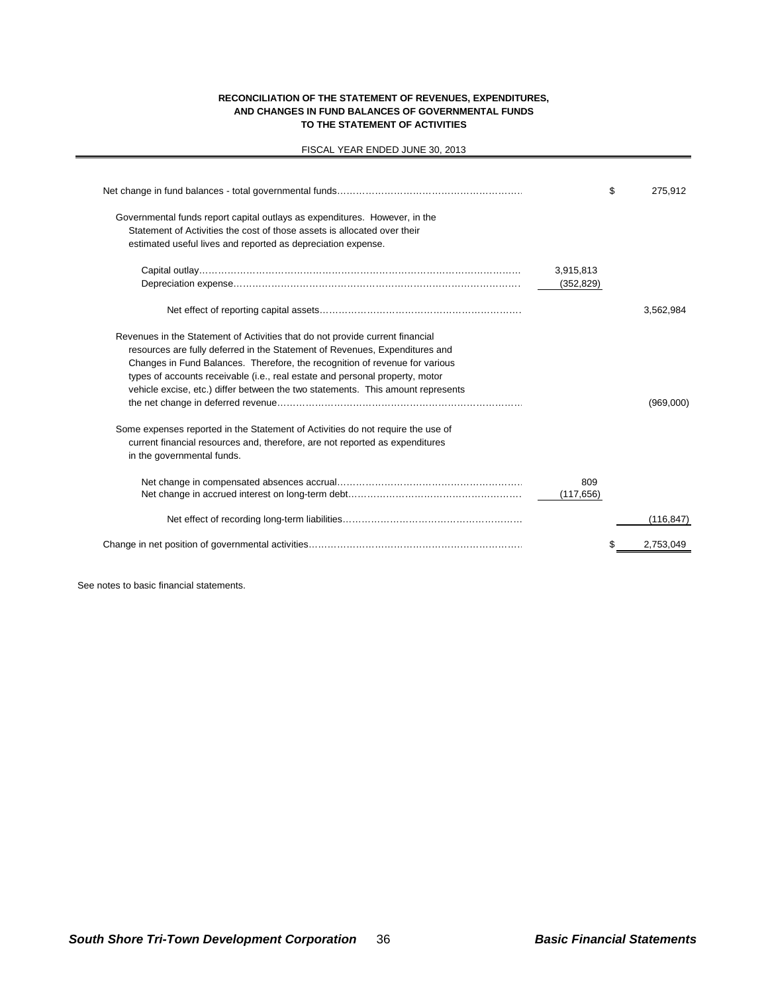#### **RECONCILIATION OF THE STATEMENT OF REVENUES, EXPENDITURES, AND CHANGES IN FUND BALANCES OF GOVERNMENTAL FUNDS TO THE STATEMENT OF ACTIVITIES**

FISCAL YEAR ENDED JUNE 30, 2013

|                                                                                                                                                                                                                                                                                                                                                                                                                                                                                                   |                   | \$<br>275.912 |
|---------------------------------------------------------------------------------------------------------------------------------------------------------------------------------------------------------------------------------------------------------------------------------------------------------------------------------------------------------------------------------------------------------------------------------------------------------------------------------------------------|-------------------|---------------|
| Governmental funds report capital outlays as expenditures. However, in the<br>Statement of Activities the cost of those assets is allocated over their<br>estimated useful lives and reported as depreciation expense.                                                                                                                                                                                                                                                                            |                   |               |
|                                                                                                                                                                                                                                                                                                                                                                                                                                                                                                   | 3,915,813         |               |
|                                                                                                                                                                                                                                                                                                                                                                                                                                                                                                   | (352, 829)        |               |
|                                                                                                                                                                                                                                                                                                                                                                                                                                                                                                   |                   | 3,562,984     |
| Revenues in the Statement of Activities that do not provide current financial<br>resources are fully deferred in the Statement of Revenues, Expenditures and<br>Changes in Fund Balances. Therefore, the recognition of revenue for various<br>types of accounts receivable (i.e., real estate and personal property, motor<br>vehicle excise, etc.) differ between the two statements. This amount represents<br>Some expenses reported in the Statement of Activities do not require the use of |                   | (969,000)     |
| current financial resources and, therefore, are not reported as expenditures<br>in the governmental funds.                                                                                                                                                                                                                                                                                                                                                                                        |                   |               |
|                                                                                                                                                                                                                                                                                                                                                                                                                                                                                                   | 809<br>(117, 656) |               |
|                                                                                                                                                                                                                                                                                                                                                                                                                                                                                                   |                   | (116, 847)    |
|                                                                                                                                                                                                                                                                                                                                                                                                                                                                                                   |                   | 2,753,049     |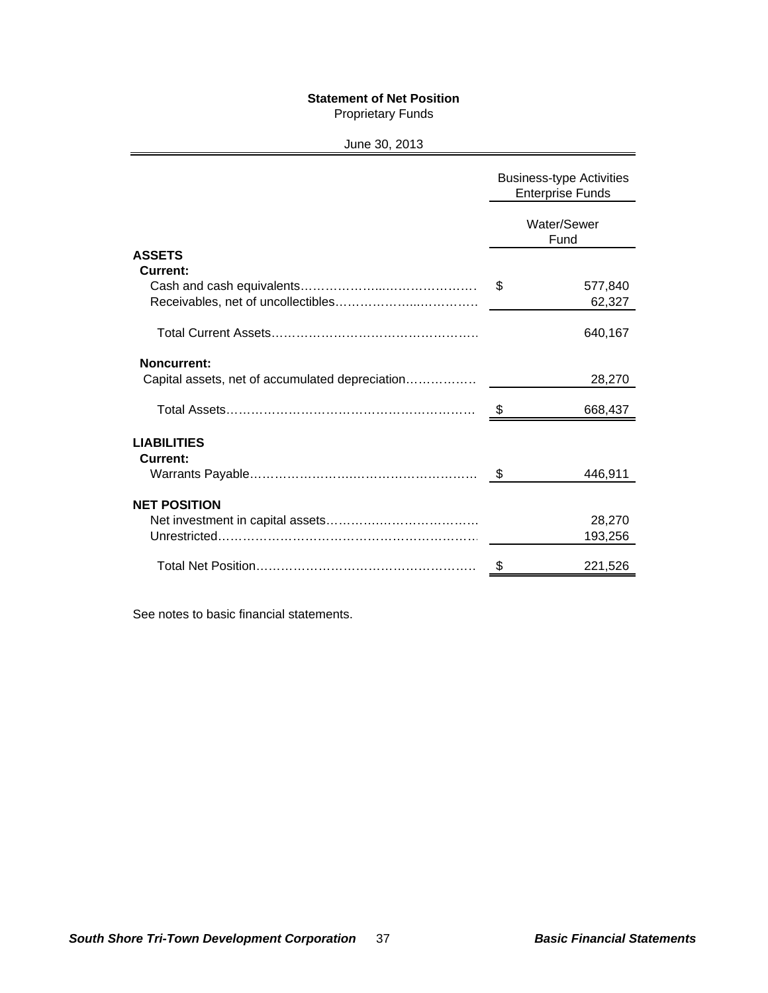## **Statement of Net Position**

Proprietary Funds

|                                                 | <b>Business-type Activities</b><br><b>Enterprise Funds</b> |                     |  |
|-------------------------------------------------|------------------------------------------------------------|---------------------|--|
|                                                 |                                                            | Water/Sewer<br>Fund |  |
| <b>ASSETS</b>                                   |                                                            |                     |  |
| Current:                                        | \$                                                         | 577,840<br>62,327   |  |
|                                                 |                                                            | 640,167             |  |
| <b>Noncurrent:</b>                              |                                                            |                     |  |
| Capital assets, net of accumulated depreciation |                                                            | 28,270              |  |
|                                                 | - \$                                                       | 668,437             |  |
| <b>LIABILITIES</b><br>Current:                  |                                                            |                     |  |
|                                                 |                                                            | 446,911             |  |
| <b>NET POSITION</b>                             |                                                            |                     |  |
|                                                 |                                                            | 28,270              |  |
|                                                 |                                                            | 193,256             |  |
|                                                 | - 5                                                        | 221,526             |  |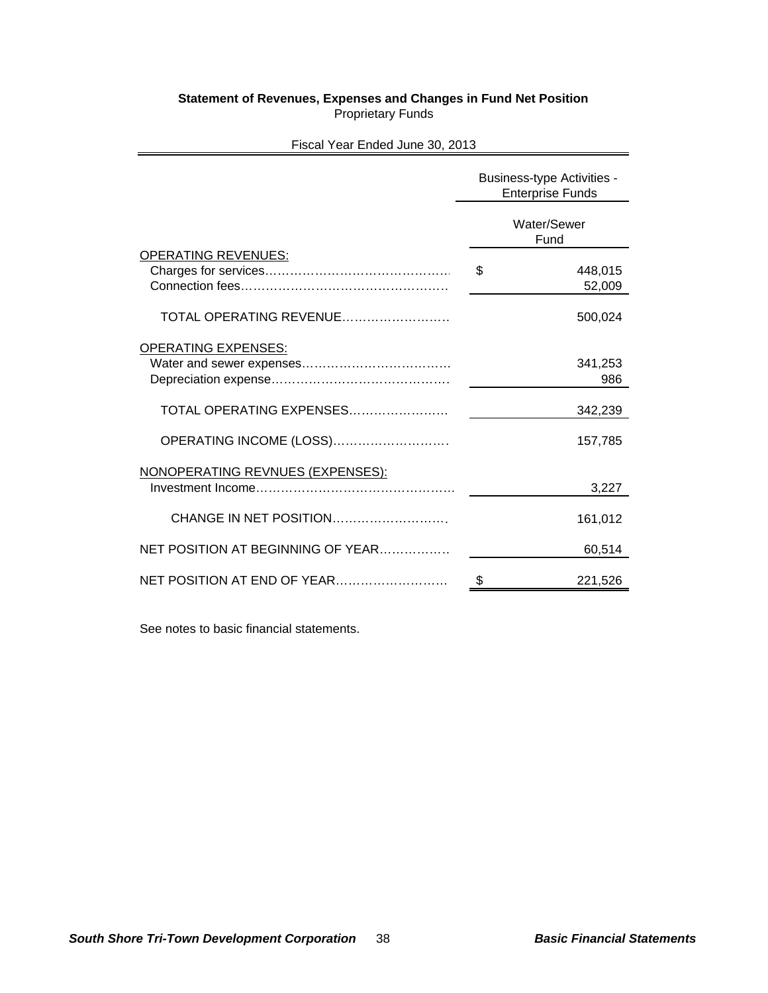## **Statement of Revenues, Expenses and Changes in Fund Net Position**

Proprietary Funds

|                                   | <b>Business-type Activities -</b><br><b>Enterprise Funds</b> |                   |  |
|-----------------------------------|--------------------------------------------------------------|-------------------|--|
|                                   | Water/Sewer<br>Fund                                          |                   |  |
| <b>OPERATING REVENUES:</b>        | \$                                                           | 448,015<br>52,009 |  |
| TOTAL OPERATING REVENUE           |                                                              | 500,024           |  |
| <b>OPERATING EXPENSES:</b>        |                                                              | 341,253<br>986    |  |
| TOTAL OPERATING EXPENSES          |                                                              | 342,239           |  |
| OPERATING INCOME (LOSS)           |                                                              | 157,785           |  |
| NONOPERATING REVNUES (EXPENSES):  |                                                              | 3,227             |  |
| CHANGE IN NET POSITION            |                                                              | 161,012           |  |
| NET POSITION AT BEGINNING OF YEAR |                                                              | 60,514            |  |
| NET POSITION AT END OF YEAR       |                                                              | 221,526           |  |

Fiscal Year Ended June 30, 2013

See notes to basic financial statements.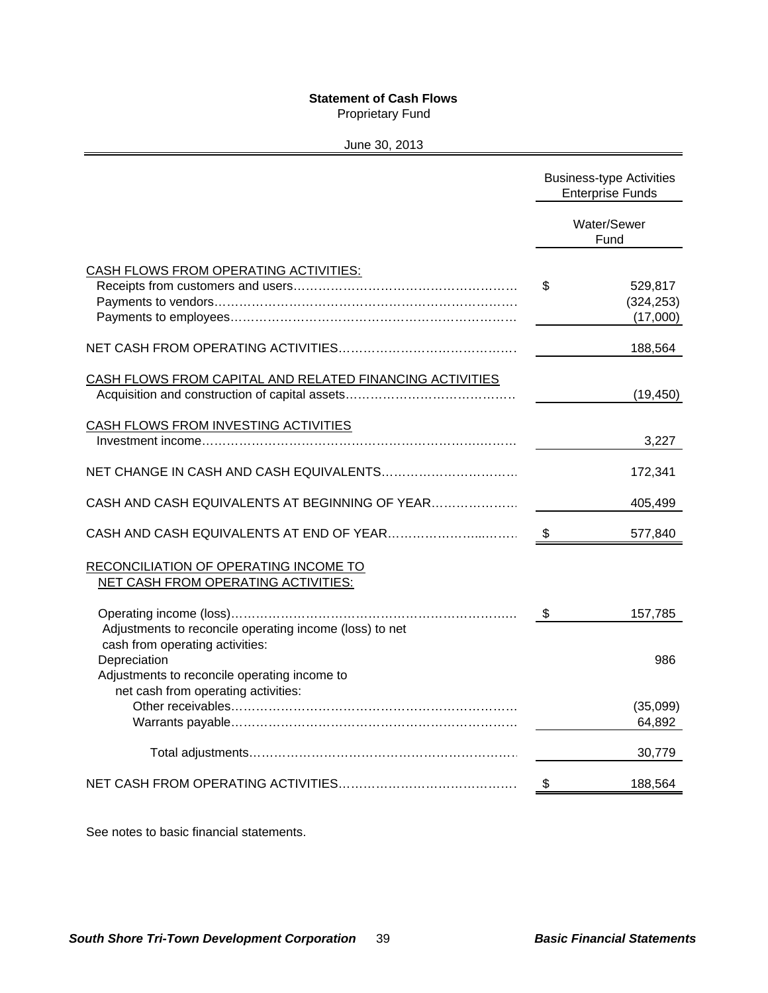## **Statement of Cash Flows**

Proprietary Fund

## June 30, 2013

|                                                                                                                                                                                                   |                            | <b>Business-type Activities</b><br><b>Enterprise Funds</b> |
|---------------------------------------------------------------------------------------------------------------------------------------------------------------------------------------------------|----------------------------|------------------------------------------------------------|
|                                                                                                                                                                                                   |                            | Water/Sewer<br>Fund                                        |
| <b>CASH FLOWS FROM OPERATING ACTIVITIES:</b>                                                                                                                                                      | \$                         | 529,817<br>(324, 253)<br>(17,000)                          |
|                                                                                                                                                                                                   |                            | 188,564                                                    |
| CASH FLOWS FROM CAPITAL AND RELATED FINANCING ACTIVITIES                                                                                                                                          |                            | (19, 450)                                                  |
| CASH FLOWS FROM INVESTING ACTIVITIES                                                                                                                                                              |                            | 3,227                                                      |
|                                                                                                                                                                                                   |                            | 172,341                                                    |
| CASH AND CASH EQUIVALENTS AT BEGINNING OF YEAR                                                                                                                                                    |                            | 405,499                                                    |
|                                                                                                                                                                                                   | $\boldsymbol{\mathsf{\$}}$ | 577,840                                                    |
| RECONCILIATION OF OPERATING INCOME TO<br>NET CASH FROM OPERATING ACTIVITIES:                                                                                                                      |                            |                                                            |
|                                                                                                                                                                                                   | \$                         | 157,785                                                    |
| Adjustments to reconcile operating income (loss) to net<br>cash from operating activities:<br>Depreciation<br>Adjustments to reconcile operating income to<br>net cash from operating activities: |                            | 986                                                        |
|                                                                                                                                                                                                   |                            | (35,099)<br>64,892                                         |
|                                                                                                                                                                                                   |                            | 30,779                                                     |
|                                                                                                                                                                                                   | \$                         | 188,564                                                    |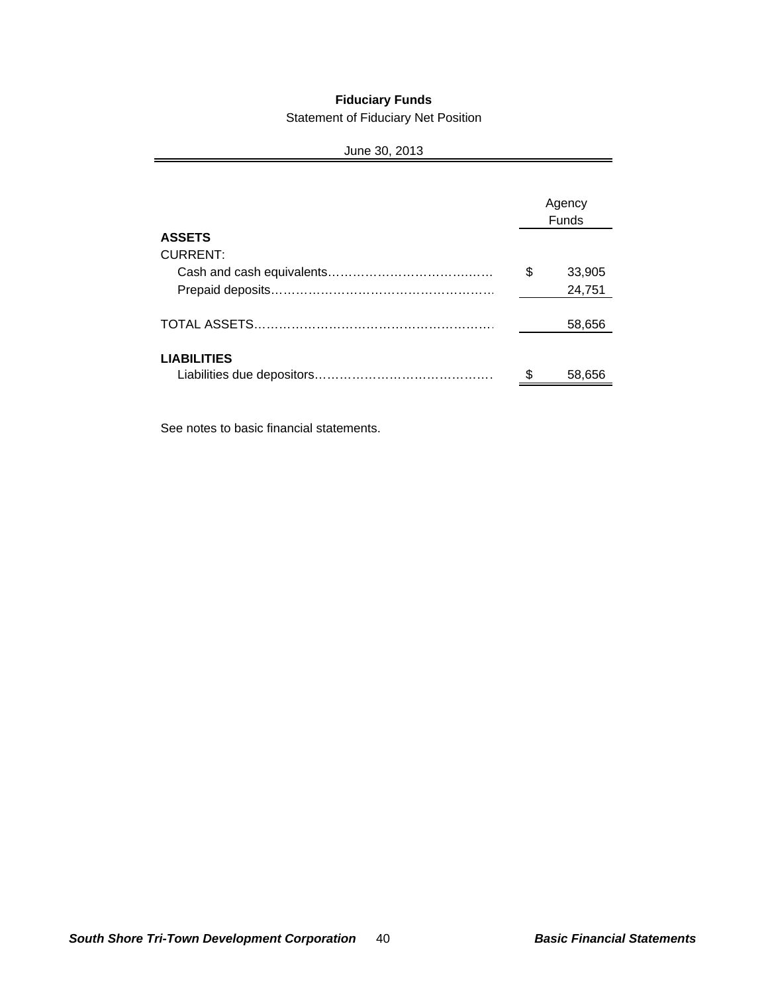## **Fiduciary Funds**

Statement of Fiduciary Net Position

| June 30, 2013 |  |
|---------------|--|
|---------------|--|

|                    | Agency<br><b>Funds</b> |
|--------------------|------------------------|
| <b>ASSETS</b>      |                        |
| CURRENT:           |                        |
|                    | \$<br>33,905           |
|                    | 24,751                 |
|                    |                        |
|                    | 58,656                 |
|                    |                        |
| <b>LIABILITIES</b> |                        |
|                    | 58,656                 |
|                    |                        |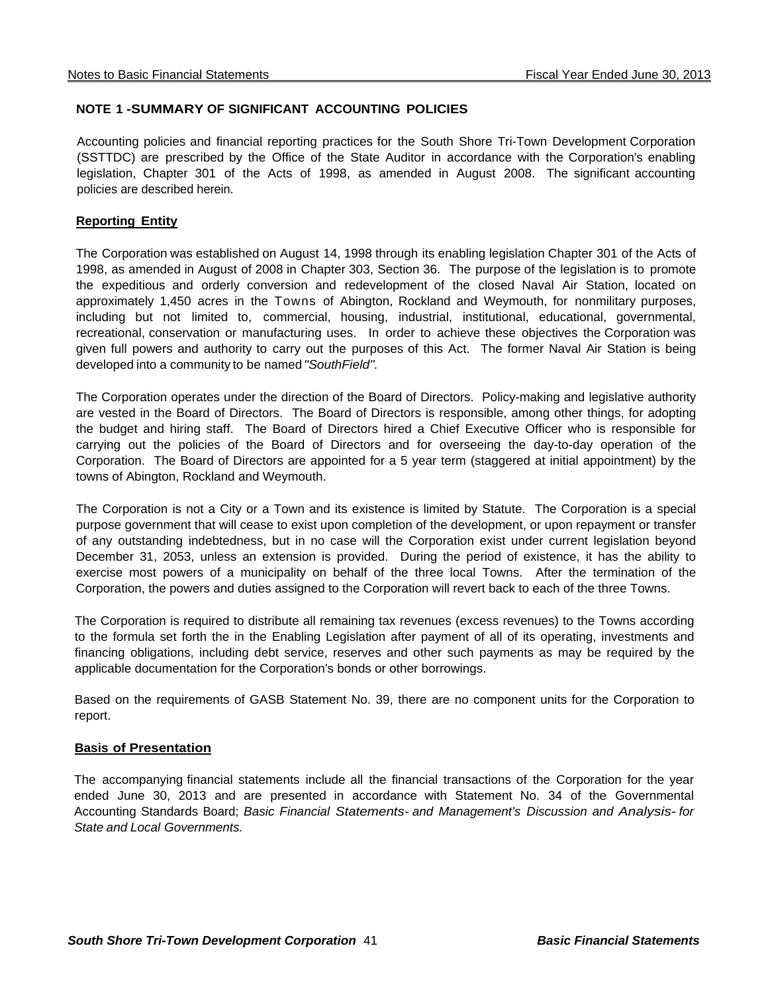#### **NOTE 1 -SUMMARY OF SIGNIFICANT ACCOUNTING POLICIES**

Accounting policies and financial reporting practices for the South Shore Tri-Town Development Corporation (SSTTDC) are prescribed by the Office of the State Auditor in accordance with the Corporation's enabling legislation, Chapter 301 of the Acts of 1998, as amended in August 2008. The significant accounting policies are described herein.

#### **Reporting Entity**

The Corporation was established on August 14, 1998 through its enabling legislation Chapter 301 of the Acts of 1998, as amended in August of 2008 in Chapter 303, Section 36. The purpose of the legislation is to promote the expeditious and orderly conversion and redevelopment of the closed Naval Air Station, located on approximately 1,450 acres in the Towns of Abington, Rockland and Weymouth, for nonmilitary purposes, including but not limited to, commercial, housing, industrial, institutional, educational, governmental, recreational, conservation or manufacturing uses. In order to achieve these objectives the Corporation was given full powers and authority to carry out the purposes of this Act. The former Naval Air Station is being developed into a community to be named *"SouthField''.*

The Corporation operates under the direction of the Board of Directors. Policy-making and legislative authority are vested in the Board of Directors. The Board of Directors is responsible, among other things, for adopting the budget and hiring staff. The Board of Directors hired a Chief Executive Officer who is responsible for carrying out the policies of the Board of Directors and for overseeing the day-to-day operation of the Corporation. The Board of Directors are appointed for a 5 year term (staggered at initial appointment) by the towns of Abington, Rockland and Weymouth.

The Corporation is not a City or a Town and its existence is limited by Statute. The Corporation is a special purpose government that will cease to exist upon completion of the development, or upon repayment or transfer of any outstanding indebtedness, but in no case will the Corporation exist under current legislation beyond December 31, 2053, unless an extension is provided. During the period of existence, it has the ability to exercise most powers of a municipality on behalf of the three local Towns. After the termination of the Corporation, the powers and duties assigned to the Corporation will revert back to each of the three Towns.

The Corporation is required to distribute all remaining tax revenues (excess revenues) to the Towns according to the formula set forth the in the Enabling Legislation after payment of all of its operating, investments and financing obligations, including debt service, reserves and other such payments as may be required by the applicable documentation for the Corporation's bonds or other borrowings.

Based on the requirements of GASB Statement No. 39, there are no component units for the Corporation to report.

#### **Basis of Presentation**

The accompanying financial statements include all the financial transactions of the Corporation for the year ended June 30, 2013 and are presented in accordance with Statement No. 34 of the Governmental Accounting Standards Board; *Basic Financial Statements- and Management's Discussion and Analysis- for State and Local Governments.*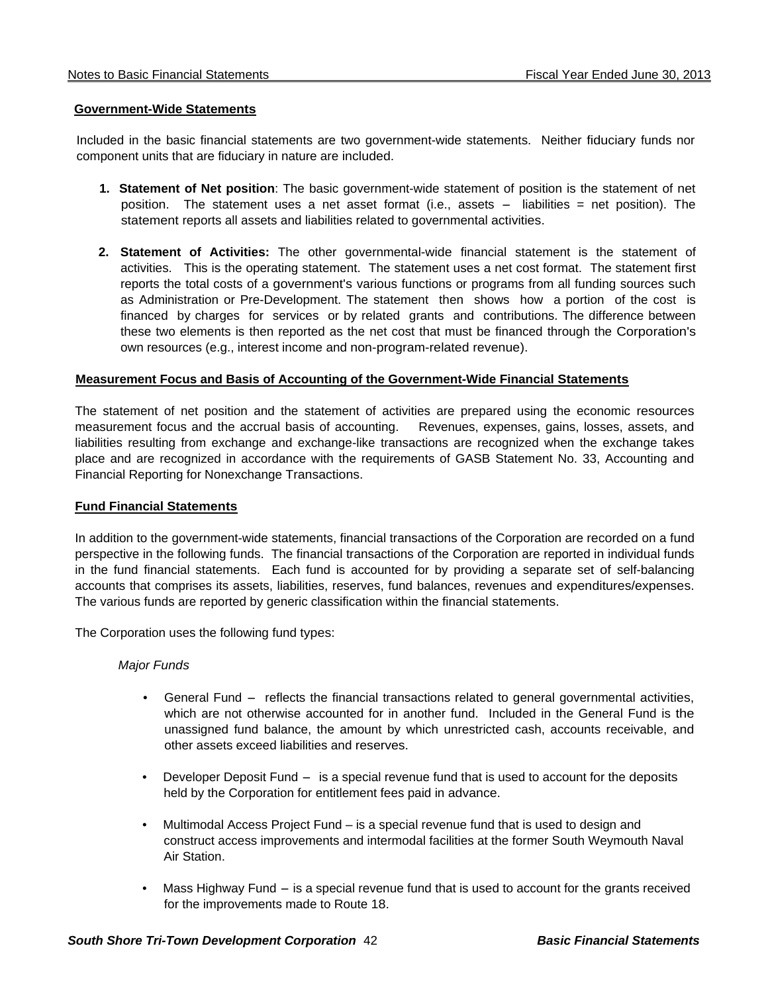#### **Government-Wide Statements**

Included in the basic financial statements are two government-wide statements. Neither fiduciary funds nor component units that are fiduciary in nature are included.

- **1. Statement of Net position**: The basic government-wide statement of position is the statement of net position. The statement uses a net asset format (i.e., assets  $-$  liabilities  $=$  net position). The statement reports all assets and liabilities related to governmental activities.
- **2. Statement of Activities:** The other governmental-wide financial statement is the statement of activities. This is the operating statement. The statement uses a net cost format. The statement first reports the total costs of a government's various functions or programs from all funding sources such as Administration or Pre-Development. The statement then shows how a portion of the cost is financed by charges for services or by related grants and contributions. The difference between these two elements is then reported as the net cost that must be financed through the Corporation's own resources (e.g., interest income and non-program-related revenue).

#### **Measurement Focus and Basis of Accounting of the Government-Wide Financial Statements**

The statement of net position and the statement of activities are prepared using the economic resources measurement focus and the accrual basis of accounting. Revenues, expenses, gains, losses, assets, and liabilities resulting from exchange and exchange-like transactions are recognized when the exchange takes place and are recognized in accordance with the requirements of GASB Statement No. 33, Accounting and Financial Reporting for Nonexchange Transactions.

#### **Fund Financial Statements**

In addition to the government-wide statements, financial transactions of the Corporation are recorded on a fund perspective in the following funds. The financial transactions of the Corporation are reported in individual funds in the fund financial statements. Each fund is accounted for by providing a separate set of self-balancing accounts that comprises its assets, liabilities, reserves, fund balances, revenues and expenditures/expenses. The various funds are reported by generic classification within the financial statements.

The Corporation uses the following fund types:

#### *Major Funds*

- General Fund reflects the financial transactions related to general governmental activities, which are not otherwise accounted for in another fund. Included in the General Fund is the unassigned fund balance, the amount by which unrestricted cash, accounts receivable, and other assets exceed liabilities and reserves.
- Developer Deposit Fund is a special revenue fund that is used to account for the deposits held by the Corporation for entitlement fees paid in advance.
- Multimodal Access Project Fund is a special revenue fund that is used to design and construct access improvements and intermodal facilities at the former South Weymouth Naval Air Station.
- Mass Highway Fund is a special revenue fund that is used to account for the grants received for the improvements made to Route 18.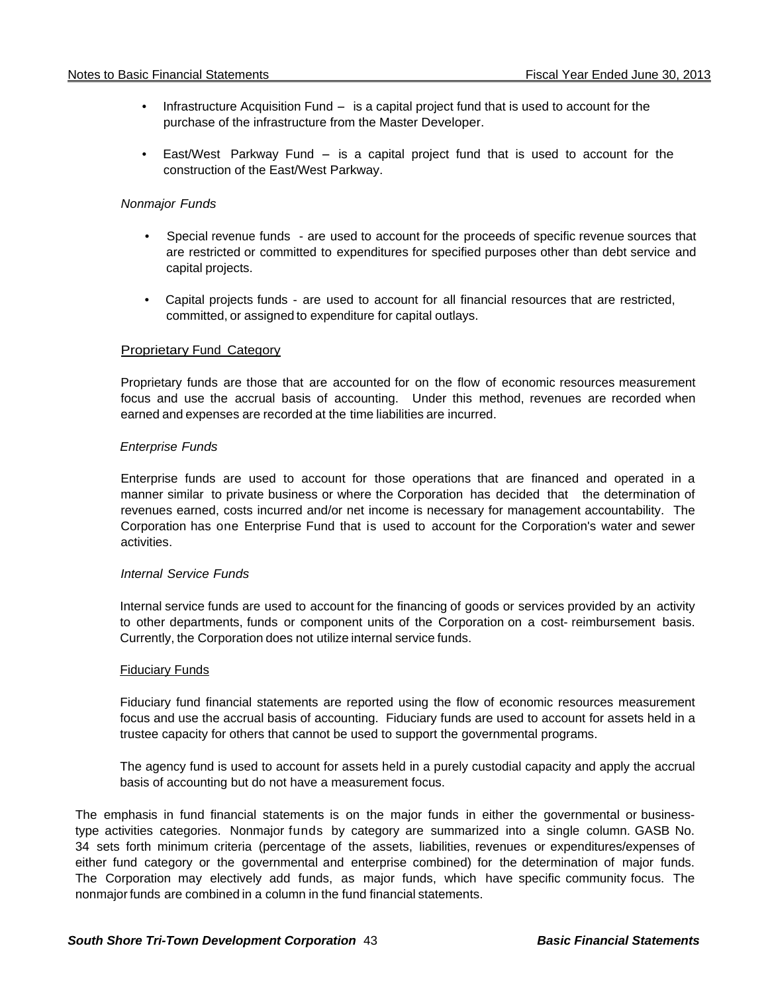- Infrastructure Acquisition Fund  $-$  is a capital project fund that is used to account for the purchase of the infrastructure from the Master Developer.
- East/West Parkway Fund is a capital project fund that is used to account for the construction of the East/West Parkway.

#### *Nonmajor Funds*

- Special revenue funds are used to account for the proceeds of specific revenue sources that are restricted or committed to expenditures for specified purposes other than debt service and capital projects.
- Capital projects funds are used to account for all financial resources that are restricted, committed, or assigned to expenditure for capital outlays.

#### Proprietary Fund Category

Proprietary funds are those that are accounted for on the flow of economic resources measurement focus and use the accrual basis of accounting. Under this method, revenues are recorded when earned and expenses are recorded at the time liabilities are incurred.

#### *Enterprise Funds*

Enterprise funds are used to account for those operations that are financed and operated in a manner similar to private business or where the Corporation has decided that the determination of revenues earned, costs incurred and/or net income is necessary for management accountability. The Corporation has one Enterprise Fund that is used to account for the Corporation's water and sewer activities.

#### *Internal Service Funds*

Internal service funds are used to account for the financing of goods or services provided by an activity to other departments, funds or component units of the Corporation on a cost- reimbursement basis. Currently, the Corporation does not utilize internal service funds.

#### Fiduciary Funds

Fiduciary fund financial statements are reported using the flow of economic resources measurement focus and use the accrual basis of accounting. Fiduciary funds are used to account for assets held in a trustee capacity for others that cannot be used to support the governmental programs.

The agency fund is used to account for assets held in a purely custodial capacity and apply the accrual basis of accounting but do not have a measurement focus.

The emphasis in fund financial statements is on the major funds in either the governmental or businesstype activities categories. Nonmajor funds by category are summarized into a single column. GASB No. 34 sets forth minimum criteria (percentage of the assets, liabilities, revenues or expenditures/expenses of either fund category or the governmental and enterprise combined) for the determination of major funds. The Corporation may electively add funds, as major funds, which have specific community focus. The nonmajor funds are combined in a column in the fund financial statements.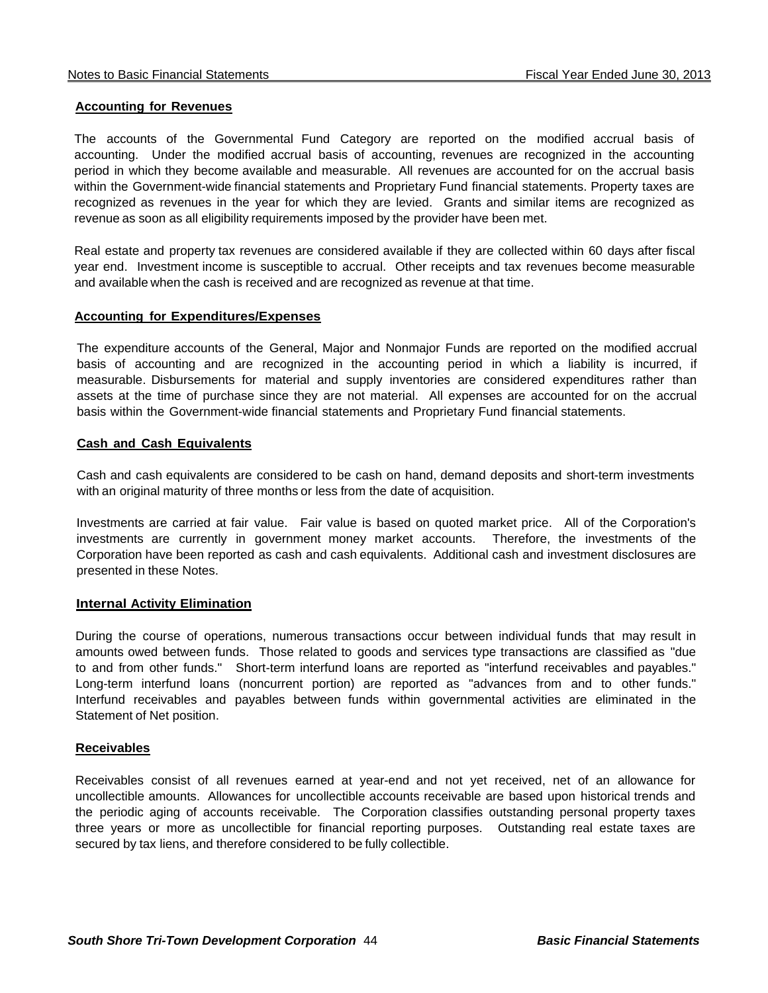#### **Accounting for Revenues**

The accounts of the Governmental Fund Category are reported on the modified accrual basis of accounting. Under the modified accrual basis of accounting, revenues are recognized in the accounting period in which they become available and measurable. All revenues are accounted for on the accrual basis within the Government-wide financial statements and Proprietary Fund financial statements. Property taxes are recognized as revenues in the year for which they are levied. Grants and similar items are recognized as revenue as soon as all eligibility requirements imposed by the provider have been met.

Real estate and property tax revenues are considered available if they are collected within 60 days after fiscal year end. Investment income is susceptible to accrual. Other receipts and tax revenues become measurable and available when the cash is received and are recognized as revenue at that time.

#### **Accounting for Expenditures/Expenses**

The expenditure accounts of the General, Major and Nonmajor Funds are reported on the modified accrual basis of accounting and are recognized in the accounting period in which a liability is incurred, if measurable. Disbursements for material and supply inventories are considered expenditures rather than assets at the time of purchase since they are not material. All expenses are accounted for on the accrual basis within the Government-wide financial statements and Proprietary Fund financial statements.

#### **Cash and Cash Equivalents**

Cash and cash equivalents are considered to be cash on hand, demand deposits and short-term investments with an original maturity of three months or less from the date of acquisition.

Investments are carried at fair value. Fair value is based on quoted market price. All of the Corporation's investments are currently in government money market accounts. Therefore, the investments of the Corporation have been reported as cash and cash equivalents. Additional cash and investment disclosures are presented in these Notes.

#### **Internal Activity Elimination**

During the course of operations, numerous transactions occur between individual funds that may result in amounts owed between funds. Those related to goods and services type transactions are classified as "due to and from other funds." Short-term interfund loans are reported as "interfund receivables and payables." Long-term interfund loans (noncurrent portion) are reported as "advances from and to other funds." Interfund receivables and payables between funds within governmental activities are eliminated in the Statement of Net position.

#### **Receivables**

Receivables consist of all revenues earned at year-end and not yet received, net of an allowance for uncollectible amounts. Allowances for uncollectible accounts receivable are based upon historical trends and the periodic aging of accounts receivable. The Corporation classifies outstanding personal property taxes three years or more as uncollectible for financial reporting purposes. Outstanding real estate taxes are secured by tax liens, and therefore considered to be fully collectible.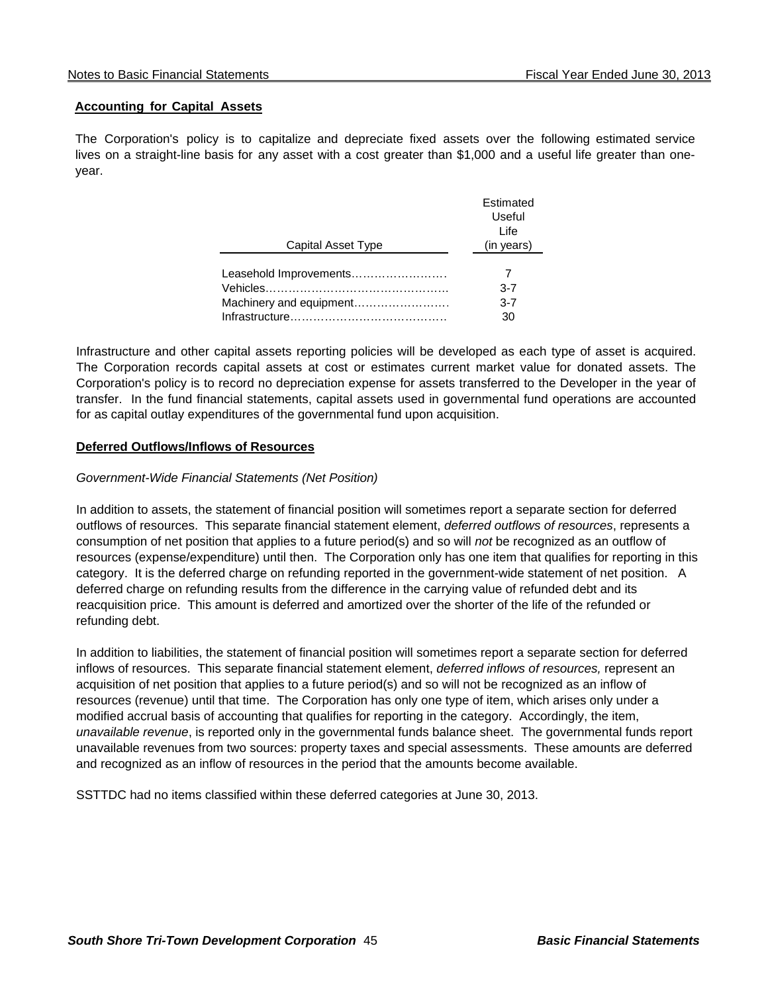#### **Accounting for Capital Assets**

The Corporation's policy is to capitalize and depreciate fixed assets over the following estimated service lives on a straight-line basis for any asset with a cost greater than \$1,000 and a useful life greater than oneyear.

|                         | Estimated<br>Useful<br>Life |
|-------------------------|-----------------------------|
| Capital Asset Type      | (in years)                  |
|                         |                             |
| Leasehold Improvements  |                             |
|                         | $3 - 7$                     |
| Machinery and equipment | $3 - 7$                     |
|                         | 30                          |

Infrastructure and other capital assets reporting policies will be developed as each type of asset is acquired. The Corporation records capital assets at cost or estimates current market value for donated assets. The Corporation's policy is to record no depreciation expense for assets transferred to the Developer in the year of transfer. In the fund financial statements, capital assets used in governmental fund operations are accounted for as capital outlay expenditures of the governmental fund upon acquisition.

#### **Deferred Outflows/Inflows of Resources**

#### *Government-Wide Financial Statements (Net Position)*

In addition to assets, the statement of financial position will sometimes report a separate section for deferred outflows of resources. This separate financial statement element, *deferred outflows of resources*, represents a consumption of net position that applies to a future period(s) and so will *not* be recognized as an outflow of resources (expense/expenditure) until then. The Corporation only has one item that qualifies for reporting in this category. It is the deferred charge on refunding reported in the government-wide statement of net position. A deferred charge on refunding results from the difference in the carrying value of refunded debt and its reacquisition price. This amount is deferred and amortized over the shorter of the life of the refunded or refunding debt.

In addition to liabilities, the statement of financial position will sometimes report a separate section for deferred inflows of resources. This separate financial statement element, *deferred inflows of resources,* represent an acquisition of net position that applies to a future period(s) and so will not be recognized as an inflow of resources (revenue) until that time. The Corporation has only one type of item, which arises only under a modified accrual basis of accounting that qualifies for reporting in the category. Accordingly, the item, *unavailable revenue*, is reported only in the governmental funds balance sheet. The governmental funds report unavailable revenues from two sources: property taxes and special assessments. These amounts are deferred and recognized as an inflow of resources in the period that the amounts become available.

SSTTDC had no items classified within these deferred categories at June 30, 2013.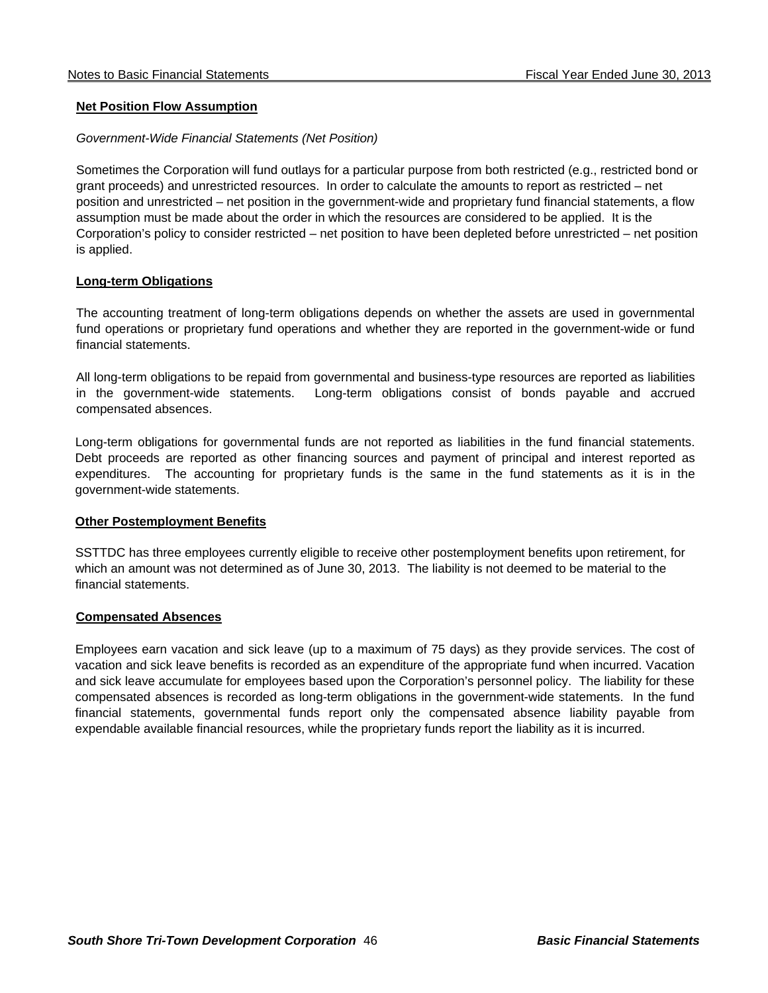#### **Net Position Flow Assumption**

#### *Government-Wide Financial Statements (Net Position)*

Sometimes the Corporation will fund outlays for a particular purpose from both restricted (e.g., restricted bond or grant proceeds) and unrestricted resources. In order to calculate the amounts to report as restricted – net position and unrestricted – net position in the government-wide and proprietary fund financial statements, a flow assumption must be made about the order in which the resources are considered to be applied. It is the Corporation's policy to consider restricted – net position to have been depleted before unrestricted – net position is applied.

#### **Long-term Obligations**

The accounting treatment of long-term obligations depends on whether the assets are used in governmental fund operations or proprietary fund operations and whether they are reported in the government-wide or fund financial statements.

All long-term obligations to be repaid from governmental and business-type resources are reported as liabilities in the government-wide statements. Long-term obligations consist of bonds payable and accrued compensated absences.

Long-term obligations for governmental funds are not reported as liabilities in the fund financial statements. Debt proceeds are reported as other financing sources and payment of principal and interest reported as expenditures. The accounting for proprietary funds is the same in the fund statements as it is in the government-wide statements.

#### **Other Postemployment Benefits**

SSTTDC has three employees currently eligible to receive other postemployment benefits upon retirement, for which an amount was not determined as of June 30, 2013. The liability is not deemed to be material to the financial statements.

#### **Compensated Absences**

Employees earn vacation and sick leave (up to a maximum of 75 days) as they provide services. The cost of vacation and sick leave benefits is recorded as an expenditure of the appropriate fund when incurred. Vacation and sick leave accumulate for employees based upon the Corporation's personnel policy. The liability for these compensated absences is recorded as long-term obligations in the government-wide statements. In the fund financial statements, governmental funds report only the compensated absence liability payable from expendable available financial resources, while the proprietary funds report the liability as it is incurred.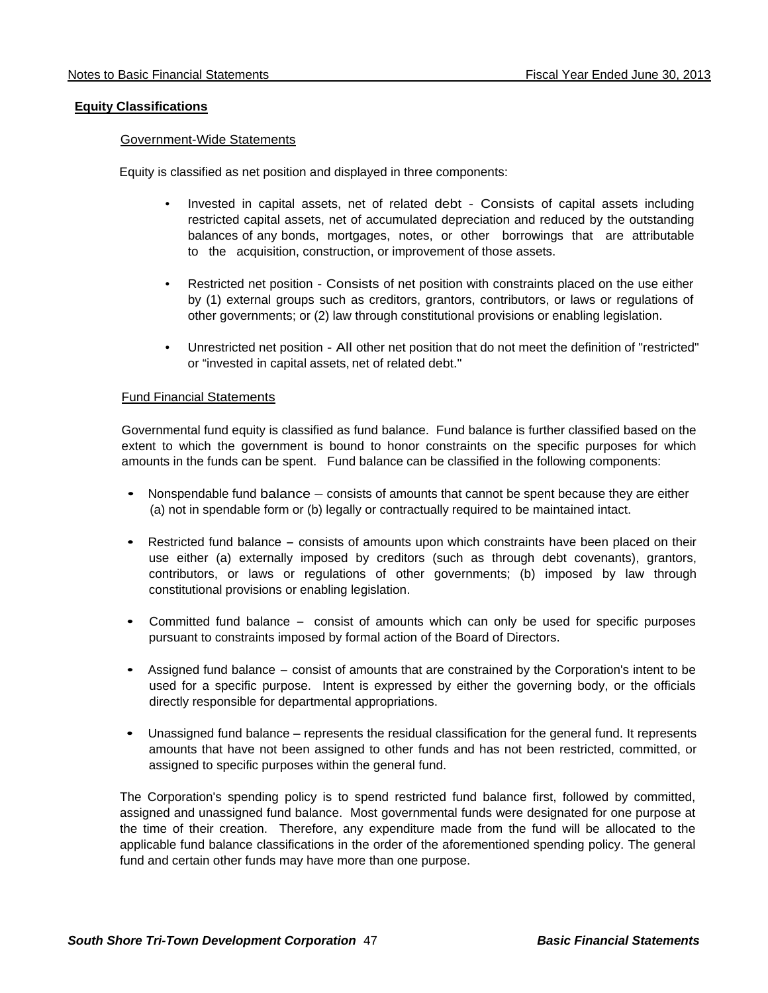## **Equity Classifications**

#### Government-Wide Statements

Equity is classified as net position and displayed in three components:

- Invested in capital assets, net of related debt Consists of capital assets including restricted capital assets, net of accumulated depreciation and reduced by the outstanding balances of any bonds, mortgages, notes, or other borrowings that are attributable to the acquisition, construction, or improvement of those assets.
- Restricted net position Consists of net position with constraints placed on the use either by (1) external groups such as creditors, grantors, contributors, or laws or regulations of other governments; or (2) law through constitutional provisions or enabling legislation.
- Unrestricted net position All other net position that do not meet the definition of "restricted" or "invested in capital assets, net of related debt."

#### Fund Financial Statements

Governmental fund equity is classified as fund balance. Fund balance is further classified based on the extent to which the government is bound to honor constraints on the specific purposes for which amounts in the funds can be spent. Fund balance can be classified in the following components:

- Nonspendable fund balance consists of amounts that cannot be spent because they are either (a) not in spendable form or (b) legally or contractually required to be maintained intact.
- Restricted fund balance consists of amounts upon which constraints have been placed on their use either (a) externally imposed by creditors (such as through debt covenants), grantors, contributors, or laws or regulations of other governments; (b) imposed by law through constitutional provisions or enabling legislation.
- Committed fund balance consist of amounts which can only be used for specific purposes pursuant to constraints imposed by formal action of the Board of Directors.
- Assigned fund balance consist of amounts that are constrained by the Corporation's intent to be used for a specific purpose. Intent is expressed by either the governing body, or the officials directly responsible for departmental appropriations.
- Unassigned fund balance represents the residual classification for the general fund. It represents amounts that have not been assigned to other funds and has not been restricted, committed, or assigned to specific purposes within the general fund.

The Corporation's spending policy is to spend restricted fund balance first, followed by committed, assigned and unassigned fund balance. Most governmental funds were designated for one purpose at the time of their creation. Therefore, any expenditure made from the fund will be allocated to the applicable fund balance classifications in the order of the aforementioned spending policy. The general fund and certain other funds may have more than one purpose.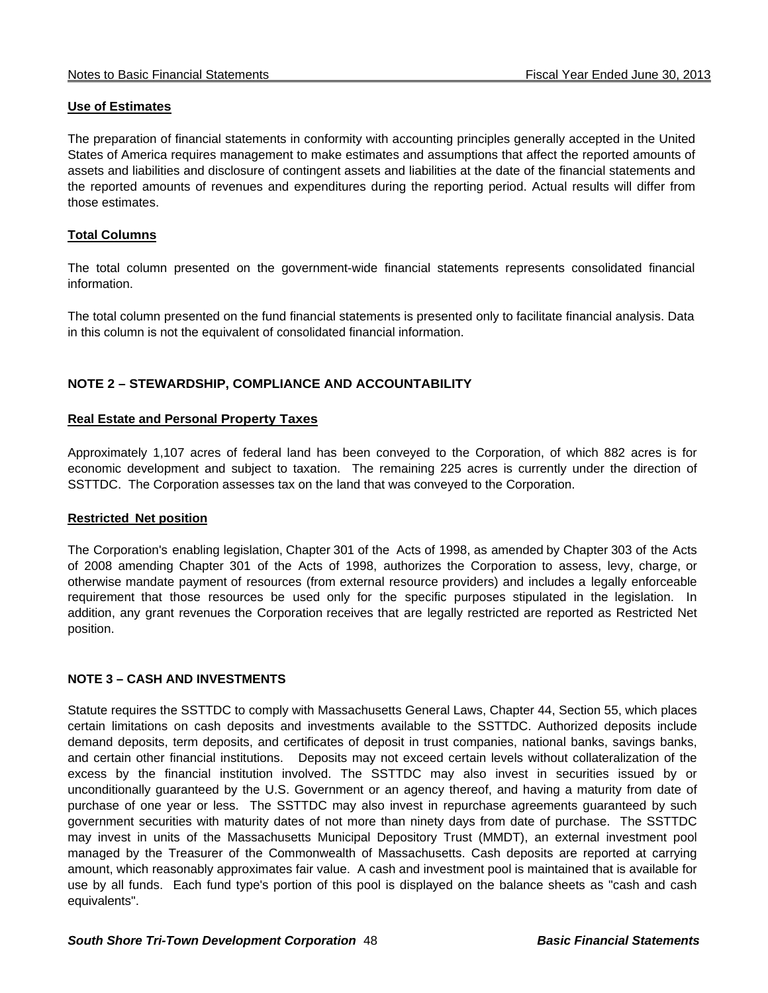#### **Use of Estimates**

The preparation of financial statements in conformity with accounting principles generally accepted in the United States of America requires management to make estimates and assumptions that affect the reported amounts of assets and liabilities and disclosure of contingent assets and liabilities at the date of the financial statements and the reported amounts of revenues and expenditures during the reporting period. Actual results will differ from those estimates.

#### **Total Columns**

The total column presented on the government-wide financial statements represents consolidated financial information.

The total column presented on the fund financial statements is presented only to facilitate financial analysis. Data in this column is not the equivalent of consolidated financial information.

## **NOTE 2 – STEWARDSHIP, COMPLIANCE AND ACCOUNTABILITY**

#### **Real Estate and Personal Property Taxes**

Approximately 1,107 acres of federal land has been conveyed to the Corporation, of which 882 acres is for economic development and subject to taxation. The remaining 225 acres is currently under the direction of SSTTDC. The Corporation assesses tax on the land that was conveyed to the Corporation.

#### **Restricted Net position**

The Corporation's enabling legislation, Chapter 301 of the Acts of 1998, as amended by Chapter 303 of the Acts of 2008 amending Chapter 301 of the Acts of 1998, authorizes the Corporation to assess, levy, charge, or otherwise mandate payment of resources (from external resource providers) and includes a legally enforceable requirement that those resources be used only for the specific purposes stipulated in the legislation. In addition, any grant revenues the Corporation receives that are legally restricted are reported as Restricted Net position.

#### **NOTE 3 – CASH AND INVESTMENTS**

Statute requires the SSTTDC to comply with Massachusetts General Laws, Chapter 44, Section 55, which places certain limitations on cash deposits and investments available to the SSTTDC. Authorized deposits include demand deposits, term deposits, and certificates of deposit in trust companies, national banks, savings banks, and certain other financial institutions. Deposits may not exceed certain levels without collateralization of the excess by the financial institution involved. The SSTTDC may also invest in securities issued by or unconditionally guaranteed by the U.S. Government or an agency thereof, and having a maturity from date of purchase of one year or less. The SSTTDC may also invest in repurchase agreements guaranteed by such government securities with maturity dates of not more than ninety days from date of purchase. The SSTTDC may invest in units of the Massachusetts Municipal Depository Trust (MMDT), an external investment pool managed by the Treasurer of the Commonwealth of Massachusetts. Cash deposits are reported at carrying amount, which reasonably approximates fair value. A cash and investment pool is maintained that is available for use by all funds. Each fund type's portion of this pool is displayed on the balance sheets as "cash and cash equivalents".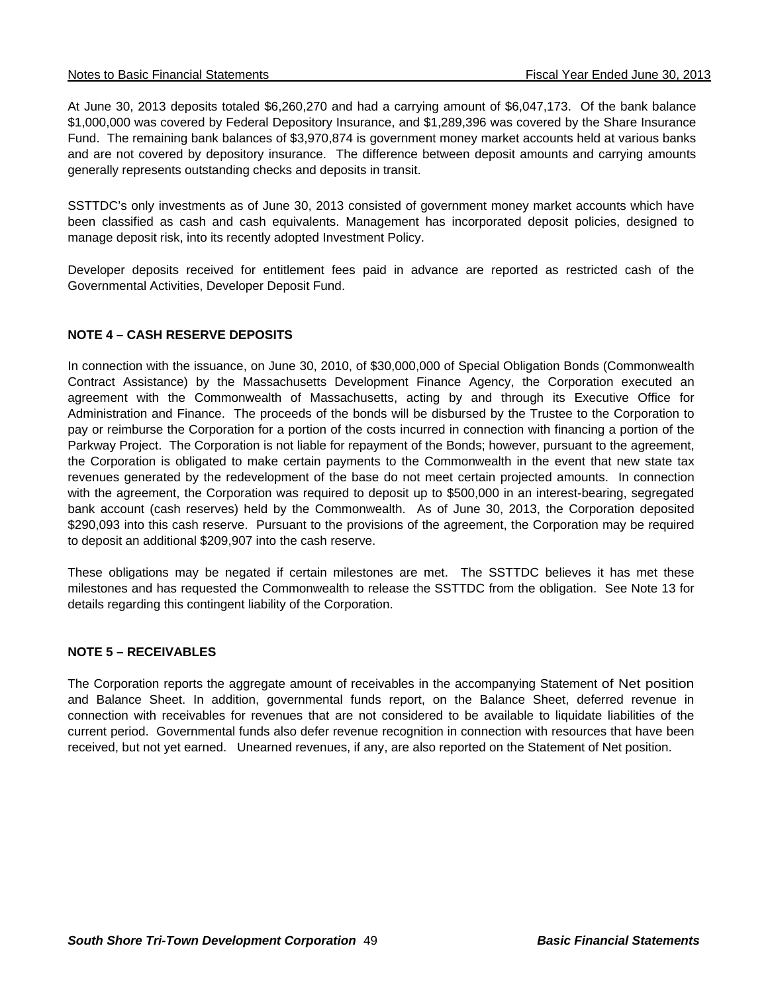At June 30, 2013 deposits totaled \$6,260,270 and had a carrying amount of \$6,047,173. Of the bank balance \$1,000,000 was covered by Federal Depository Insurance, and \$1,289,396 was covered by the Share Insurance Fund. The remaining bank balances of \$3,970,874 is government money market accounts held at various banks and are not covered by depository insurance. The difference between deposit amounts and carrying amounts generally represents outstanding checks and deposits in transit.

SSTTDC's only investments as of June 30, 2013 consisted of government money market accounts which have been classified as cash and cash equivalents. Management has incorporated deposit policies, designed to manage deposit risk, into its recently adopted Investment Policy.

Developer deposits received for entitlement fees paid in advance are reported as restricted cash of the Governmental Activities, Developer Deposit Fund.

## **NOTE 4 – CASH RESERVE DEPOSITS**

In connection with the issuance, on June 30, 2010, of \$30,000,000 of Special Obligation Bonds (Commonwealth Contract Assistance) by the Massachusetts Development Finance Agency, the Corporation executed an agreement with the Commonwealth of Massachusetts, acting by and through its Executive Office for Administration and Finance. The proceeds of the bonds will be disbursed by the Trustee to the Corporation to pay or reimburse the Corporation for a portion of the costs incurred in connection with financing a portion of the Parkway Project. The Corporation is not liable for repayment of the Bonds; however, pursuant to the agreement, the Corporation is obligated to make certain payments to the Commonwealth in the event that new state tax revenues generated by the redevelopment of the base do not meet certain projected amounts. In connection with the agreement, the Corporation was required to deposit up to \$500,000 in an interest-bearing, segregated bank account (cash reserves) held by the Commonwealth. As of June 30, 2013, the Corporation deposited \$290,093 into this cash reserve. Pursuant to the provisions of the agreement, the Corporation may be required to deposit an additional \$209,907 into the cash reserve.

These obligations may be negated if certain milestones are met. The SSTTDC believes it has met these milestones and has requested the Commonwealth to release the SSTTDC from the obligation. See Note 13 for details regarding this contingent liability of the Corporation.

#### **NOTE 5 – RECEIVABLES**

The Corporation reports the aggregate amount of receivables in the accompanying Statement of Net position and Balance Sheet. In addition, governmental funds report, on the Balance Sheet, deferred revenue in connection with receivables for revenues that are not considered to be available to liquidate liabilities of the current period. Governmental funds also defer revenue recognition in connection with resources that have been received, but not yet earned. Unearned revenues, if any, are also reported on the Statement of Net position.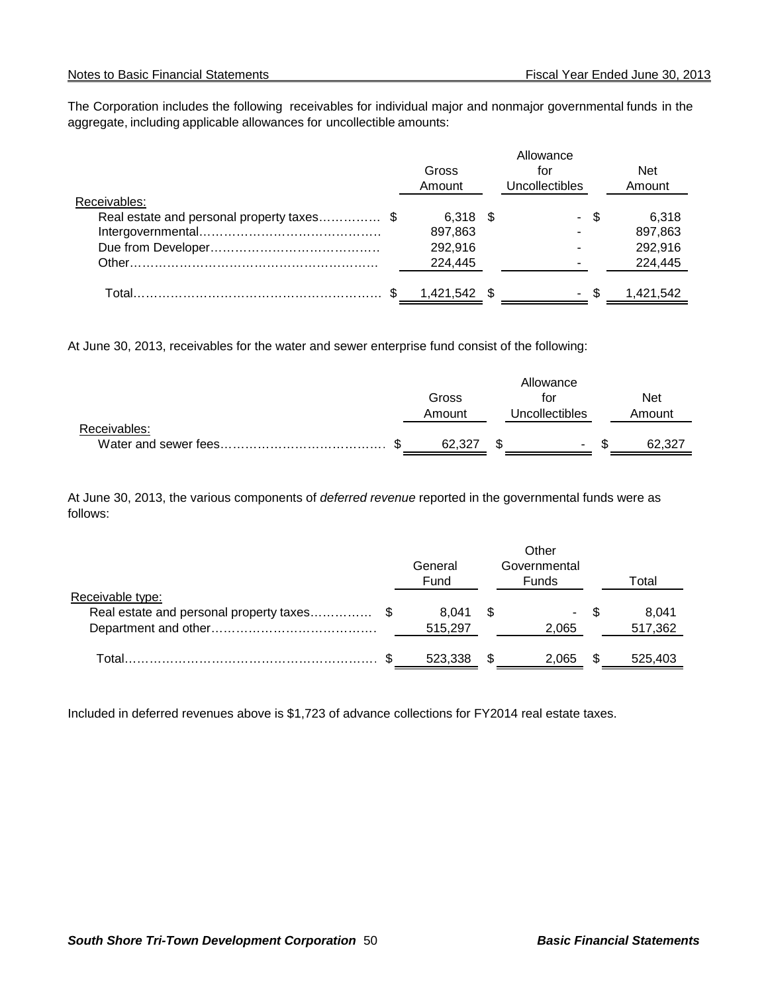The Corporation includes the following receivables for individual major and nonmajor governmental funds in the aggregate, including applicable allowances for uncollectible amounts:

|                                           | Allowance    |  |                |        |           |  |  |
|-------------------------------------------|--------------|--|----------------|--------|-----------|--|--|
|                                           | Gross        |  |                | tor    |           |  |  |
|                                           | Amount       |  | Uncollectibles | Amount |           |  |  |
| Receivables:                              |              |  |                |        |           |  |  |
| Real estate and personal property taxes\$ | $6,318$ \$   |  |                | - \$   | 6,318     |  |  |
|                                           | 897,863      |  |                |        | 897,863   |  |  |
|                                           | 292,916      |  |                |        | 292,916   |  |  |
|                                           | 224,445      |  |                |        | 224,445   |  |  |
|                                           |              |  |                |        |           |  |  |
| Total………………………………………………………                | 1,421,542 \$ |  |                | - \$   | 1,421,542 |  |  |

At June 30, 2013, receivables for the water and sewer enterprise fund consist of the following:

|              |              | Allowance |  |                |     |        |  |  |
|--------------|--------------|-----------|--|----------------|-----|--------|--|--|
|              | Gross<br>tor |           |  |                | Net |        |  |  |
|              |              | Amount    |  | Uncollectibles |     | Amount |  |  |
| Receivables: |              |           |  |                |     |        |  |  |
|              |              | 62.327    |  | ۰              |     |        |  |  |

At June 30, 2013, the various components of *deferred revenue* reported in the governmental funds were as follows:

|                                                               | General<br>Fund  | Other<br>Governmental<br><b>Funds</b> |     | Total            |
|---------------------------------------------------------------|------------------|---------------------------------------|-----|------------------|
| Receivable type:<br>Real estate and personal property taxes\$ | 8.041<br>515,297 | 2.065                                 | S S | 8.041<br>517,362 |
| Total.                                                        | 523,338          | 2.065                                 |     | 525,403          |

Included in deferred revenues above is \$1,723 of advance collections for FY2014 real estate taxes.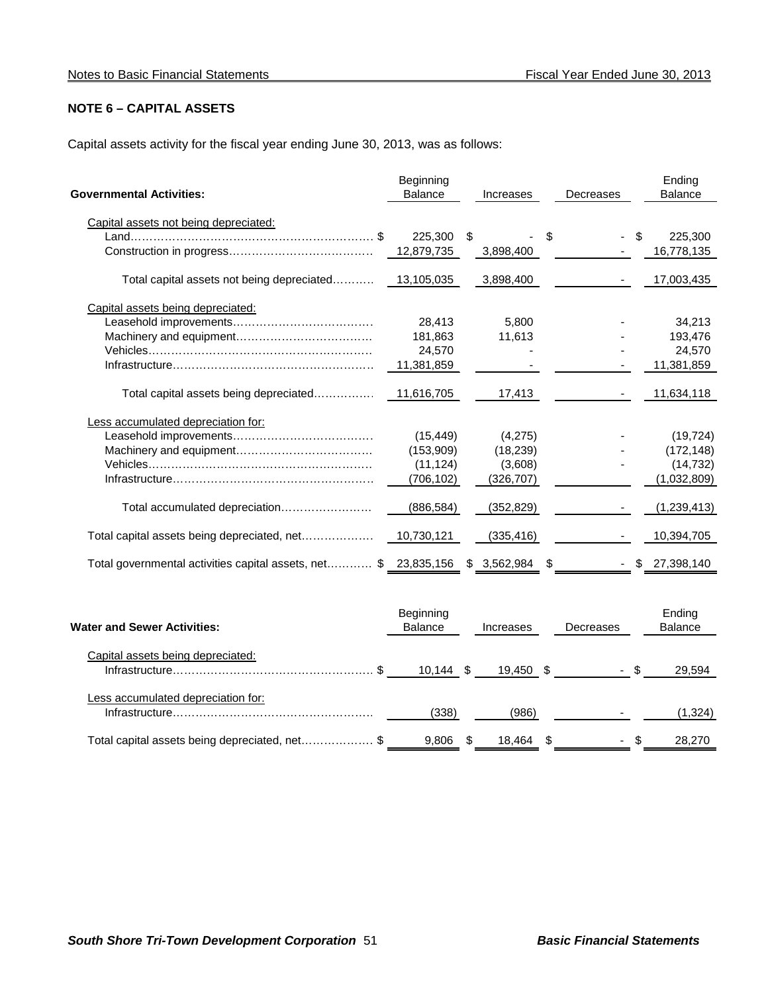## **NOTE 6 – CAPITAL ASSETS**

Capital assets activity for the fiscal year ending June 30, 2013, was as follows:

| <b>Governmental Activities:</b>                                 | Beginning<br><b>Balance</b> | <b>Increases</b> | Decreases |     | Ending<br><b>Balance</b> |
|-----------------------------------------------------------------|-----------------------------|------------------|-----------|-----|--------------------------|
| Capital assets not being depreciated:                           |                             |                  |           |     |                          |
|                                                                 | 225,300                     | - \$             | \$        | \$. | 225,300                  |
|                                                                 | 12,879,735                  | 3,898,400        |           |     | 16,778,135               |
|                                                                 |                             | 3,898,400        |           |     | 17,003,435               |
| Capital assets being depreciated:                               |                             |                  |           |     |                          |
|                                                                 | 28,413                      | 5,800            |           |     | 34,213                   |
|                                                                 | 181,863                     | 11,613           |           |     | 193,476                  |
|                                                                 | 24,570                      |                  |           |     | 24,570                   |
|                                                                 | 11,381,859                  |                  |           |     | 11,381,859               |
| Total capital assets being depreciated                          | 11,616,705                  | 17,413           | $\sim$    |     | 11,634,118               |
| Less accumulated depreciation for:                              |                             |                  |           |     |                          |
|                                                                 | (15, 449)                   | (4,275)          |           |     | (19, 724)                |
|                                                                 | (153,909)                   | (18, 239)        |           |     | (172, 148)               |
|                                                                 | (11, 124)                   | (3,608)          |           |     | (14, 732)                |
|                                                                 | (706, 102)                  | (326, 707)       |           |     | (1,032,809)              |
| Total accumulated depreciation                                  | (886, 584)                  | (352, 829)       |           |     | (1, 239, 413)            |
| Total capital assets being depreciated, net                     | 10,730,121                  | (335, 416)       |           |     | 10,394,705               |
| Total governmental activities capital assets, net \$ 23,835,156 |                             | \$ 3,562,984     |           |     | \$ 27,398,140            |

| <b>Water and Sewer Activities:</b>            | Beginning<br><b>Balance</b> | Increases | Decreases                | Ending<br><b>Balance</b> |
|-----------------------------------------------|-----------------------------|-----------|--------------------------|--------------------------|
| Capital assets being depreciated:             | $10.144$ \$                 | 19,450 \$ | $\overline{\phantom{a}}$ | 29,594                   |
| Less accumulated depreciation for:            | (338)                       | (986)     |                          | (1,324)                  |
| Total capital assets being depreciated, net\$ | 9,806                       | 18,464    | $\overline{\phantom{0}}$ | 28,270                   |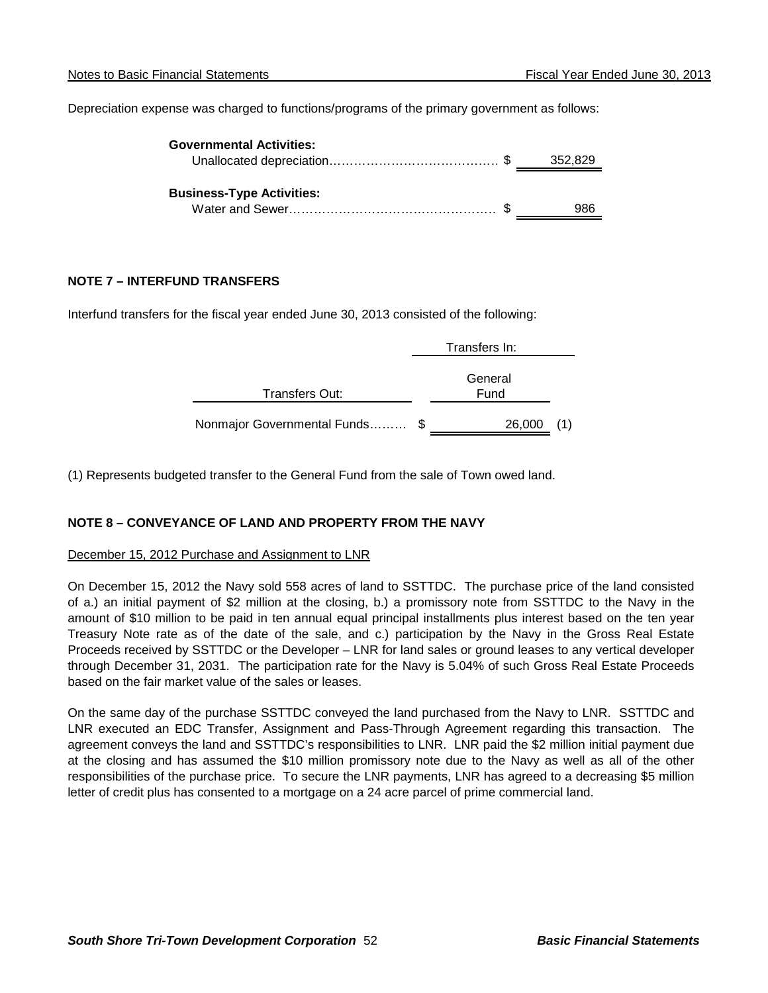Depreciation expense was charged to functions/programs of the primary government as follows:

| <b>Governmental Activities:</b>  |         |
|----------------------------------|---------|
|                                  | 352.829 |
| <b>Business-Type Activities:</b> | 986     |

#### **NOTE 7 – INTERFUND TRANSFERS**

Interfund transfers for the fiscal year ended June 30, 2013 consisted of the following:

|                                | Transfers In: |                 |     |  |
|--------------------------------|---------------|-----------------|-----|--|
| Transfers Out:                 |               | General<br>Fund |     |  |
| Nonmajor Governmental Funds \$ |               | 26,000          | (1) |  |

(1) Represents budgeted transfer to the General Fund from the sale of Town owed land.

#### **NOTE 8 – CONVEYANCE OF LAND AND PROPERTY FROM THE NAVY**

#### December 15, 2012 Purchase and Assignment to LNR

On December 15, 2012 the Navy sold 558 acres of land to SSTTDC. The purchase price of the land consisted of a.) an initial payment of \$2 million at the closing, b.) a promissory note from SSTTDC to the Navy in the amount of \$10 million to be paid in ten annual equal principal installments plus interest based on the ten year Treasury Note rate as of the date of the sale, and c.) participation by the Navy in the Gross Real Estate Proceeds received by SSTTDC or the Developer – LNR for land sales or ground leases to any vertical developer through December 31, 2031. The participation rate for the Navy is 5.04% of such Gross Real Estate Proceeds based on the fair market value of the sales or leases.

On the same day of the purchase SSTTDC conveyed the land purchased from the Navy to LNR. SSTTDC and LNR executed an EDC Transfer, Assignment and Pass-Through Agreement regarding this transaction. The agreement conveys the land and SSTTDC's responsibilities to LNR. LNR paid the \$2 million initial payment due at the closing and has assumed the \$10 million promissory note due to the Navy as well as all of the other responsibilities of the purchase price. To secure the LNR payments, LNR has agreed to a decreasing \$5 million letter of credit plus has consented to a mortgage on a 24 acre parcel of prime commercial land.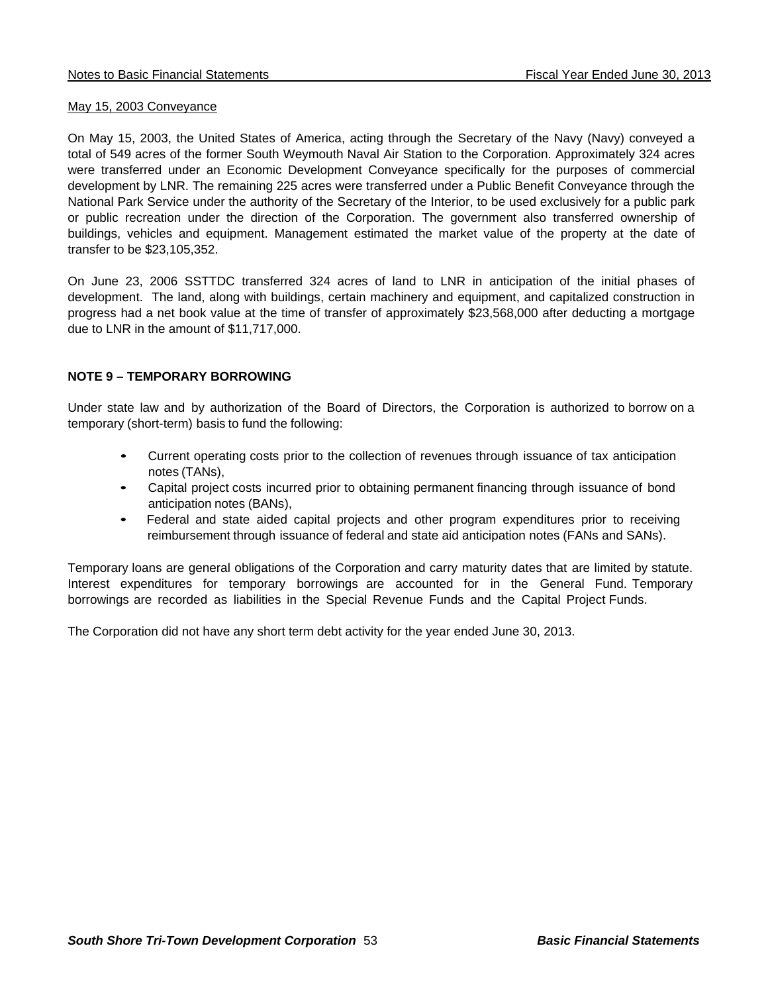#### May 15, 2003 Conveyance

On May 15, 2003, the United States of America, acting through the Secretary of the Navy (Navy) conveyed a total of 549 acres of the former South Weymouth Naval Air Station to the Corporation. Approximately 324 acres were transferred under an Economic Development Conveyance specifically for the purposes of commercial development by LNR. The remaining 225 acres were transferred under a Public Benefit Conveyance through the National Park Service under the authority of the Secretary of the Interior, to be used exclusively for a public park or public recreation under the direction of the Corporation. The government also transferred ownership of buildings, vehicles and equipment. Management estimated the market value of the property at the date of transfer to be \$23,105,352.

On June 23, 2006 SSTTDC transferred 324 acres of land to LNR in anticipation of the initial phases of development. The land, along with buildings, certain machinery and equipment, and capitalized construction in progress had a net book value at the time of transfer of approximately \$23,568,000 after deducting a mortgage due to LNR in the amount of \$11,717,000.

#### **NOTE 9 – TEMPORARY BORROWING**

Under state law and by authorization of the Board of Directors, the Corporation is authorized to borrow on a temporary (short-term) basis to fund the following:

- Current operating costs prior to the collection of revenues through issuance of tax anticipation notes (TANs),
- Capital project costs incurred prior to obtaining permanent financing through issuance of bond anticipation notes (BANs),
- Federal and state aided capital projects and other program expenditures prior to receiving reimbursement through issuance of federal and state aid anticipation notes (FANs and SANs).

Temporary loans are general obligations of the Corporation and carry maturity dates that are limited by statute. Interest expenditures for temporary borrowings are accounted for in the General Fund. Temporary borrowings are recorded as liabilities in the Special Revenue Funds and the Capital Project Funds.

The Corporation did not have any short term debt activity for the year ended June 30, 2013.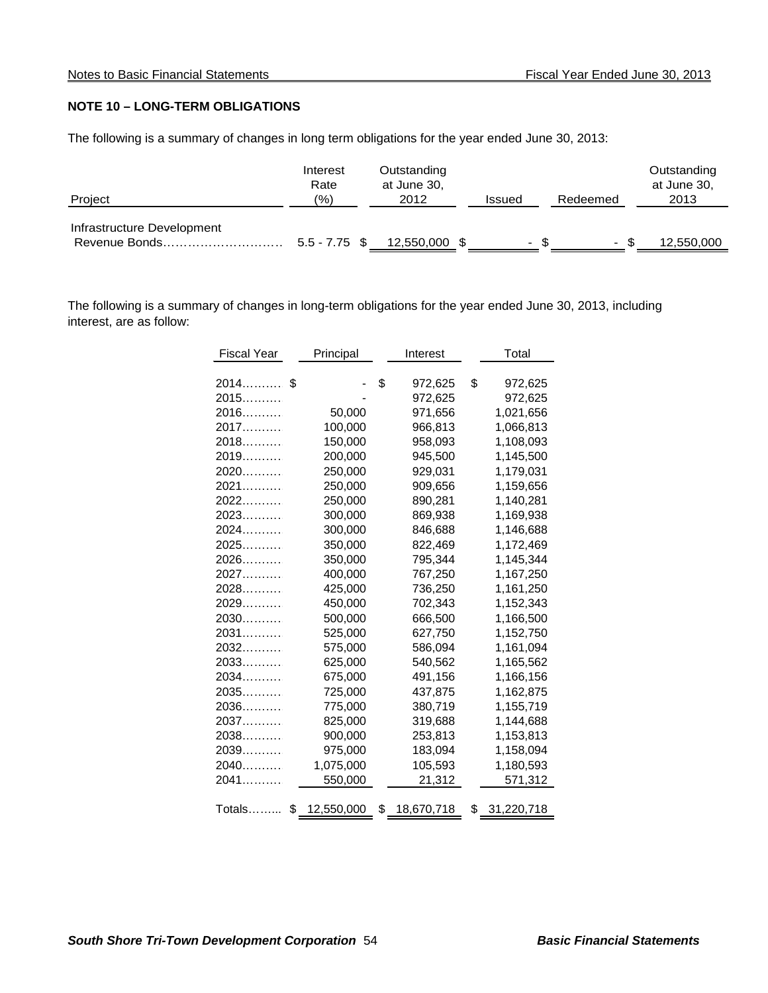## **NOTE 10 – LONG-TERM OBLIGATIONS**

The following is a summary of changes in long term obligations for the year ended June 30, 2013:

| Project                                     | Interest<br>Rate<br>(9) | Outstanding<br>at June 30,<br>2012 | Issued       | Redeemed       | Outstanding<br>at June 30,<br>2013 |
|---------------------------------------------|-------------------------|------------------------------------|--------------|----------------|------------------------------------|
| Infrastructure Development<br>Revenue Bonds | $5.5 - 7.75$ \$         | 12,550,000 \$                      | £.<br>$\sim$ | $\blacksquare$ | 12,550,000                         |

The following is a summary of changes in long-term obligations for the year ended June 30, 2013, including interest, are as follow:

| Fiscal Year | Principal    | Interest      | Total         |
|-------------|--------------|---------------|---------------|
|             |              |               |               |
| 2014        | \$           | \$<br>972,625 | \$<br>972,625 |
| 2015        |              | 972,625       | 972,625       |
| 2016        | 50,000       | 971,656       | 1,021,656     |
| 2017        | 100,000      | 966,813       | 1,066,813     |
| 2018        | 150,000      | 958,093       | 1,108,093     |
| 2019        | 200,000      | 945,500       | 1,145,500     |
| 2020        | 250,000      | 929,031       | 1,179,031     |
| 2021        | 250,000      | 909,656       | 1,159,656     |
| 2022        | 250,000      | 890,281       | 1,140,281     |
| 2023        | 300,000      | 869,938       | 1,169,938     |
| $2024$      | 300,000      | 846,688       | 1,146,688     |
| 2025        | 350,000      | 822,469       | 1,172,469     |
| 2026        | 350,000      | 795,344       | 1,145,344     |
| 2027        | 400,000      | 767,250       | 1,167,250     |
| 2028        | 425,000      | 736,250       | 1,161,250     |
| 2029        | 450,000      | 702,343       | 1,152,343     |
| 2030        | 500,000      | 666,500       | 1,166,500     |
| 2031        | 525,000      | 627,750       | 1,152,750     |
| 2032        | 575,000      | 586,094       | 1,161,094     |
| 2033        | 625,000      | 540,562       | 1,165,562     |
| 2034        | 675,000      | 491,156       | 1,166,156     |
| 2035        | 725,000      | 437,875       | 1,162,875     |
| 2036        | 775,000      | 380,719       | 1,155,719     |
| 2037        | 825,000      | 319,688       | 1,144,688     |
| 2038        | 900,000      | 253,813       | 1,153,813     |
| 2039        | 975,000      | 183,094       | 1,158,094     |
| 2040        | 1,075,000    | 105,593       | 1,180,593     |
| 2041        | 550,000      | 21,312        | 571,312       |
|             |              |               |               |
| Totals      | \$12,550,000 | \$18,670,718  | \$ 31,220,718 |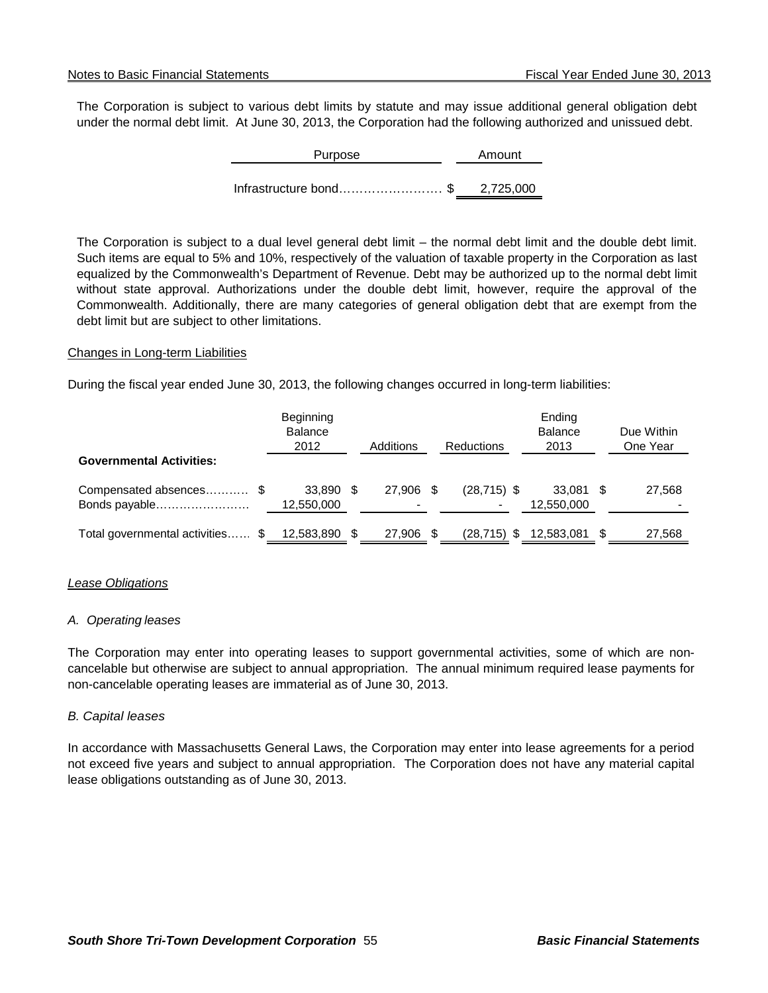The Corporation is subject to various debt limits by statute and may issue additional general obligation debt under the normal debt limit. At June 30, 2013, the Corporation had the following authorized and unissued debt.

Purpose Amount

Infrastructure bond………………………\$ 2,725,000

The Corporation is subject to a dual level general debt limit – the normal debt limit and the double debt limit. Such items are equal to 5% and 10%, respectively of the valuation of taxable property in the Corporation as last equalized by the Commonwealth's Department of Revenue. Debt may be authorized up to the normal debt limit without state approval. Authorizations under the double debt limit, however, require the approval of the Commonwealth. Additionally, there are many categories of general obligation debt that are exempt from the debt limit but are subject to other limitations.

#### Changes in Long-term Liabilities

During the fiscal year ended June 30, 2013, the following changes occurred in long-term liabilities:

|                                             | Beginning<br><b>Balance</b><br>2012 |    | Additions |      | <b>Reductions</b> | Ending<br><b>Balance</b><br>2013 |   | Due Within<br>One Year |
|---------------------------------------------|-------------------------------------|----|-----------|------|-------------------|----------------------------------|---|------------------------|
| <b>Governmental Activities:</b>             |                                     |    |           |      |                   |                                  |   |                        |
| Compensated absences \$<br>Bonds payable    | 33,890 \$<br>12,550,000             |    | 27.906 \$ |      | $(28, 715)$ \$    | 33.081<br>12,550,000             | S | 27,568                 |
| Total governmental activities \$ 12,583,890 |                                     | S. | 27,906    | - SS | $(28, 715)$ \$    | 12,583,081                       |   | 27,568                 |

#### *Lease Obligations*

#### *A. Operating leases*

The Corporation may enter into operating leases to support governmental activities, some of which are noncancelable but otherwise are subject to annual appropriation. The annual minimum required lease payments for non-cancelable operating leases are immaterial as of June 30, 2013.

#### *B. Capital leases*

In accordance with Massachusetts General Laws, the Corporation may enter into lease agreements for a period not exceed five years and subject to annual appropriation. The Corporation does not have any material capital lease obligations outstanding as of June 30, 2013.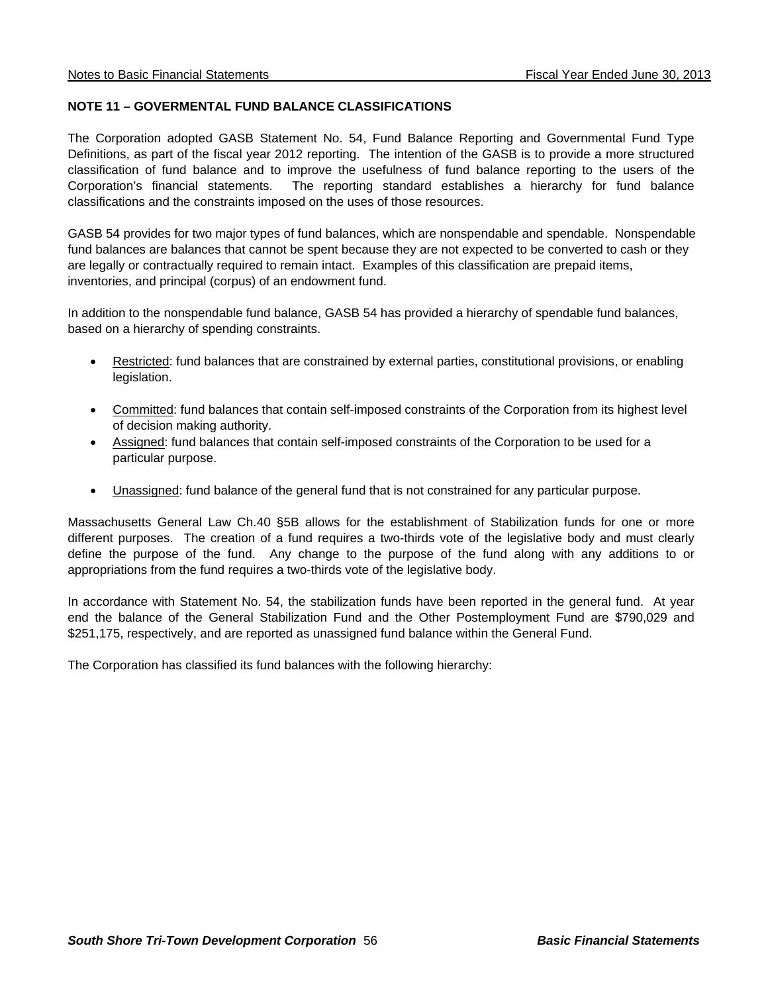#### **NOTE 11 – GOVERMENTAL FUND BALANCE CLASSIFICATIONS**

The Corporation adopted GASB Statement No. 54, Fund Balance Reporting and Governmental Fund Type Definitions, as part of the fiscal year 2012 reporting. The intention of the GASB is to provide a more structured classification of fund balance and to improve the usefulness of fund balance reporting to the users of the Corporation's financial statements. The reporting standard establishes a hierarchy for fund balance classifications and the constraints imposed on the uses of those resources.

GASB 54 provides for two major types of fund balances, which are nonspendable and spendable. Nonspendable fund balances are balances that cannot be spent because they are not expected to be converted to cash or they are legally or contractually required to remain intact. Examples of this classification are prepaid items, inventories, and principal (corpus) of an endowment fund.

In addition to the nonspendable fund balance, GASB 54 has provided a hierarchy of spendable fund balances, based on a hierarchy of spending constraints.

- Restricted: fund balances that are constrained by external parties, constitutional provisions, or enabling legislation.
- Committed: fund balances that contain self-imposed constraints of the Corporation from its highest level of decision making authority.
- Assigned: fund balances that contain self-imposed constraints of the Corporation to be used for a particular purpose.
- Unassigned: fund balance of the general fund that is not constrained for any particular purpose.

Massachusetts General Law Ch.40 §5B allows for the establishment of Stabilization funds for one or more different purposes. The creation of a fund requires a two-thirds vote of the legislative body and must clearly define the purpose of the fund. Any change to the purpose of the fund along with any additions to or appropriations from the fund requires a two-thirds vote of the legislative body.

In accordance with Statement No. 54, the stabilization funds have been reported in the general fund. At year end the balance of the General Stabilization Fund and the Other Postemployment Fund are \$790,029 and \$251,175, respectively, and are reported as unassigned fund balance within the General Fund.

The Corporation has classified its fund balances with the following hierarchy: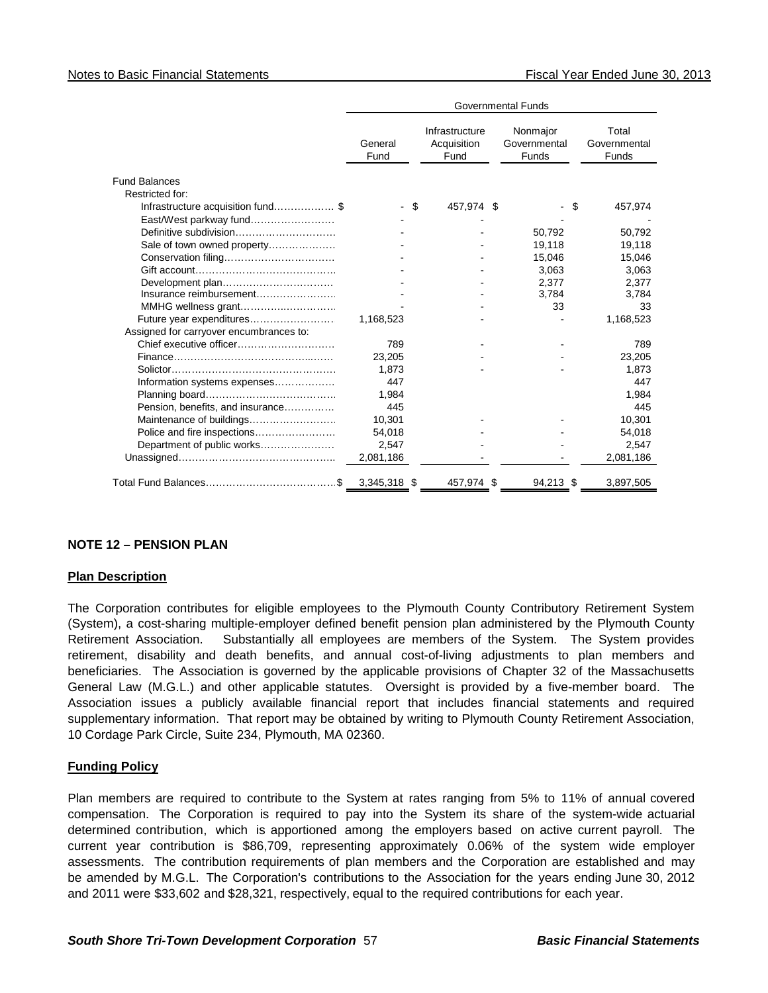#### Notes to Basic Financial Statements **Fiscal Year Ended June 30, 2013** Fiscal Year Ended June 30, 2013

|                                         | <b>Governmental Funds</b> |                                       |           |                                   |  |                                |  |  |
|-----------------------------------------|---------------------------|---------------------------------------|-----------|-----------------------------------|--|--------------------------------|--|--|
|                                         | General<br>Fund           | Infrastructure<br>Acquisition<br>Fund |           | Nonmajor<br>Governmental<br>Funds |  | Total<br>Governmental<br>Funds |  |  |
| <b>Fund Balances</b>                    |                           |                                       |           |                                   |  |                                |  |  |
| Restricted for:                         |                           |                                       |           |                                   |  |                                |  |  |
| Infrastructure acquisition fund\$       | S                         | 457,974 \$                            |           | \$<br>457,974                     |  |                                |  |  |
| East/West parkway fund                  |                           |                                       |           |                                   |  |                                |  |  |
| Definitive subdivision                  |                           |                                       | 50,792    | 50,792                            |  |                                |  |  |
| Sale of town owned property             |                           |                                       | 19,118    | 19,118                            |  |                                |  |  |
|                                         |                           |                                       | 15,046    | 15,046                            |  |                                |  |  |
|                                         |                           |                                       | 3.063     | 3.063                             |  |                                |  |  |
| Development plan                        |                           |                                       | 2.377     | 2,377                             |  |                                |  |  |
| Insurance reimbursement                 |                           |                                       | 3,784     | 3,784                             |  |                                |  |  |
| MMHG wellness grant                     |                           |                                       | 33        | 33                                |  |                                |  |  |
| Future year expenditures                | 1,168,523                 |                                       |           | 1,168,523                         |  |                                |  |  |
| Assigned for carryover encumbrances to: |                           |                                       |           |                                   |  |                                |  |  |
| Chief executive officer                 | 789                       |                                       |           | 789                               |  |                                |  |  |
|                                         | 23,205                    |                                       |           | 23,205                            |  |                                |  |  |
|                                         | 1,873                     |                                       |           | 1,873                             |  |                                |  |  |
| Information systems expenses            | 447                       |                                       |           | 447                               |  |                                |  |  |
|                                         | 1.984                     |                                       |           | 1.984                             |  |                                |  |  |
| Pension, benefits, and insurance        | 445                       |                                       |           | 445                               |  |                                |  |  |
|                                         | 10,301                    |                                       |           | 10,301                            |  |                                |  |  |
|                                         | 54,018                    |                                       |           | 54,018                            |  |                                |  |  |
| Department of public works              | 2,547                     |                                       |           | 2,547                             |  |                                |  |  |
|                                         | 2,081,186                 |                                       |           | 2,081,186                         |  |                                |  |  |
|                                         | 3,345,318 \$              | 457.974 \$                            | 94.213 \$ | 3,897,505                         |  |                                |  |  |

## **NOTE 12 – PENSION PLAN**

#### **Plan Description**

The Corporation contributes for eligible employees to the Plymouth County Contributory Retirement System (System), a cost-sharing multiple-employer defined benefit pension plan administered by the Plymouth County Retirement Association. Substantially all employees are members of the System. The System provides retirement, disability and death benefits, and annual cost-of-living adjustments to plan members and beneficiaries. The Association is governed by the applicable provisions of Chapter 32 of the Massachusetts General Law (M.G.L.) and other applicable statutes. Oversight is provided by a five-member board. The Association issues a publicly available financial report that includes financial statements and required supplementary information. That report may be obtained by writing to Plymouth County Retirement Association, 10 Cordage Park Circle, Suite 234, Plymouth, MA 02360.

#### **Funding Policy**

Plan members are required to contribute to the System at rates ranging from 5% to 11% of annual covered compensation. The Corporation is required to pay into the System its share of the system-wide actuarial determined contribution, which is apportioned among the employers based on active current payroll. The current year contribution is \$86,709, representing approximately 0.06% of the system wide employer assessments. The contribution requirements of plan members and the Corporation are established and may be amended by M.G.L. The Corporation's contributions to the Association for the years ending June 30, 2012 and 2011 were \$33,602 and \$28,321, respectively, equal to the required contributions for each year.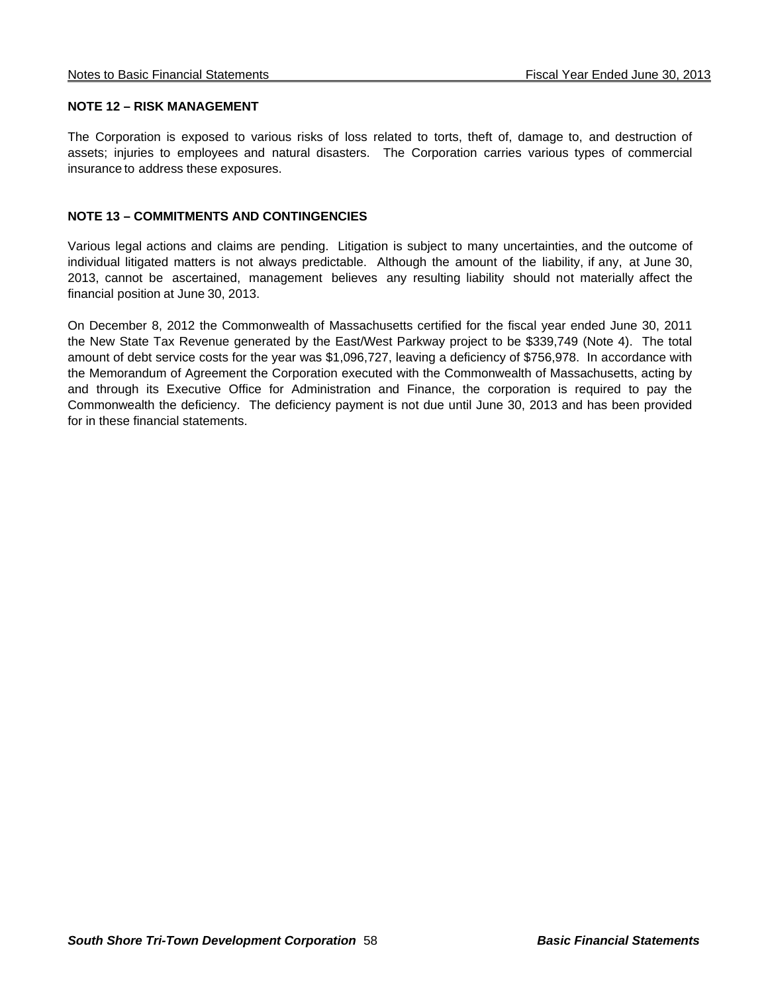#### **NOTE 12 – RISK MANAGEMENT**

The Corporation is exposed to various risks of loss related to torts, theft of, damage to, and destruction of assets; injuries to employees and natural disasters. The Corporation carries various types of commercial insurance to address these exposures.

#### **NOTE 13 – COMMITMENTS AND CONTINGENCIES**

Various legal actions and claims are pending. Litigation is subject to many uncertainties, and the outcome of individual litigated matters is not always predictable. Although the amount of the liability, if any, at June 30, 2013, cannot be ascertained, management believes any resulting liability should not materially affect the financial position at June 30, 2013.

On December 8, 2012 the Commonwealth of Massachusetts certified for the fiscal year ended June 30, 2011 the New State Tax Revenue generated by the East/West Parkway project to be \$339,749 (Note 4). The total amount of debt service costs for the year was \$1,096,727, leaving a deficiency of \$756,978. In accordance with the Memorandum of Agreement the Corporation executed with the Commonwealth of Massachusetts, acting by and through its Executive Office for Administration and Finance, the corporation is required to pay the Commonwealth the deficiency. The deficiency payment is not due until June 30, 2013 and has been provided for in these financial statements.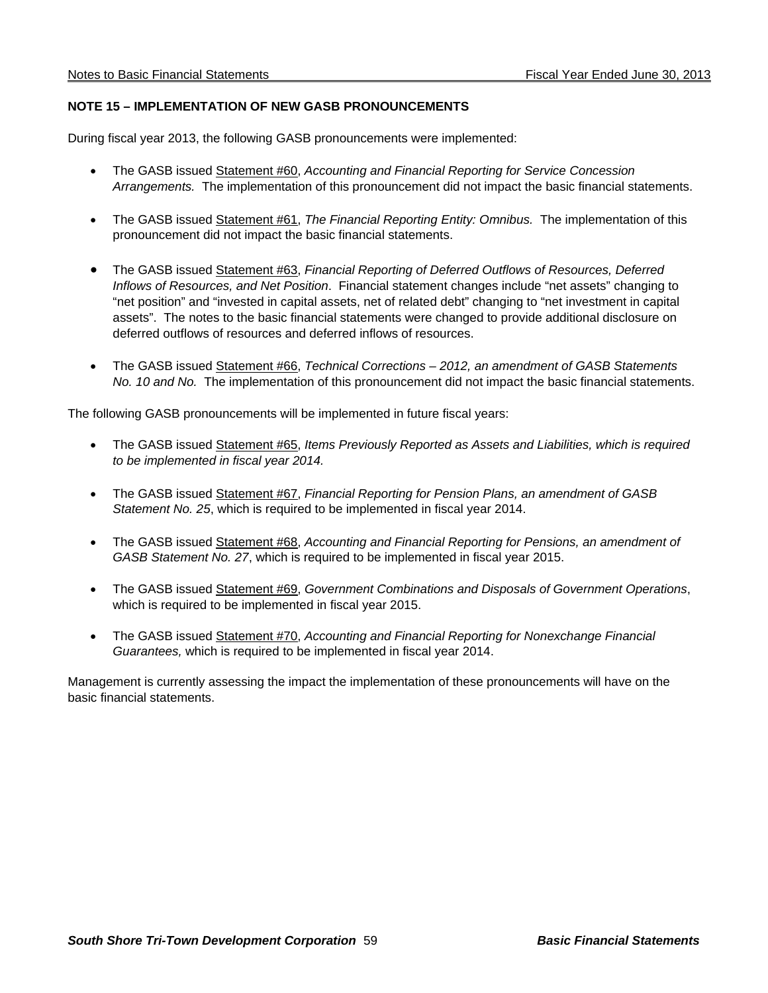#### **NOTE 15 – IMPLEMENTATION OF NEW GASB PRONOUNCEMENTS**

During fiscal year 2013, the following GASB pronouncements were implemented:

- The GASB issued Statement #60, *Accounting and Financial Reporting for Service Concession Arrangements.* The implementation of this pronouncement did not impact the basic financial statements.
- The GASB issued Statement #61, *The Financial Reporting Entity: Omnibus.* The implementation of this pronouncement did not impact the basic financial statements.
- The GASB issued Statement #63, *Financial Reporting of Deferred Outflows of Resources, Deferred Inflows of Resources, and Net Position*. Financial statement changes include "net assets" changing to "net position" and "invested in capital assets, net of related debt" changing to "net investment in capital assets". The notes to the basic financial statements were changed to provide additional disclosure on deferred outflows of resources and deferred inflows of resources.
- The GASB issued Statement #66, *Technical Corrections 2012, an amendment of GASB Statements No. 10 and No.* The implementation of this pronouncement did not impact the basic financial statements.

The following GASB pronouncements will be implemented in future fiscal years:

- The GASB issued Statement #65, *Items Previously Reported as Assets and Liabilities, which is required to be implemented in fiscal year 2014.*
- The GASB issued Statement #67, *Financial Reporting for Pension Plans, an amendment of GASB Statement No. 25*, which is required to be implemented in fiscal year 2014.
- The GASB issued Statement #68, *Accounting and Financial Reporting for Pensions, an amendment of GASB Statement No. 27*, which is required to be implemented in fiscal year 2015.
- The GASB issued Statement #69, *Government Combinations and Disposals of Government Operations*, which is required to be implemented in fiscal year 2015.
- The GASB issued Statement #70, *Accounting and Financial Reporting for Nonexchange Financial Guarantees,* which is required to be implemented in fiscal year 2014.

Management is currently assessing the impact the implementation of these pronouncements will have on the basic financial statements.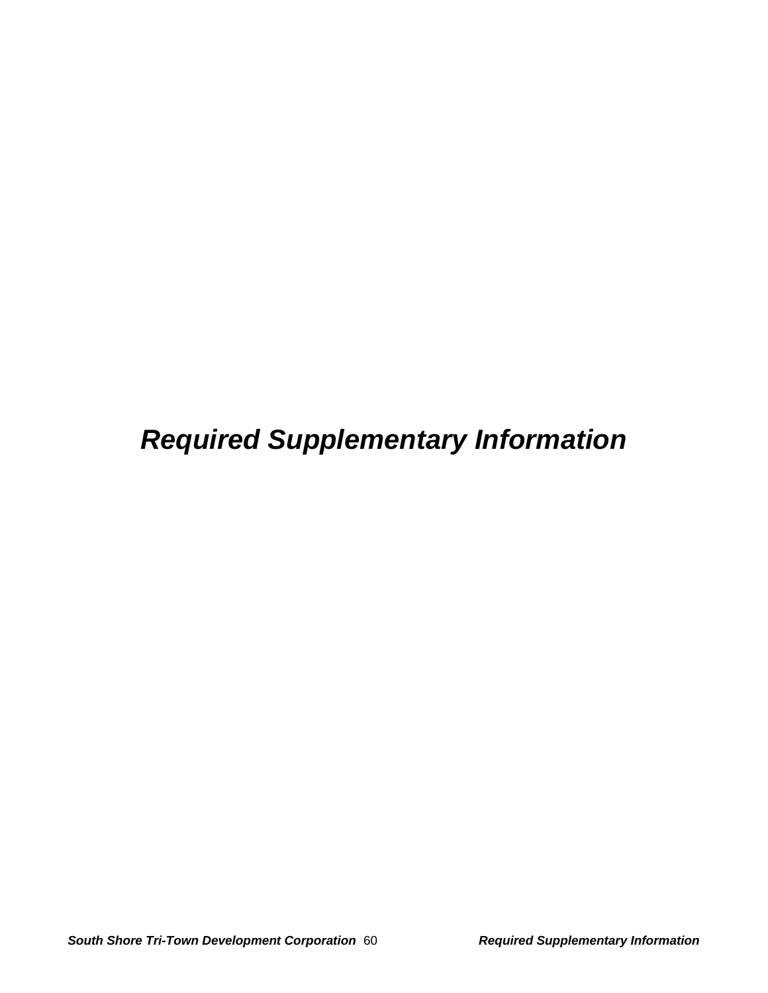*Required Supplementary Information*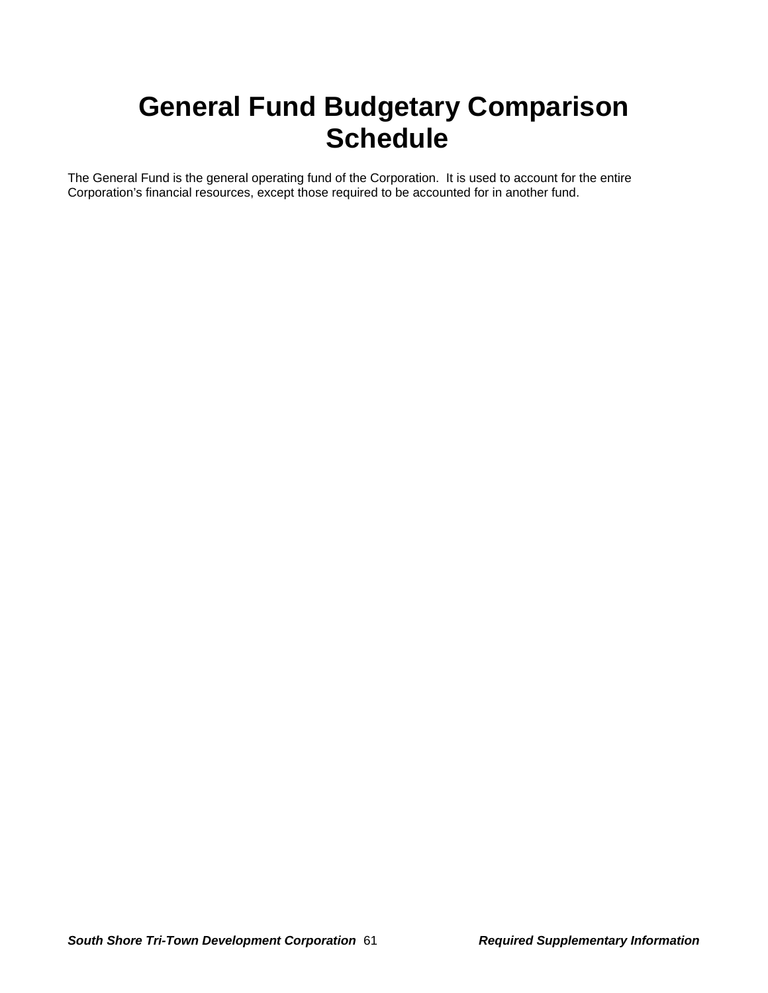# **General Fund Budgetary Comparison Schedule**

The General Fund is the general operating fund of the Corporation. It is used to account for the entire Corporation's financial resources, except those required to be accounted for in another fund.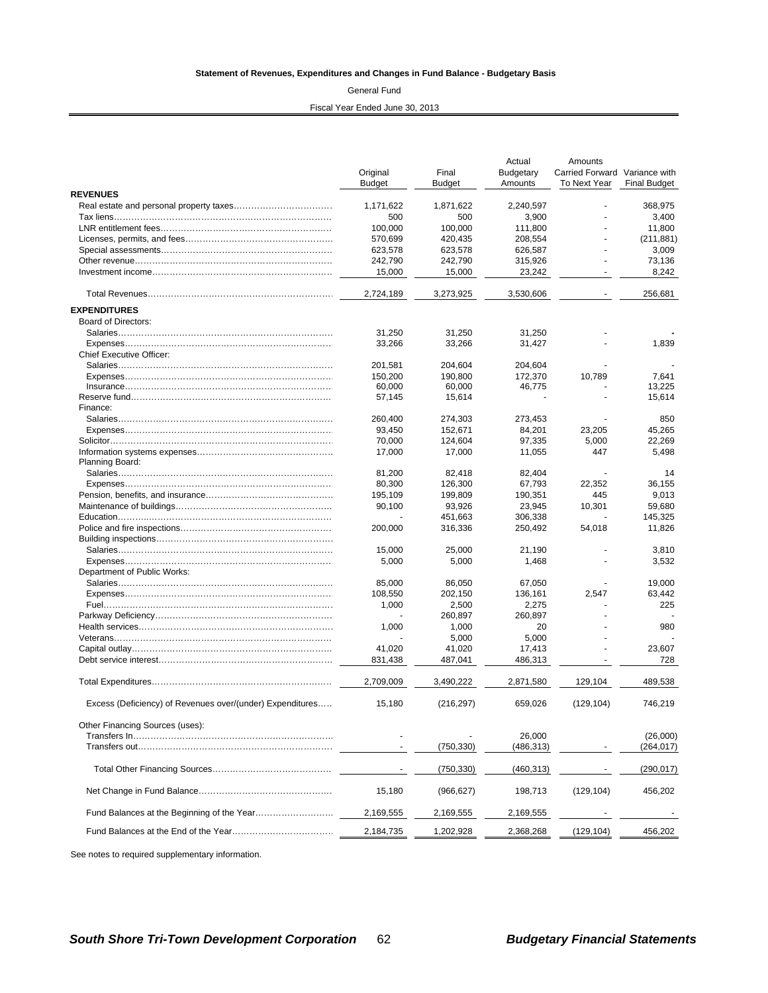General Fund

Fiscal Year Ended June 30, 2013

|                                                           |               |               | Actual           | Amounts                       |                     |
|-----------------------------------------------------------|---------------|---------------|------------------|-------------------------------|---------------------|
|                                                           | Original      | Final         | <b>Budgetary</b> | Carried Forward Variance with |                     |
|                                                           | <b>Budget</b> | <b>Budget</b> | Amounts          | <b>To Next Year</b>           | <b>Final Budget</b> |
| <b>REVENUES</b>                                           |               |               |                  |                               |                     |
|                                                           | 1,171,622     | 1,871,622     | 2,240,597        |                               | 368,975             |
|                                                           | 500           | 500           | 3,900            |                               | 3,400               |
|                                                           | 100,000       | 100,000       | 111,800          |                               | 11,800              |
|                                                           | 570,699       | 420,435       | 208,554          |                               | (211, 881)          |
|                                                           | 623,578       | 623,578       | 626,587          |                               | 3,009               |
|                                                           | 242,790       | 242,790       | 315,926          |                               | 73,136              |
|                                                           | 15,000        | 15,000        | 23,242           | $\sim$                        | 8,242               |
|                                                           |               |               |                  |                               |                     |
|                                                           | 2,724,189     | 3,273,925     | 3,530,606        | $\blacksquare$                | 256,681             |
| <b>EXPENDITURES</b>                                       |               |               |                  |                               |                     |
| <b>Board of Directors:</b>                                |               |               |                  |                               |                     |
|                                                           | 31,250        | 31,250        | 31,250           |                               |                     |
|                                                           | 33,266        | 33,266        | 31,427           |                               | 1,839               |
| <b>Chief Executive Officer:</b>                           |               |               |                  |                               |                     |
|                                                           | 201,581       | 204,604       | 204,604          |                               |                     |
|                                                           | 150,200       | 190,800       | 172,370          | 10,789                        | 7,641               |
|                                                           | 60,000        | 60,000        | 46,775           |                               | 13,225              |
|                                                           | 57,145        | 15,614        |                  |                               | 15,614              |
| Finance:                                                  |               |               |                  |                               |                     |
|                                                           | 260,400       | 274,303       | 273,453          |                               | 850                 |
|                                                           | 93,450        | 152,671       | 84,201           | 23.205                        | 45,265              |
|                                                           | 70,000        | 124,604       | 97.335           | 5,000                         | 22.269              |
| Planning Board:                                           | 17,000        | 17,000        | 11,055           | 447                           | 5,498               |
|                                                           | 81.200        | 82,418        | 82,404           |                               | 14                  |
|                                                           | 80,300        | 126,300       | 67.793           | 22,352                        | 36,155              |
|                                                           | 195,109       | 199,809       | 190.351          | 445                           | 9,013               |
|                                                           | 90,100        | 93,926        | 23,945           | 10,301                        | 59,680              |
|                                                           |               | 451,663       | 306,338          |                               | 145,325             |
|                                                           | 200,000       | 316,336       | 250,492          | 54,018                        | 11,826              |
|                                                           |               |               |                  |                               |                     |
|                                                           | 15,000        | 25,000        | 21,190           |                               | 3,810               |
|                                                           | 5,000         | 5,000         | 1,468            |                               | 3,532               |
| Department of Public Works:                               |               |               |                  |                               |                     |
|                                                           | 85,000        | 86,050        | 67,050           |                               | 19,000              |
|                                                           | 108,550       | 202,150       | 136,161          | 2,547                         | 63,442              |
|                                                           | 1,000         | 2,500         | 2,275            |                               | 225                 |
|                                                           |               | 260,897       | 260,897          |                               |                     |
|                                                           | 1,000         | 1,000         | 20               |                               | 980                 |
|                                                           |               | 5,000         | 5,000            |                               |                     |
|                                                           | 41,020        | 41,020        | 17,413           |                               | 23,607              |
|                                                           | 831,438       | 487,041       | 486,313          |                               | 728                 |
|                                                           | 2,709,009     | 3,490,222     | 2,871,580        | 129,104                       | 489,538             |
| Excess (Deficiency) of Revenues over/(under) Expenditures | 15,180        | (216, 297)    | 659,026          | (129, 104)                    | 746,219             |
| Other Financing Sources (uses):                           |               |               |                  |                               |                     |
|                                                           |               |               | 26,000           |                               | (26,000)            |
|                                                           |               |               | (486, 313)       |                               |                     |
|                                                           |               | (750, 330)    |                  |                               | (264, 017)          |
|                                                           |               | (750, 330)    | (460,313)        |                               | (290, 017)          |
|                                                           | 15,180        | (966, 627)    | 198,713          | (129, 104)                    | 456,202             |
|                                                           | 2,169,555     | 2,169,555     | 2,169,555        |                               |                     |
|                                                           | 2,184,735     | 1,202,928     | 2,368,268        | (129, 104)                    | 456,202             |

See notes to required supplementary information.